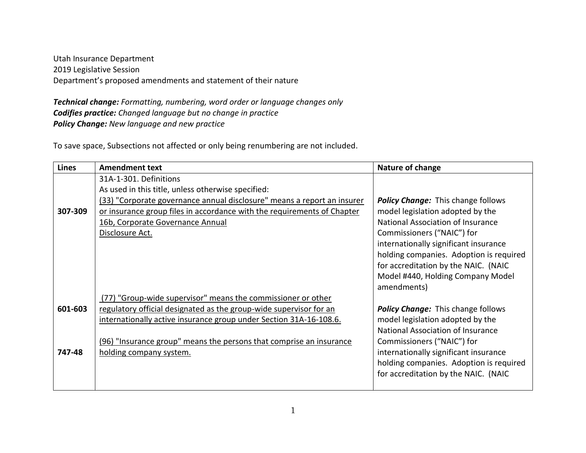Utah Insurance Department 2019 Legislative Session Department's proposed amendments and statement of their nature

*Technical change: Formatting, numbering, word order or language changes only Codifies practice: Changed language but no change in practice Policy Change: New language and new practice*

To save space, Subsections not affected or only being renumbering are not included.

| <b>Lines</b> | <b>Amendment text</b>                                                   | Nature of change                          |
|--------------|-------------------------------------------------------------------------|-------------------------------------------|
|              | 31A-1-301. Definitions                                                  |                                           |
|              | As used in this title, unless otherwise specified:                      |                                           |
|              | (33) "Corporate governance annual disclosure" means a report an insurer | <b>Policy Change:</b> This change follows |
| 307-309      | or insurance group files in accordance with the requirements of Chapter | model legislation adopted by the          |
|              | 16b, Corporate Governance Annual                                        | National Association of Insurance         |
|              | Disclosure Act.                                                         | Commissioners ("NAIC") for                |
|              |                                                                         | internationally significant insurance     |
|              |                                                                         | holding companies. Adoption is required   |
|              |                                                                         | for accreditation by the NAIC. (NAIC      |
|              |                                                                         | Model #440, Holding Company Model         |
|              |                                                                         | amendments)                               |
|              | (77) "Group-wide supervisor" means the commissioner or other            |                                           |
| 601-603      | regulatory official designated as the group-wide supervisor for an      | <b>Policy Change:</b> This change follows |
|              | internationally active insurance group under Section 31A-16-108.6.      | model legislation adopted by the          |
|              |                                                                         | National Association of Insurance         |
|              | (96) "Insurance group" means the persons that comprise an insurance     | Commissioners ("NAIC") for                |
| 747-48       | holding company system.                                                 | internationally significant insurance     |
|              |                                                                         | holding companies. Adoption is required   |
|              |                                                                         | for accreditation by the NAIC. (NAIC      |
|              |                                                                         |                                           |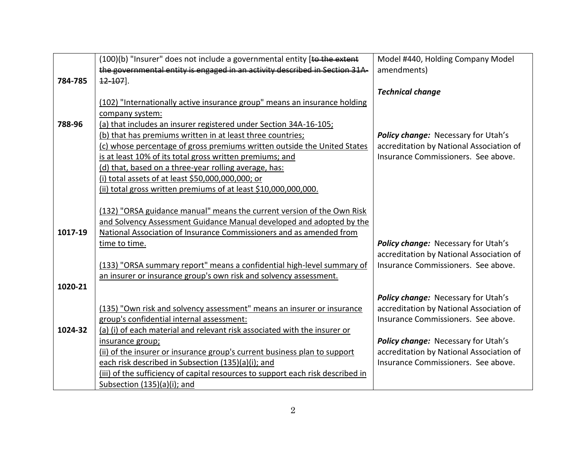|         | (100)(b) "Insurer" does not include a governmental entity [to the extent        | Model #440, Holding Company Model        |
|---------|---------------------------------------------------------------------------------|------------------------------------------|
|         | the governmental entity is engaged in an activity described in Section 31A-     | amendments)                              |
| 784-785 | 42 107].                                                                        |                                          |
|         |                                                                                 | <b>Technical change</b>                  |
|         | (102) "Internationally active insurance group" means an insurance holding       |                                          |
|         | company system:                                                                 |                                          |
| 788-96  | (a) that includes an insurer registered under Section 34A-16-105;               |                                          |
|         | (b) that has premiums written in at least three countries;                      | Policy change: Necessary for Utah's      |
|         | (c) whose percentage of gross premiums written outside the United States        | accreditation by National Association of |
|         | is at least 10% of its total gross written premiums; and                        | Insurance Commissioners. See above.      |
|         | (d) that, based on a three-year rolling average, has:                           |                                          |
|         | (i) total assets of at least \$50,000,000,000; or                               |                                          |
|         | (ii) total gross written premiums of at least \$10,000,000,000.                 |                                          |
|         |                                                                                 |                                          |
|         | (132) "ORSA guidance manual" means the current version of the Own Risk          |                                          |
|         | and Solvency Assessment Guidance Manual developed and adopted by the            |                                          |
| 1017-19 | National Association of Insurance Commissioners and as amended from             |                                          |
|         | time to time.                                                                   | Policy change: Necessary for Utah's      |
|         |                                                                                 | accreditation by National Association of |
|         | (133) "ORSA summary report" means a confidential high-level summary of          | Insurance Commissioners. See above.      |
|         | an insurer or insurance group's own risk and solvency assessment.               |                                          |
| 1020-21 |                                                                                 |                                          |
|         |                                                                                 | Policy change: Necessary for Utah's      |
|         | (135) "Own risk and solvency assessment" means an insurer or insurance          | accreditation by National Association of |
|         | group's confidential internal assessment:                                       | Insurance Commissioners. See above.      |
| 1024-32 | (a) (i) of each material and relevant risk associated with the insurer or       |                                          |
|         | insurance group;                                                                | Policy change: Necessary for Utah's      |
|         | (ii) of the insurer or insurance group's current business plan to support       | accreditation by National Association of |
|         | each risk described in Subsection (135)(a)(i); and                              | Insurance Commissioners. See above.      |
|         | (iii) of the sufficiency of capital resources to support each risk described in |                                          |
|         | Subsection (135)(a)(i); and                                                     |                                          |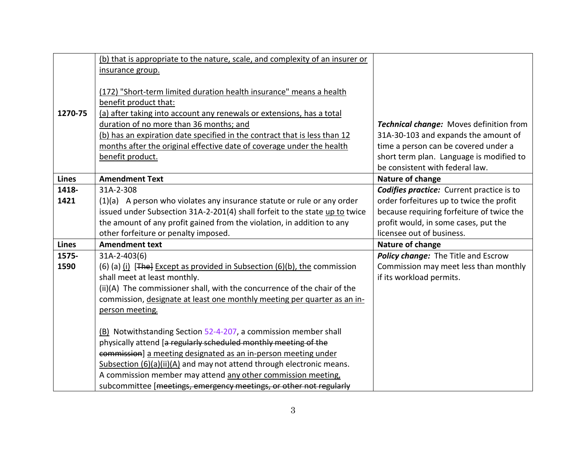|              | (b) that is appropriate to the nature, scale, and complexity of an insurer or |                                                  |
|--------------|-------------------------------------------------------------------------------|--------------------------------------------------|
|              | insurance group.                                                              |                                                  |
|              | (172) "Short-term limited duration health insurance" means a health           |                                                  |
|              | benefit product that:                                                         |                                                  |
| 1270-75      | (a) after taking into account any renewals or extensions, has a total         |                                                  |
|              | duration of no more than 36 months; and                                       | <b>Technical change:</b> Moves definition from   |
|              | (b) has an expiration date specified in the contract that is less than 12     | 31A-30-103 and expands the amount of             |
|              | months after the original effective date of coverage under the health         | time a person can be covered under a             |
|              | benefit product.                                                              | short term plan. Language is modified to         |
|              |                                                                               | be consistent with federal law.                  |
| <b>Lines</b> | <b>Amendment Text</b>                                                         | Nature of change                                 |
| 1418-        | 31A-2-308                                                                     | <b>Codifies practice:</b> Current practice is to |
| 1421         | $(1)(a)$ A person who violates any insurance statute or rule or any order     | order forfeitures up to twice the profit         |
|              | issued under Subsection 31A-2-201(4) shall forfeit to the state up to twice   | because requiring forfeiture of twice the        |
|              | the amount of any profit gained from the violation, in addition to any        | profit would, in some cases, put the             |
|              | other forfeiture or penalty imposed.                                          | licensee out of business.                        |
| <b>Lines</b> | <b>Amendment text</b>                                                         | Nature of change                                 |
| 1575-        | $31A-2-403(6)$                                                                | Policy change: The Title and Escrow              |
| 1590         | (6) (a) (i) $[$ The] Except as provided in Subsection (6)(b), the commission  | Commission may meet less than monthly            |
|              | shall meet at least monthly.                                                  | if its workload permits.                         |
|              | (ii)(A) The commissioner shall, with the concurrence of the chair of the      |                                                  |
|              | commission, designate at least one monthly meeting per quarter as an in-      |                                                  |
|              | person meeting.                                                               |                                                  |
|              |                                                                               |                                                  |
|              | (B) Notwithstanding Section 52-4-207, a commission member shall               |                                                  |
|              | physically attend [a regularly scheduled monthly meeting of the               |                                                  |
|              | commission] a meeting designated as an in-person meeting under                |                                                  |
|              | Subsection (6)(a)(ii)(A) and may not attend through electronic means.         |                                                  |
|              | A commission member may attend any other commission meeting,                  |                                                  |
|              | subcommittee [meetings, emergency meetings, or other not regularly            |                                                  |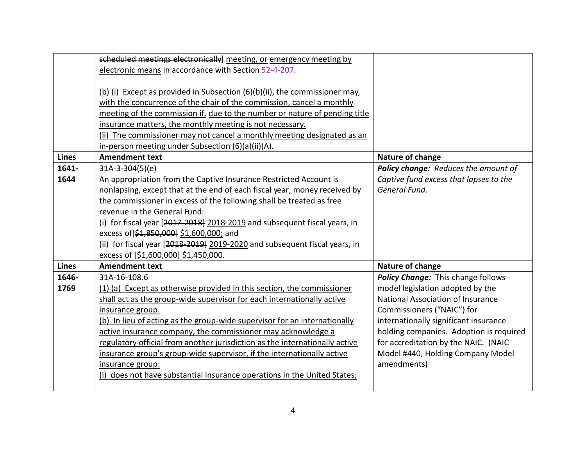|              | scheduled meetings electronically] meeting, or emergency meeting by         |                                         |
|--------------|-----------------------------------------------------------------------------|-----------------------------------------|
|              | electronic means in accordance with Section 52-4-207.                       |                                         |
|              |                                                                             |                                         |
|              | (b) (i) Except as provided in Subsection (6)(b)(ii), the commissioner may,  |                                         |
|              | with the concurrence of the chair of the commission, cancel a monthly       |                                         |
|              | meeting of the commission if, due to the number or nature of pending title  |                                         |
|              | insurance matters, the monthly meeting is not necessary.                    |                                         |
|              | (ii) The commissioner may not cancel a monthly meeting designated as an     |                                         |
|              | in-person meeting under Subsection (6)(a)(ii)(A).                           |                                         |
| <b>Lines</b> | <b>Amendment text</b>                                                       | Nature of change                        |
| 1641-        | $31A-3-304(5)(e)$                                                           | Policy change: Reduces the amount of    |
| 1644         | An appropriation from the Captive Insurance Restricted Account is           | Captive fund excess that lapses to the  |
|              | nonlapsing, except that at the end of each fiscal year, money received by   | General Fund.                           |
|              | the commissioner in excess of the following shall be treated as free        |                                         |
|              | revenue in the General Fund:                                                |                                         |
|              | (i) for fiscal year [2017 2018] 2018-2019 and subsequent fiscal years, in   |                                         |
|              | excess of [\$1,850,000] \$1,600,000; and                                    |                                         |
|              | (ii) for fiscal year [2018-2019] 2019-2020 and subsequent fiscal years, in  |                                         |
|              | excess of [\$1,600,000] \$1,450,000.                                        |                                         |
| <b>Lines</b> | <b>Amendment text</b>                                                       | Nature of change                        |
| 1646-        | 31A-16-108.6                                                                | Policy Change: This change follows      |
| 1769         | (1) (a) Except as otherwise provided in this section, the commissioner      | model legislation adopted by the        |
|              | shall act as the group-wide supervisor for each internationally active      | National Association of Insurance       |
|              | insurance group.                                                            | Commissioners ("NAIC") for              |
|              | (b) In lieu of acting as the group-wide supervisor for an internationally   | internationally significant insurance   |
|              | active insurance company, the commissioner may acknowledge a                | holding companies. Adoption is required |
|              | regulatory official from another jurisdiction as the internationally active | for accreditation by the NAIC. (NAIC    |
|              | insurance group's group-wide supervisor, if the internationally active      | Model #440, Holding Company Model       |
|              | insurance group:                                                            | amendments)                             |
|              | (i) does not have substantial insurance operations in the United States;    |                                         |
|              |                                                                             |                                         |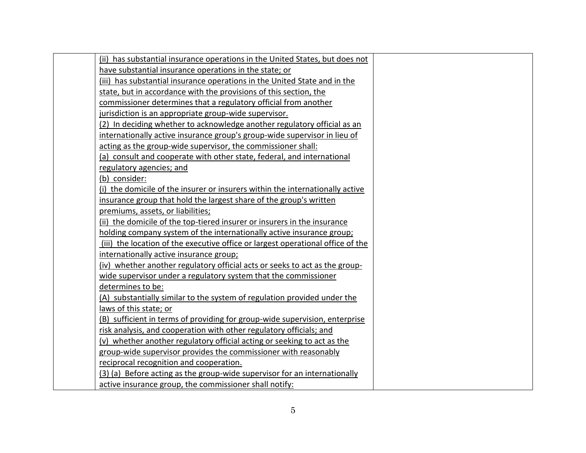| (ii) has substantial insurance operations in the United States, but does not    |
|---------------------------------------------------------------------------------|
| have substantial insurance operations in the state; or                          |
| (iii) has substantial insurance operations in the United State and in the       |
| state, but in accordance with the provisions of this section, the               |
| commissioner determines that a regulatory official from another                 |
| jurisdiction is an appropriate group-wide supervisor.                           |
| (2) In deciding whether to acknowledge another regulatory official as an        |
| internationally active insurance group's group-wide supervisor in lieu of       |
| acting as the group-wide supervisor, the commissioner shall:                    |
| (a) consult and cooperate with other state, federal, and international          |
| regulatory agencies; and                                                        |
| (b) consider:                                                                   |
| (i) the domicile of the insurer or insurers within the internationally active   |
| insurance group that hold the largest share of the group's written              |
| premiums, assets, or liabilities;                                               |
| (ii) the domicile of the top-tiered insurer or insurers in the insurance        |
| holding company system of the internationally active insurance group;           |
| (iii) the location of the executive office or largest operational office of the |
| internationally active insurance group;                                         |
| (iv) whether another regulatory official acts or seeks to act as the group-     |
| wide supervisor under a regulatory system that the commissioner                 |
| determines to be:                                                               |
| (A) substantially similar to the system of regulation provided under the        |
| laws of this state; or                                                          |
| (B) sufficient in terms of providing for group-wide supervision, enterprise     |
| risk analysis, and cooperation with other regulatory officials; and             |
| (v) whether another regulatory official acting or seeking to act as the         |
| group-wide supervisor provides the commissioner with reasonably                 |
| reciprocal recognition and cooperation.                                         |
| (3) (a) Before acting as the group-wide supervisor for an internationally       |
| active insurance group, the commissioner shall notify:                          |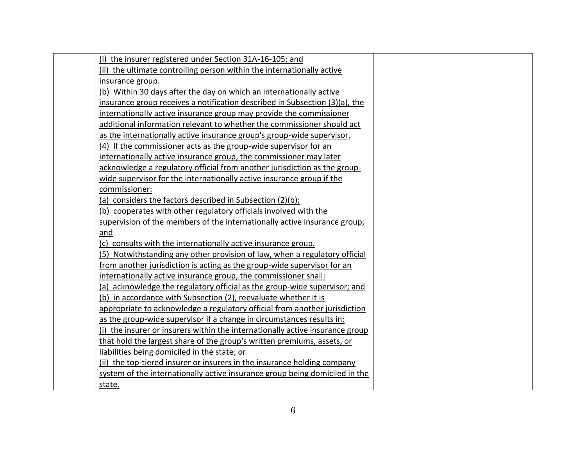| (i) the insurer registered under Section 31A-16-105; and                      |  |
|-------------------------------------------------------------------------------|--|
| (ii) the ultimate controlling person within the internationally active        |  |
| insurance group.                                                              |  |
| (b) Within 30 days after the day on which an internationally active           |  |
| insurance group receives a notification described in Subsection (3)(a), the   |  |
| internationally active insurance group may provide the commissioner           |  |
| additional information relevant to whether the commissioner should act        |  |
| as the internationally active insurance group's group-wide supervisor.        |  |
| (4) If the commissioner acts as the group-wide supervisor for an              |  |
| internationally active insurance group, the commissioner may later            |  |
| acknowledge a regulatory official from another jurisdiction as the group-     |  |
| wide supervisor for the internationally active insurance group if the         |  |
| commissioner:                                                                 |  |
| (a) considers the factors described in Subsection (2)(b);                     |  |
| (b) cooperates with other regulatory officials involved with the              |  |
| supervision of the members of the internationally active insurance group;     |  |
| and                                                                           |  |
| (c) consults with the internationally active insurance group.                 |  |
| (5) Notwithstanding any other provision of law, when a regulatory official    |  |
| from another jurisdiction is acting as the group-wide supervisor for an       |  |
| internationally active insurance group, the commissioner shall:               |  |
| (a) acknowledge the regulatory official as the group-wide supervisor; and     |  |
| (b) in accordance with Subsection (2), reevaluate whether it is               |  |
| appropriate to acknowledge a regulatory official from another jurisdiction    |  |
| as the group-wide supervisor if a change in circumstances results in:         |  |
| (i) the insurer or insurers within the internationally active insurance group |  |
| that hold the largest share of the group's written premiums, assets, or       |  |
| liabilities being domiciled in the state; or                                  |  |
| (ii) the top-tiered insurer or insurers in the insurance holding company      |  |
| system of the internationally active insurance group being domiciled in the   |  |
| state.                                                                        |  |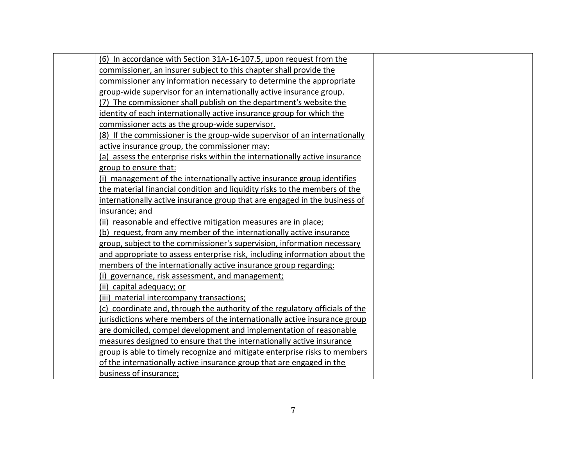| (6) In accordance with Section 31A-16-107.5, upon request from the           |
|------------------------------------------------------------------------------|
| commissioner, an insurer subject to this chapter shall provide the           |
| commissioner any information necessary to determine the appropriate          |
| group-wide supervisor for an internationally active insurance group.         |
| (7) The commissioner shall publish on the department's website the           |
| identity of each internationally active insurance group for which the        |
| commissioner acts as the group-wide supervisor.                              |
| (8) If the commissioner is the group-wide supervisor of an internationally   |
| active insurance group, the commissioner may:                                |
| (a) assess the enterprise risks within the internationally active insurance  |
| group to ensure that:                                                        |
| (i) management of the internationally active insurance group identifies      |
| the material financial condition and liquidity risks to the members of the   |
| internationally active insurance group that are engaged in the business of   |
| insurance; and                                                               |
| (ii) reasonable and effective mitigation measures are in place;              |
| (b) request, from any member of the internationally active insurance         |
| group, subject to the commissioner's supervision, information necessary      |
| and appropriate to assess enterprise risk, including information about the   |
| members of the internationally active insurance group regarding:             |
| (i) governance, risk assessment, and management;                             |
| (ii) capital adequacy; or                                                    |
| (iii) material intercompany transactions;                                    |
| (c) coordinate and, through the authority of the regulatory officials of the |
| jurisdictions where members of the internationally active insurance group    |
| are domiciled, compel development and implementation of reasonable           |
| measures designed to ensure that the internationally active insurance        |
| group is able to timely recognize and mitigate enterprise risks to members   |
| of the internationally active insurance group that are engaged in the        |
| business of insurance;                                                       |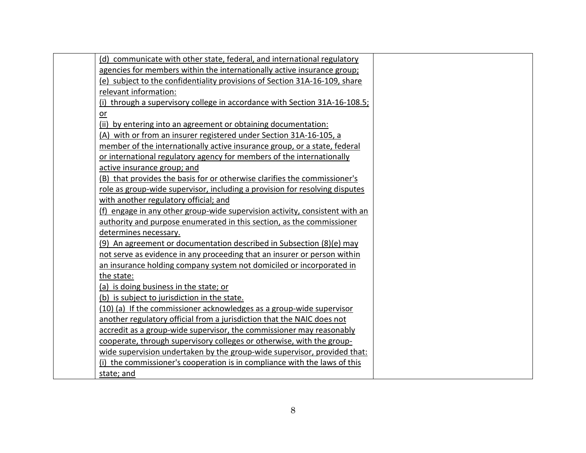| (d) communicate with other state, federal, and international regulatory     |  |
|-----------------------------------------------------------------------------|--|
| agencies for members within the internationally active insurance group;     |  |
| (e) subject to the confidentiality provisions of Section 31A-16-109, share  |  |
| relevant information:                                                       |  |
| (i) through a supervisory college in accordance with Section 31A-16-108.5;  |  |
| or                                                                          |  |
| (ii) by entering into an agreement or obtaining documentation:              |  |
| (A) with or from an insurer registered under Section 31A-16-105, a          |  |
| member of the internationally active insurance group, or a state, federal   |  |
| or international regulatory agency for members of the internationally       |  |
| active insurance group; and                                                 |  |
| (B) that provides the basis for or otherwise clarifies the commissioner's   |  |
| role as group-wide supervisor, including a provision for resolving disputes |  |
| with another regulatory official; and                                       |  |
| (f) engage in any other group-wide supervision activity, consistent with an |  |
| authority and purpose enumerated in this section, as the commissioner       |  |
| determines necessary.                                                       |  |
| (9) An agreement or documentation described in Subsection (8)(e) may        |  |
| not serve as evidence in any proceeding that an insurer or person within    |  |
| an insurance holding company system not domiciled or incorporated in        |  |
| the state:                                                                  |  |
| (a) is doing business in the state; or                                      |  |
| (b) is subject to jurisdiction in the state.                                |  |
| (10) (a) If the commissioner acknowledges as a group-wide supervisor        |  |
| another regulatory official from a jurisdiction that the NAIC does not      |  |
| accredit as a group-wide supervisor, the commissioner may reasonably        |  |
| cooperate, through supervisory colleges or otherwise, with the group-       |  |
| wide supervision undertaken by the group-wide supervisor, provided that:    |  |
| (i) the commissioner's cooperation is in compliance with the laws of this   |  |
| state; and                                                                  |  |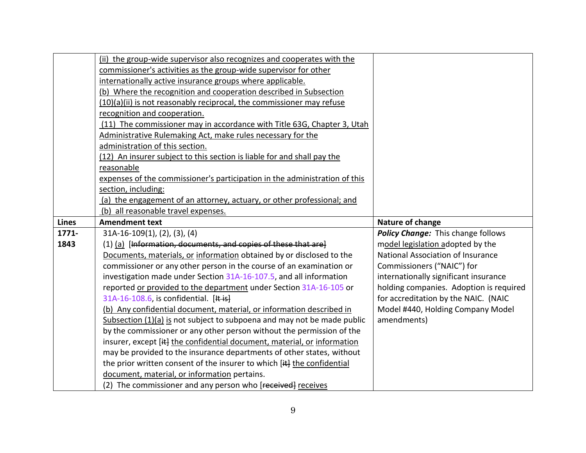|              | (ii) the group-wide supervisor also recognizes and cooperates with the                                      |                                         |
|--------------|-------------------------------------------------------------------------------------------------------------|-----------------------------------------|
|              | commissioner's activities as the group-wide supervisor for other                                            |                                         |
|              | internationally active insurance groups where applicable.                                                   |                                         |
|              | (b) Where the recognition and cooperation described in Subsection                                           |                                         |
|              | (10)(a)(ii) is not reasonably reciprocal, the commissioner may refuse                                       |                                         |
|              | recognition and cooperation.                                                                                |                                         |
|              | (11) The commissioner may in accordance with Title 63G, Chapter 3, Utah                                     |                                         |
|              | Administrative Rulemaking Act, make rules necessary for the                                                 |                                         |
|              | administration of this section.                                                                             |                                         |
|              | (12) An insurer subject to this section is liable for and shall pay the                                     |                                         |
|              | reasonable                                                                                                  |                                         |
|              | expenses of the commissioner's participation in the administration of this                                  |                                         |
|              | section, including:                                                                                         |                                         |
|              | (a) the engagement of an attorney, actuary, or other professional; and                                      |                                         |
|              | (b) all reasonable travel expenses.                                                                         |                                         |
| <b>Lines</b> | <b>Amendment text</b>                                                                                       | Nature of change                        |
|              |                                                                                                             |                                         |
| 1771-        | $31A-16-109(1), (2), (3), (4)$                                                                              | Policy Change: This change follows      |
| 1843         | (1) (a) [Information, documents, and copies of these that are]                                              | model legislation adopted by the        |
|              | Documents, materials, or information obtained by or disclosed to the                                        | National Association of Insurance       |
|              | commissioner or any other person in the course of an examination or                                         | Commissioners ("NAIC") for              |
|              | investigation made under Section 31A-16-107.5, and all information                                          | internationally significant insurance   |
|              | reported or provided to the department under Section 31A-16-105 or                                          | holding companies. Adoption is required |
|              | 31A-16-108.6, is confidential. [It is]                                                                      | for accreditation by the NAIC. (NAIC    |
|              | (b) Any confidential document, material, or information described in                                        | Model #440, Holding Company Model       |
|              | Subsection (1)(a) is not subject to subpoena and may not be made public                                     | amendments)                             |
|              | by the commissioner or any other person without the permission of the                                       |                                         |
|              | insurer, except [it] the confidential document, material, or information                                    |                                         |
|              | may be provided to the insurance departments of other states, without                                       |                                         |
|              | the prior written consent of the insurer to which [i+] the confidential                                     |                                         |
|              | document, material, or information pertains.<br>(2) The commissioner and any person who [received] receives |                                         |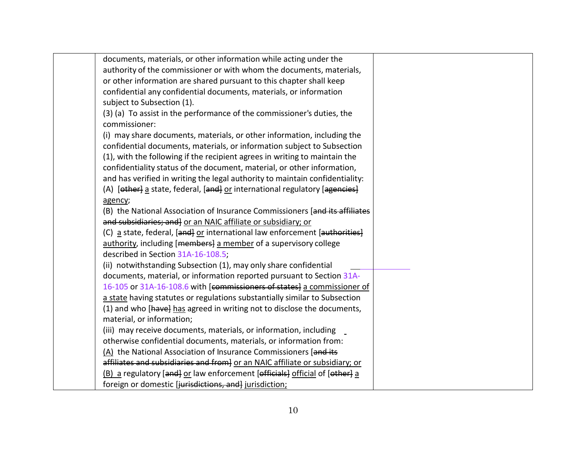| documents, materials, or other information while acting under the            |  |
|------------------------------------------------------------------------------|--|
| authority of the commissioner or with whom the documents, materials,         |  |
| or other information are shared pursuant to this chapter shall keep          |  |
| confidential any confidential documents, materials, or information           |  |
| subject to Subsection (1).                                                   |  |
| (3) (a) To assist in the performance of the commissioner's duties, the       |  |
| commissioner:                                                                |  |
| (i) may share documents, materials, or other information, including the      |  |
| confidential documents, materials, or information subject to Subsection      |  |
| (1), with the following if the recipient agrees in writing to maintain the   |  |
| confidentiality status of the document, material, or other information,      |  |
| and has verified in writing the legal authority to maintain confidentiality: |  |
| (A) [other] a state, federal, [and] or international regulatory [agencies]   |  |
| agency;                                                                      |  |
| (B) the National Association of Insurance Commissioners [and its affiliates  |  |
| and subsidiaries; and] or an NAIC affiliate or subsidiary; or                |  |
| (C) a state, federal, [and] or international law enforcement [authorities]   |  |
|                                                                              |  |
| authority, including [members] a member of a supervisory college             |  |
| described in Section 31A-16-108.5;                                           |  |
| (ii) notwithstanding Subsection (1), may only share confidential             |  |
| documents, material, or information reported pursuant to Section 31A-        |  |
| 16-105 or 31A-16-108.6 with [commissioners of states] a commissioner of      |  |
| a state having statutes or regulations substantially similar to Subsection   |  |
| (1) and who [have] has agreed in writing not to disclose the documents,      |  |
| material, or information;                                                    |  |
| (iii) may receive documents, materials, or information, including            |  |
| otherwise confidential documents, materials, or information from:            |  |
| (A) the National Association of Insurance Commissioners [and its             |  |
| affiliates and subsidiaries and from} or an NAIC affiliate or subsidiary; or |  |
| (B) a regulatory [and] or law enforcement [officials] official of [other] a  |  |
| foreign or domestic [jurisdictions, and] jurisdiction;                       |  |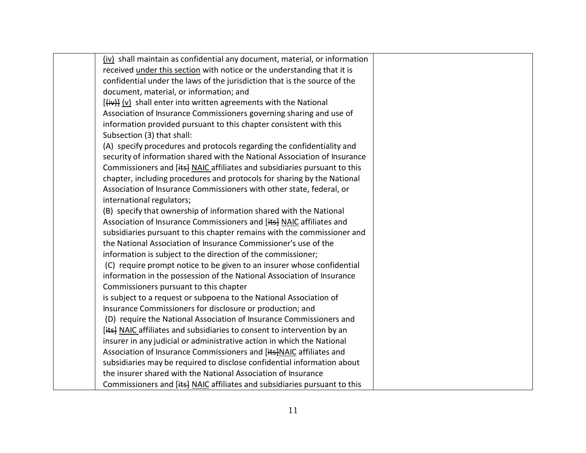| (iv) shall maintain as confidential any document, material, or information |  |
|----------------------------------------------------------------------------|--|
| received under this section with notice or the understanding that it is    |  |
| confidential under the laws of the jurisdiction that is the source of the  |  |
| document, material, or information; and                                    |  |
|                                                                            |  |
| Association of Insurance Commissioners governing sharing and use of        |  |
| information provided pursuant to this chapter consistent with this         |  |
| Subsection (3) that shall:                                                 |  |
| (A) specify procedures and protocols regarding the confidentiality and     |  |
| security of information shared with the National Association of Insurance  |  |
| Commissioners and [its] NAIC affiliates and subsidiaries pursuant to this  |  |
| chapter, including procedures and protocols for sharing by the National    |  |
| Association of Insurance Commissioners with other state, federal, or       |  |
| international regulators;                                                  |  |
| (B) specify that ownership of information shared with the National         |  |
| Association of Insurance Commissioners and [its] NAIC affiliates and       |  |
| subsidiaries pursuant to this chapter remains with the commissioner and    |  |
| the National Association of Insurance Commissioner's use of the            |  |
| information is subject to the direction of the commissioner;               |  |
| (C) require prompt notice to be given to an insurer whose confidential     |  |
| information in the possession of the National Association of Insurance     |  |
| Commissioners pursuant to this chapter                                     |  |
| is subject to a request or subpoena to the National Association of         |  |
| Insurance Commissioners for disclosure or production; and                  |  |
| (D) require the National Association of Insurance Commissioners and        |  |
| [its] NAIC affiliates and subsidiaries to consent to intervention by an    |  |
| insurer in any judicial or administrative action in which the National     |  |
| Association of Insurance Commissioners and [its]NAIC affiliates and        |  |
| subsidiaries may be required to disclose confidential information about    |  |
| the insurer shared with the National Association of Insurance              |  |
| Commissioners and [its] NAIC affiliates and subsidiaries pursuant to this  |  |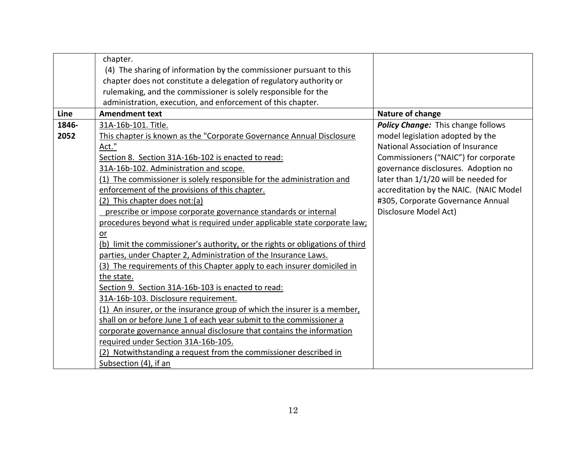|       | chapter.                                                                      |                                        |
|-------|-------------------------------------------------------------------------------|----------------------------------------|
|       | (4) The sharing of information by the commissioner pursuant to this           |                                        |
|       | chapter does not constitute a delegation of regulatory authority or           |                                        |
|       | rulemaking, and the commissioner is solely responsible for the                |                                        |
|       | administration, execution, and enforcement of this chapter.                   |                                        |
| Line  | <b>Amendment text</b>                                                         | Nature of change                       |
| 1846- | 31A-16b-101. Title.                                                           | Policy Change: This change follows     |
| 2052  | This chapter is known as the "Corporate Governance Annual Disclosure          | model legislation adopted by the       |
|       | Act."                                                                         | National Association of Insurance      |
|       | Section 8. Section 31A-16b-102 is enacted to read:                            | Commissioners ("NAIC") for corporate   |
|       | 31A-16b-102. Administration and scope.                                        | governance disclosures. Adoption no    |
|       | (1) The commissioner is solely responsible for the administration and         | later than 1/1/20 will be needed for   |
|       | enforcement of the provisions of this chapter.                                | accreditation by the NAIC. (NAIC Model |
|       | (2) This chapter does not: (a)                                                | #305, Corporate Governance Annual      |
|       | prescribe or impose corporate governance standards or internal                | Disclosure Model Act)                  |
|       | procedures beyond what is required under applicable state corporate law;      |                                        |
|       | $or$                                                                          |                                        |
|       | (b) limit the commissioner's authority, or the rights or obligations of third |                                        |
|       | parties, under Chapter 2, Administration of the Insurance Laws.               |                                        |
|       | (3) The requirements of this Chapter apply to each insurer domiciled in       |                                        |
|       | the state.                                                                    |                                        |
|       | Section 9. Section 31A-16b-103 is enacted to read:                            |                                        |
|       | 31A-16b-103. Disclosure requirement.                                          |                                        |
|       | (1) An insurer, or the insurance group of which the insurer is a member,      |                                        |
|       | shall on or before June 1 of each year submit to the commissioner a           |                                        |
|       | corporate governance annual disclosure that contains the information          |                                        |
|       | required under Section 31A-16b-105.                                           |                                        |
|       | (2) Notwithstanding a request from the commissioner described in              |                                        |
|       | Subsection (4), if an                                                         |                                        |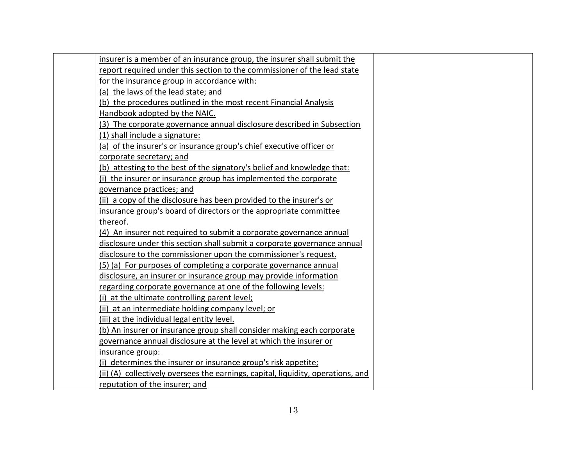| insurer is a member of an insurance group, the insurer shall submit the          |  |
|----------------------------------------------------------------------------------|--|
| report required under this section to the commissioner of the lead state         |  |
| for the insurance group in accordance with:                                      |  |
| (a) the laws of the lead state; and                                              |  |
| (b) the procedures outlined in the most recent Financial Analysis                |  |
| Handbook adopted by the NAIC.                                                    |  |
| (3) The corporate governance annual disclosure described in Subsection           |  |
| (1) shall include a signature:                                                   |  |
| (a) of the insurer's or insurance group's chief executive officer or             |  |
| corporate secretary; and                                                         |  |
| (b) attesting to the best of the signatory's belief and knowledge that:          |  |
| (i) the insurer or insurance group has implemented the corporate                 |  |
| governance practices; and                                                        |  |
| (ii) a copy of the disclosure has been provided to the insurer's or              |  |
| insurance group's board of directors or the appropriate committee                |  |
| thereof.                                                                         |  |
| (4) An insurer not required to submit a corporate governance annual              |  |
| disclosure under this section shall submit a corporate governance annual         |  |
| disclosure to the commissioner upon the commissioner's request.                  |  |
| (5) (a) For purposes of completing a corporate governance annual                 |  |
| disclosure, an insurer or insurance group may provide information                |  |
| regarding corporate governance at one of the following levels:                   |  |
| (i) at the ultimate controlling parent level;                                    |  |
| (ii) at an intermediate holding company level; or                                |  |
| (iii) at the individual legal entity level.                                      |  |
| (b) An insurer or insurance group shall consider making each corporate           |  |
| governance annual disclosure at the level at which the insurer or                |  |
| insurance group:                                                                 |  |
| (i) determines the insurer or insurance group's risk appetite;                   |  |
| (ii) (A) collectively oversees the earnings, capital, liquidity, operations, and |  |
| reputation of the insurer; and                                                   |  |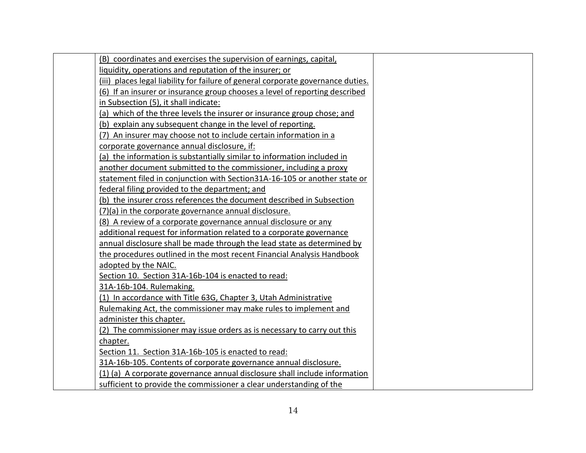| (B) coordinates and exercises the supervision of earnings, capital,              |
|----------------------------------------------------------------------------------|
| liquidity, operations and reputation of the insurer; or                          |
| (iii) places legal liability for failure of general corporate governance duties. |
| (6) If an insurer or insurance group chooses a level of reporting described      |
| in Subsection (5), it shall indicate:                                            |
| (a) which of the three levels the insurer or insurance group chose; and          |
| (b) explain any subsequent change in the level of reporting.                     |
| (7) An insurer may choose not to include certain information in a                |
| corporate governance annual disclosure, if:                                      |
| (a) the information is substantially similar to information included in          |
| another document submitted to the commissioner, including a proxy                |
| statement filed in conjunction with Section31A-16-105 or another state or        |
| federal filing provided to the department; and                                   |
| (b) the insurer cross references the document described in Subsection            |
| (7)(a) in the corporate governance annual disclosure.                            |
| (8) A review of a corporate governance annual disclosure or any                  |
| additional request for information related to a corporate governance             |
| annual disclosure shall be made through the lead state as determined by          |
| the procedures outlined in the most recent Financial Analysis Handbook           |
| adopted by the NAIC.                                                             |
| Section 10. Section 31A-16b-104 is enacted to read:                              |
| 31A-16b-104. Rulemaking.                                                         |
| (1) In accordance with Title 63G, Chapter 3, Utah Administrative                 |
| Rulemaking Act, the commissioner may make rules to implement and                 |
| administer this chapter.                                                         |
| (2) The commissioner may issue orders as is necessary to carry out this          |
| chapter.                                                                         |
| Section 11. Section 31A-16b-105 is enacted to read:                              |
| 31A-16b-105. Contents of corporate governance annual disclosure.                 |
| (1) (a) A corporate governance annual disclosure shall include information       |
| sufficient to provide the commissioner a clear understanding of the              |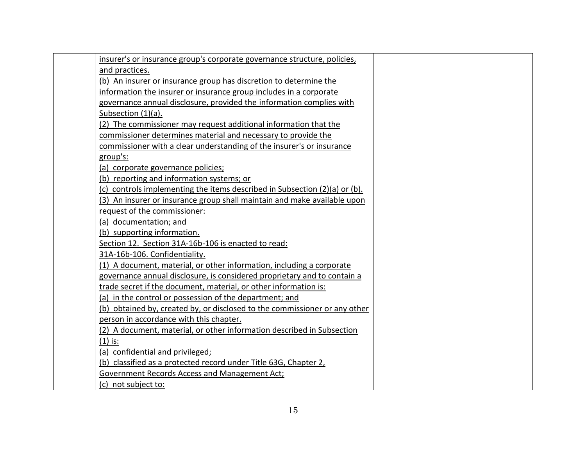| insurer's or insurance group's corporate governance structure, policies,   |  |
|----------------------------------------------------------------------------|--|
| and practices.                                                             |  |
| (b) An insurer or insurance group has discretion to determine the          |  |
| information the insurer or insurance group includes in a corporate         |  |
| governance annual disclosure, provided the information complies with       |  |
| Subsection (1)(a).                                                         |  |
| (2) The commissioner may request additional information that the           |  |
| commissioner determines material and necessary to provide the              |  |
| commissioner with a clear understanding of the insurer's or insurance      |  |
| group's:                                                                   |  |
| (a) corporate governance policies;                                         |  |
| (b) reporting and information systems; or                                  |  |
| (c) controls implementing the items described in Subsection (2)(a) or (b). |  |
| (3) An insurer or insurance group shall maintain and make available upon   |  |
| request of the commissioner:                                               |  |
| (a) documentation; and                                                     |  |
| (b) supporting information.                                                |  |
| Section 12. Section 31A-16b-106 is enacted to read:                        |  |
| 31A-16b-106. Confidentiality.                                              |  |
| (1) A document, material, or other information, including a corporate      |  |
| governance annual disclosure, is considered proprietary and to contain a   |  |
| trade secret if the document, material, or other information is:           |  |
| (a) in the control or possession of the department; and                    |  |
| (b) obtained by, created by, or disclosed to the commissioner or any other |  |
| person in accordance with this chapter.                                    |  |
| (2) A document, material, or other information described in Subsection     |  |
| $(1)$ is:                                                                  |  |
| (a) confidential and privileged;                                           |  |
| (b) classified as a protected record under Title 63G, Chapter 2,           |  |
| Government Records Access and Management Act;                              |  |
| (c) not subject to:                                                        |  |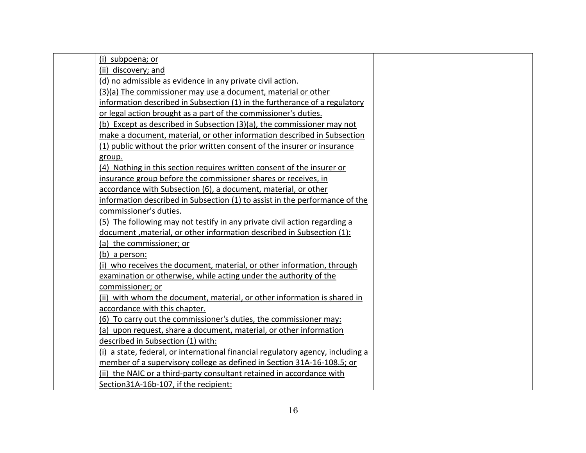| (i) subpoena; or                                                                |  |
|---------------------------------------------------------------------------------|--|
| (ii) discovery; and                                                             |  |
| (d) no admissible as evidence in any private civil action.                      |  |
| (3)(a) The commissioner may use a document, material or other                   |  |
| information described in Subsection (1) in the furtherance of a regulatory      |  |
| or legal action brought as a part of the commissioner's duties.                 |  |
| (b) Except as described in Subsection (3)(a), the commissioner may not          |  |
| make a document, material, or other information described in Subsection         |  |
| (1) public without the prior written consent of the insurer or insurance        |  |
| group.                                                                          |  |
| (4) Nothing in this section requires written consent of the insurer or          |  |
| insurance group before the commissioner shares or receives, in                  |  |
| accordance with Subsection (6), a document, material, or other                  |  |
| information described in Subsection (1) to assist in the performance of the     |  |
| commissioner's duties.                                                          |  |
| (5) The following may not testify in any private civil action regarding a       |  |
| document, material, or other information described in Subsection (1):           |  |
| (a) the commissioner; or                                                        |  |
| (b) a person:                                                                   |  |
| (i) who receives the document, material, or other information, through          |  |
| examination or otherwise, while acting under the authority of the               |  |
| commissioner; or                                                                |  |
| (ii) with whom the document, material, or other information is shared in        |  |
| accordance with this chapter.                                                   |  |
| (6) To carry out the commissioner's duties, the commissioner may:               |  |
| (a) upon request, share a document, material, or other information              |  |
| described in Subsection (1) with:                                               |  |
| (i) a state, federal, or international financial regulatory agency, including a |  |
| member of a supervisory college as defined in Section 31A-16-108.5; or          |  |
| (ii) the NAIC or a third-party consultant retained in accordance with           |  |
| Section31A-16b-107, if the recipient:                                           |  |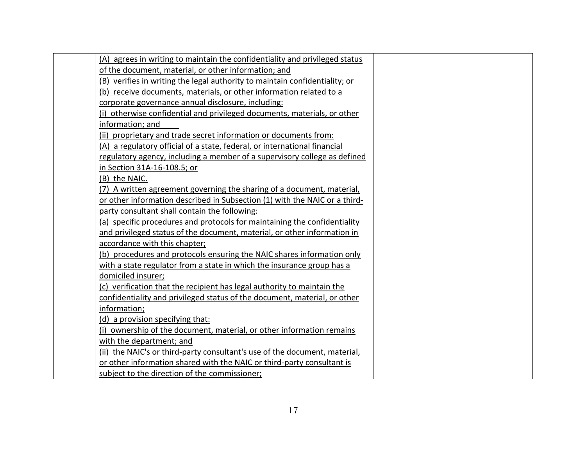| (A) agrees in writing to maintain the confidentiality and privileged status |
|-----------------------------------------------------------------------------|
| of the document, material, or other information; and                        |
| (B) verifies in writing the legal authority to maintain confidentiality; or |
| (b) receive documents, materials, or other information related to a         |
| corporate governance annual disclosure, including:                          |
| (i) otherwise confidential and privileged documents, materials, or other    |
| information; and                                                            |
| (ii) proprietary and trade secret information or documents from:            |
| (A) a regulatory official of a state, federal, or international financial   |
| regulatory agency, including a member of a supervisory college as defined   |
| in Section 31A-16-108.5; or                                                 |
| (B) the NAIC.                                                               |
| (7) A written agreement governing the sharing of a document, material,      |
| or other information described in Subsection (1) with the NAIC or a third-  |
| party consultant shall contain the following:                               |
| (a) specific procedures and protocols for maintaining the confidentiality   |
| and privileged status of the document, material, or other information in    |
| accordance with this chapter;                                               |
| (b) procedures and protocols ensuring the NAIC shares information only      |
| with a state regulator from a state in which the insurance group has a      |
| domiciled insurer;                                                          |
| (c) verification that the recipient has legal authority to maintain the     |
| confidentiality and privileged status of the document, material, or other   |
| information;                                                                |
| (d) a provision specifying that:                                            |
| (i) ownership of the document, material, or other information remains       |
| with the department; and                                                    |
| (ii) the NAIC's or third-party consultant's use of the document, material,  |
| or other information shared with the NAIC or third-party consultant is      |
| subject to the direction of the commissioner;                               |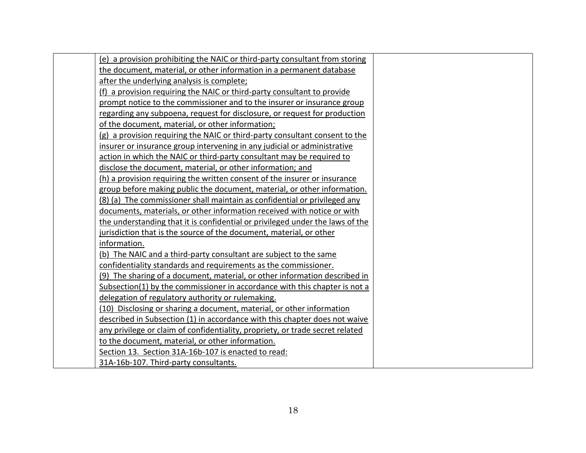| (e) a provision prohibiting the NAIC or third-party consultant from storing   |
|-------------------------------------------------------------------------------|
| the document, material, or other information in a permanent database          |
| after the underlying analysis is complete;                                    |
| (f) a provision requiring the NAIC or third-party consultant to provide       |
| prompt notice to the commissioner and to the insurer or insurance group       |
| regarding any subpoena, request for disclosure, or request for production     |
| of the document, material, or other information;                              |
| (g) a provision requiring the NAIC or third-party consultant consent to the   |
| insurer or insurance group intervening in any judicial or administrative      |
| action in which the NAIC or third-party consultant may be required to         |
| disclose the document, material, or other information; and                    |
| (h) a provision requiring the written consent of the insurer or insurance     |
| group before making public the document, material, or other information.      |
| (8) (a) The commissioner shall maintain as confidential or privileged any     |
| documents, materials, or other information received with notice or with       |
| the understanding that it is confidential or privileged under the laws of the |
| jurisdiction that is the source of the document, material, or other           |
| information.                                                                  |
| (b) The NAIC and a third-party consultant are subject to the same             |
| confidentiality standards and requirements as the commissioner.               |
| (9) The sharing of a document, material, or other information described in    |
| Subsection(1) by the commissioner in accordance with this chapter is not a    |
| delegation of regulatory authority or rulemaking.                             |
| (10) Disclosing or sharing a document, material, or other information         |
| described in Subsection (1) in accordance with this chapter does not waive    |
| any privilege or claim of confidentiality, propriety, or trade secret related |
| to the document, material, or other information.                              |
| Section 13. Section 31A-16b-107 is enacted to read:                           |
| 31A-16b-107. Third-party consultants.                                         |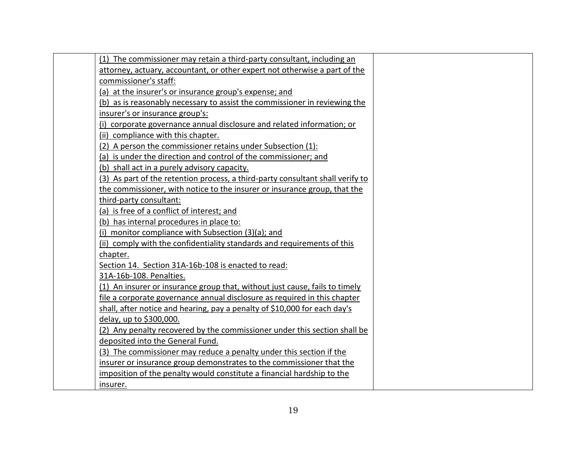| (1) The commissioner may retain a third-party consultant, including an         |
|--------------------------------------------------------------------------------|
| attorney, actuary, accountant, or other expert not otherwise a part of the     |
| commissioner's staff:                                                          |
| (a) at the insurer's or insurance group's expense; and                         |
| (b) as is reasonably necessary to assist the commissioner in reviewing the     |
| insurer's or insurance group's:                                                |
| (i) corporate governance annual disclosure and related information; or         |
| (ii) compliance with this chapter.                                             |
| (2) A person the commissioner retains under Subsection (1):                    |
| (a) is under the direction and control of the commissioner; and                |
| (b) shall act in a purely advisory capacity.                                   |
| (3) As part of the retention process, a third-party consultant shall verify to |
| the commissioner, with notice to the insurer or insurance group, that the      |
| third-party consultant:                                                        |
| (a) is free of a conflict of interest; and                                     |
| (b) has internal procedures in place to:                                       |
| (i) monitor compliance with Subsection (3)(a); and                             |
| (ii) comply with the confidentiality standards and requirements of this        |
| chapter.                                                                       |
| Section 14. Section 31A-16b-108 is enacted to read:                            |
| 31A-16b-108. Penalties.                                                        |
| (1) An insurer or insurance group that, without just cause, fails to timely    |
| file a corporate governance annual disclosure as required in this chapter      |
| shall, after notice and hearing, pay a penalty of \$10,000 for each day's      |
| delay, up to \$300,000.                                                        |
| (2) Any penalty recovered by the commissioner under this section shall be      |
| deposited into the General Fund.                                               |
| (3) The commissioner may reduce a penalty under this section if the            |
| insurer or insurance group demonstrates to the commissioner that the           |
| imposition of the penalty would constitute a financial hardship to the         |
| insurer.                                                                       |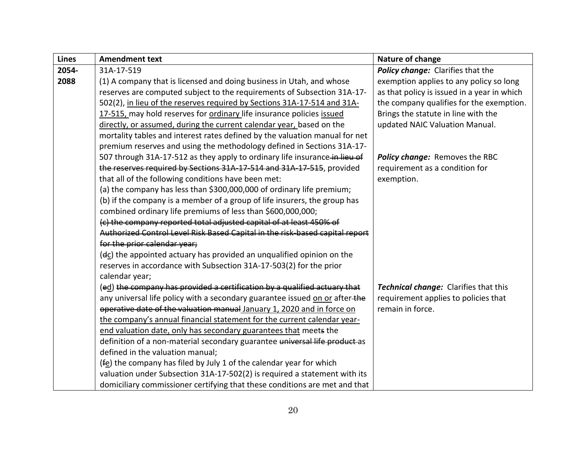| <b>Lines</b> | <b>Amendment text</b>                                                        | Nature of change                            |
|--------------|------------------------------------------------------------------------------|---------------------------------------------|
| 2054-        | 31A-17-519                                                                   | Policy change: Clarifies that the           |
| 2088         | (1) A company that is licensed and doing business in Utah, and whose         | exemption applies to any policy so long     |
|              | reserves are computed subject to the requirements of Subsection 31A-17-      | as that policy is issued in a year in which |
|              | 502(2), in lieu of the reserves required by Sections 31A-17-514 and 31A-     | the company qualifies for the exemption.    |
|              | 17-515, may hold reserves for ordinary life insurance policies issued        | Brings the statute in line with the         |
|              | directly, or assumed, during the current calendar year, based on the         | updated NAIC Valuation Manual.              |
|              | mortality tables and interest rates defined by the valuation manual for net  |                                             |
|              | premium reserves and using the methodology defined in Sections 31A-17-       |                                             |
|              | 507 through 31A-17-512 as they apply to ordinary life insurance-in-lieu of   | Policy change: Removes the RBC              |
|              | the reserves required by Sections 31A 17 514 and 31A 17 515, provided        | requirement as a condition for              |
|              | that all of the following conditions have been met:                          | exemption.                                  |
|              | (a) the company has less than \$300,000,000 of ordinary life premium;        |                                             |
|              | (b) if the company is a member of a group of life insurers, the group has    |                                             |
|              | combined ordinary life premiums of less than \$600,000,000;                  |                                             |
|              | (c) the company reported total adjusted capital of at least 450% of          |                                             |
|              | Authorized Control Level Risk Based Capital in the risk-based capital report |                                             |
|              | for the prior calendar year;                                                 |                                             |
|              | (ec) the appointed actuary has provided an unqualified opinion on the        |                                             |
|              | reserves in accordance with Subsection 31A-17-503(2) for the prior           |                                             |
|              | calendar year;                                                               |                                             |
|              | (ed) the company has provided a certification by a qualified actuary that    | Technical change: Clarifies that this       |
|              | any universal life policy with a secondary guarantee issued on or after-the  | requirement applies to policies that        |
|              | operative date of the valuation manual January 1, 2020 and in force on       | remain in force.                            |
|              | the company's annual financial statement for the current calendar year-      |                                             |
|              | end valuation date, only has secondary guarantees that meets the             |                                             |
|              | definition of a non-material secondary guarantee universal life product as   |                                             |
|              | defined in the valuation manual;                                             |                                             |
|              | (fe) the company has filed by July 1 of the calendar year for which          |                                             |
|              | valuation under Subsection 31A-17-502(2) is required a statement with its    |                                             |
|              | domiciliary commissioner certifying that these conditions are met and that   |                                             |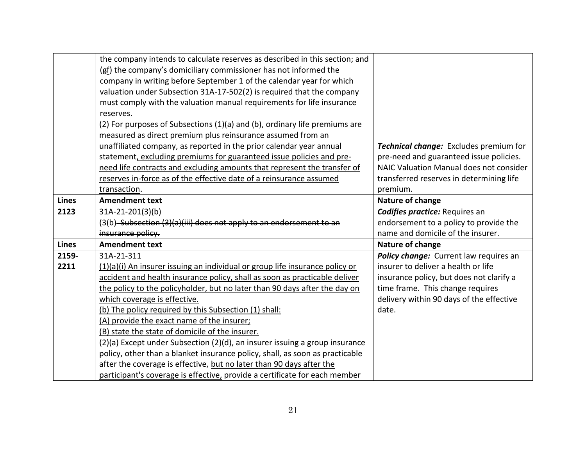|              | the company intends to calculate reserves as described in this section; and  |                                               |
|--------------|------------------------------------------------------------------------------|-----------------------------------------------|
|              | $(gf)$ the company's domiciliary commissioner has not informed the           |                                               |
|              | company in writing before September 1 of the calendar year for which         |                                               |
|              | valuation under Subsection 31A-17-502(2) is required that the company        |                                               |
|              | must comply with the valuation manual requirements for life insurance        |                                               |
|              | reserves.                                                                    |                                               |
|              | (2) For purposes of Subsections (1)(a) and (b), ordinary life premiums are   |                                               |
|              | measured as direct premium plus reinsurance assumed from an                  |                                               |
|              | unaffiliated company, as reported in the prior calendar year annual          | <b>Technical change:</b> Excludes premium for |
|              | statement, excluding premiums for guaranteed issue policies and pre-         | pre-need and guaranteed issue policies.       |
|              | need life contracts and excluding amounts that represent the transfer of     | NAIC Valuation Manual does not consider       |
|              | reserves in-force as of the effective date of a reinsurance assumed          | transferred reserves in determining life      |
|              | transaction.                                                                 | premium.                                      |
| <b>Lines</b> | <b>Amendment text</b>                                                        | Nature of change                              |
| 2123         | 31A-21-201(3)(b)                                                             | <b>Codifies practice: Requires an</b>         |
|              | (3(b) Subsection (3)(a)(iii) does not apply to an endorsement                | endorsement to a policy to provide the        |
|              | insurance policy.                                                            | name and domicile of the insurer.             |
| <b>Lines</b> | <b>Amendment text</b>                                                        | Nature of change                              |
| 2159-        | 31A-21-311                                                                   | Policy change: Current law requires an        |
| 2211         | (1)(a)(i) An insurer issuing an individual or group life insurance policy or | insurer to deliver a health or life           |
|              | accident and health insurance policy, shall as soon as practicable deliver   | insurance policy, but does not clarify a      |
|              | the policy to the policyholder, but no later than 90 days after the day on   | time frame. This change requires              |
|              | which coverage is effective.                                                 | delivery within 90 days of the effective      |
|              | (b) The policy required by this Subsection (1) shall:                        | date.                                         |
|              | (A) provide the exact name of the insurer;                                   |                                               |
|              | (B) state the state of domicile of the insurer.                              |                                               |
|              | (2)(a) Except under Subsection (2)(d), an insurer issuing a group insurance  |                                               |
|              | policy, other than a blanket insurance policy, shall, as soon as practicable |                                               |
|              | after the coverage is effective, but no later than 90 days after the         |                                               |
|              | participant's coverage is effective, provide a certificate for each member   |                                               |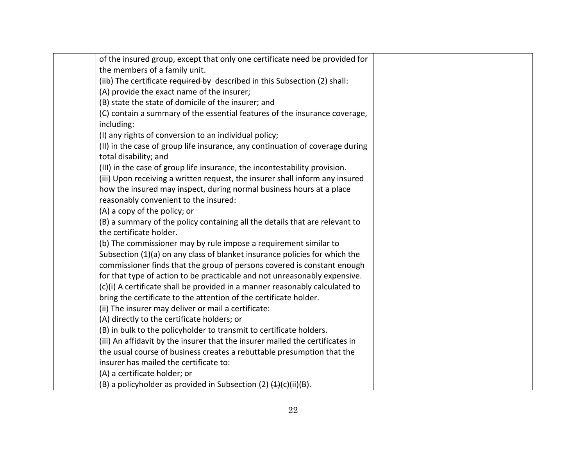| of the insured group, except that only one certificate need be provided for   |  |
|-------------------------------------------------------------------------------|--|
| the members of a family unit.                                                 |  |
| (iib) The certificate required by described in this Subsection (2) shall:     |  |
| (A) provide the exact name of the insurer;                                    |  |
| (B) state the state of domicile of the insurer; and                           |  |
| (C) contain a summary of the essential features of the insurance coverage,    |  |
| including:                                                                    |  |
| (I) any rights of conversion to an individual policy;                         |  |
| (II) in the case of group life insurance, any continuation of coverage during |  |
| total disability; and                                                         |  |
| (III) in the case of group life insurance, the incontestability provision.    |  |
| (iii) Upon receiving a written request, the insurer shall inform any insured  |  |
| how the insured may inspect, during normal business hours at a place          |  |
| reasonably convenient to the insured:                                         |  |
| (A) a copy of the policy; or                                                  |  |
| (B) a summary of the policy containing all the details that are relevant to   |  |
| the certificate holder.                                                       |  |
| (b) The commissioner may by rule impose a requirement similar to              |  |
| Subsection (1)(a) on any class of blanket insurance policies for which the    |  |
| commissioner finds that the group of persons covered is constant enough       |  |
| for that type of action to be practicable and not unreasonably expensive.     |  |
| (c)(i) A certificate shall be provided in a manner reasonably calculated to   |  |
| bring the certificate to the attention of the certificate holder.             |  |
| (ii) The insurer may deliver or mail a certificate:                           |  |
| (A) directly to the certificate holders; or                                   |  |
| (B) in bulk to the policyholder to transmit to certificate holders.           |  |
| (iii) An affidavit by the insurer that the insurer mailed the certificates in |  |
| the usual course of business creates a rebuttable presumption that the        |  |
| insurer has mailed the certificate to:                                        |  |
| (A) a certificate holder; or                                                  |  |
| (B) a policyholder as provided in Subsection (2) $(4)$ (c)(ii)(B).            |  |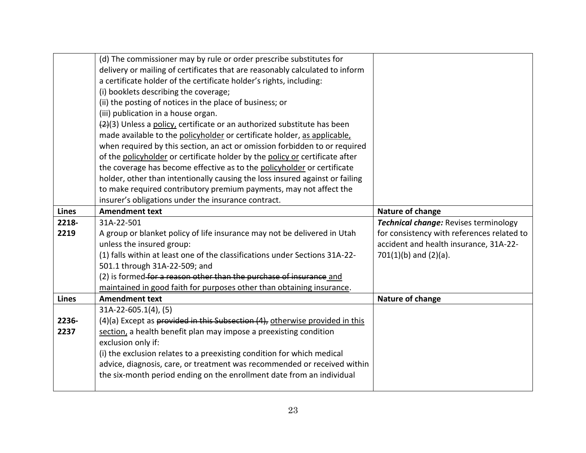|              | (d) The commissioner may by rule or order prescribe substitutes for          |                                            |
|--------------|------------------------------------------------------------------------------|--------------------------------------------|
|              | delivery or mailing of certificates that are reasonably calculated to inform |                                            |
|              | a certificate holder of the certificate holder's rights, including:          |                                            |
|              | (i) booklets describing the coverage;                                        |                                            |
|              | (ii) the posting of notices in the place of business; or                     |                                            |
|              | (iii) publication in a house organ.                                          |                                            |
|              | (2)(3) Unless a policy, certificate or an authorized substitute has been     |                                            |
|              | made available to the policyholder or certificate holder, as applicable,     |                                            |
|              | when required by this section, an act or omission forbidden to or required   |                                            |
|              | of the policyholder or certificate holder by the policy or certificate after |                                            |
|              | the coverage has become effective as to the policyholder or certificate      |                                            |
|              | holder, other than intentionally causing the loss insured against or failing |                                            |
|              | to make required contributory premium payments, may not affect the           |                                            |
|              | insurer's obligations under the insurance contract.                          |                                            |
| <b>Lines</b> | <b>Amendment text</b>                                                        | Nature of change                           |
|              |                                                                              |                                            |
| 2218-        | 31A-22-501                                                                   | Technical change: Revises terminology      |
| 2219         | A group or blanket policy of life insurance may not be delivered in Utah     | for consistency with references related to |
|              | unless the insured group:                                                    | accident and health insurance, 31A-22-     |
|              | (1) falls within at least one of the classifications under Sections 31A-22-  | $701(1)(b)$ and $(2)(a)$ .                 |
|              | 501.1 through 31A-22-509; and                                                |                                            |
|              | (2) is formed for a reason other than the purchase of insurance and          |                                            |
|              | maintained in good faith for purposes other than obtaining insurance.        |                                            |
| <b>Lines</b> | <b>Amendment text</b>                                                        | Nature of change                           |
|              | $31A-22-605.1(4)$ , (5)                                                      |                                            |
| 2236-        | (4)(a) Except as provided in this Subsection (4), otherwise provided in this |                                            |
| 2237         | section, a health benefit plan may impose a preexisting condition            |                                            |
|              | exclusion only if:                                                           |                                            |
|              | (i) the exclusion relates to a preexisting condition for which medical       |                                            |
|              | advice, diagnosis, care, or treatment was recommended or received within     |                                            |
|              | the six-month period ending on the enrollment date from an individual        |                                            |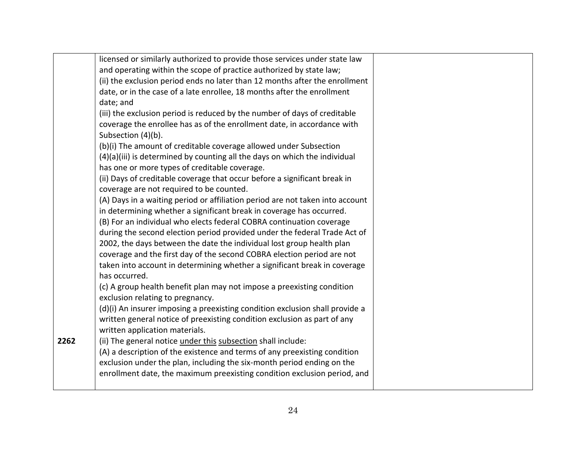|      | licensed or similarly authorized to provide those services under state law    |  |
|------|-------------------------------------------------------------------------------|--|
|      | and operating within the scope of practice authorized by state law;           |  |
|      | (ii) the exclusion period ends no later than 12 months after the enrollment   |  |
|      | date, or in the case of a late enrollee, 18 months after the enrollment       |  |
|      | date; and                                                                     |  |
|      | (iii) the exclusion period is reduced by the number of days of creditable     |  |
|      | coverage the enrollee has as of the enrollment date, in accordance with       |  |
|      | Subsection (4)(b).                                                            |  |
|      | (b)(i) The amount of creditable coverage allowed under Subsection             |  |
|      | (4)(a)(iii) is determined by counting all the days on which the individual    |  |
|      | has one or more types of creditable coverage.                                 |  |
|      | (ii) Days of creditable coverage that occur before a significant break in     |  |
|      | coverage are not required to be counted.                                      |  |
|      | (A) Days in a waiting period or affiliation period are not taken into account |  |
|      | in determining whether a significant break in coverage has occurred.          |  |
|      | (B) For an individual who elects federal COBRA continuation coverage          |  |
|      | during the second election period provided under the federal Trade Act of     |  |
|      | 2002, the days between the date the individual lost group health plan         |  |
|      | coverage and the first day of the second COBRA election period are not        |  |
|      | taken into account in determining whether a significant break in coverage     |  |
|      | has occurred.                                                                 |  |
|      | (c) A group health benefit plan may not impose a preexisting condition        |  |
|      | exclusion relating to pregnancy.                                              |  |
|      | (d)(i) An insurer imposing a preexisting condition exclusion shall provide a  |  |
|      | written general notice of preexisting condition exclusion as part of any      |  |
|      | written application materials.                                                |  |
| 2262 | (ii) The general notice under this subsection shall include:                  |  |
|      | (A) a description of the existence and terms of any preexisting condition     |  |
|      | exclusion under the plan, including the six-month period ending on the        |  |
|      | enrollment date, the maximum preexisting condition exclusion period, and      |  |
|      |                                                                               |  |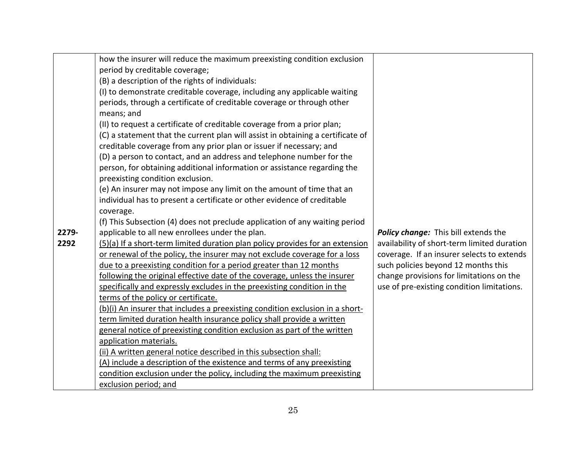|       | how the insurer will reduce the maximum preexisting condition exclusion         |                                             |
|-------|---------------------------------------------------------------------------------|---------------------------------------------|
|       | period by creditable coverage;                                                  |                                             |
|       | (B) a description of the rights of individuals:                                 |                                             |
|       | (I) to demonstrate creditable coverage, including any applicable waiting        |                                             |
|       | periods, through a certificate of creditable coverage or through other          |                                             |
|       | means; and                                                                      |                                             |
|       | (II) to request a certificate of creditable coverage from a prior plan;         |                                             |
|       | (C) a statement that the current plan will assist in obtaining a certificate of |                                             |
|       | creditable coverage from any prior plan or issuer if necessary; and             |                                             |
|       | (D) a person to contact, and an address and telephone number for the            |                                             |
|       | person, for obtaining additional information or assistance regarding the        |                                             |
|       | preexisting condition exclusion.                                                |                                             |
|       | (e) An insurer may not impose any limit on the amount of time that an           |                                             |
|       | individual has to present a certificate or other evidence of creditable         |                                             |
|       | coverage.                                                                       |                                             |
|       | (f) This Subsection (4) does not preclude application of any waiting period     |                                             |
| 2279- | applicable to all new enrollees under the plan.                                 | Policy change: This bill extends the        |
| 2292  | (5)(a) If a short-term limited duration plan policy provides for an extension   | availability of short-term limited duration |
|       | or renewal of the policy, the insurer may not exclude coverage for a loss       | coverage. If an insurer selects to extends  |
|       | due to a preexisting condition for a period greater than 12 months              | such policies beyond 12 months this         |
|       | following the original effective date of the coverage, unless the insurer       | change provisions for limitations on the    |
|       | specifically and expressly excludes in the preexisting condition in the         | use of pre-existing condition limitations.  |
|       | terms of the policy or certificate.                                             |                                             |
|       | (b)(i) An insurer that includes a preexisting condition exclusion in a short-   |                                             |
|       | term limited duration health insurance policy shall provide a written           |                                             |
|       | general notice of preexisting condition exclusion as part of the written        |                                             |
|       | application materials.                                                          |                                             |
|       | (ii) A written general notice described in this subsection shall:               |                                             |
|       | (A) include a description of the existence and terms of any preexisting         |                                             |
|       | condition exclusion under the policy, including the maximum preexisting         |                                             |
|       | exclusion period; and                                                           |                                             |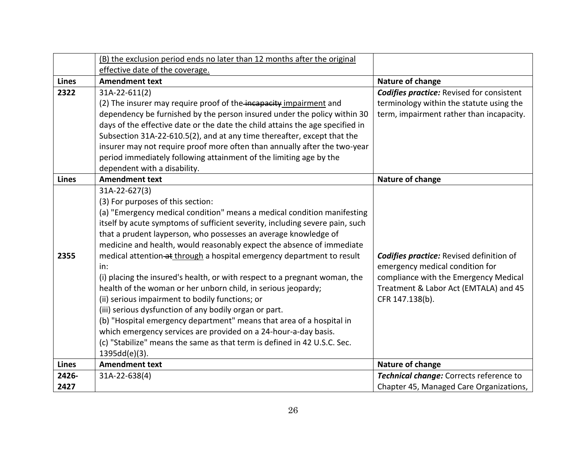|              | (B) the exclusion period ends no later than 12 months after the original      |                                                  |
|--------------|-------------------------------------------------------------------------------|--------------------------------------------------|
|              | effective date of the coverage.                                               |                                                  |
| <b>Lines</b> | <b>Amendment text</b>                                                         | Nature of change                                 |
| 2322         | 31A-22-611(2)                                                                 | <b>Codifies practice:</b> Revised for consistent |
|              | (2) The insurer may require proof of the incapacity impairment and            | terminology within the statute using the         |
|              | dependency be furnished by the person insured under the policy within 30      | term, impairment rather than incapacity.         |
|              | days of the effective date or the date the child attains the age specified in |                                                  |
|              | Subsection 31A-22-610.5(2), and at any time thereafter, except that the       |                                                  |
|              | insurer may not require proof more often than annually after the two-year     |                                                  |
|              | period immediately following attainment of the limiting age by the            |                                                  |
|              | dependent with a disability.                                                  |                                                  |
| <b>Lines</b> | <b>Amendment text</b>                                                         | Nature of change                                 |
|              | 31A-22-627(3)                                                                 |                                                  |
|              | (3) For purposes of this section:                                             |                                                  |
|              | (a) "Emergency medical condition" means a medical condition manifesting       |                                                  |
|              | itself by acute symptoms of sufficient severity, including severe pain, such  |                                                  |
|              | that a prudent layperson, who possesses an average knowledge of               |                                                  |
|              | medicine and health, would reasonably expect the absence of immediate         |                                                  |
| 2355         | medical attention at through a hospital emergency department to result        | <b>Codifies practice:</b> Revised definition of  |
|              | in:                                                                           | emergency medical condition for                  |
|              | (i) placing the insured's health, or with respect to a pregnant woman, the    | compliance with the Emergency Medical            |
|              | health of the woman or her unborn child, in serious jeopardy;                 | Treatment & Labor Act (EMTALA) and 45            |
|              | (ii) serious impairment to bodily functions; or                               | CFR 147.138(b).                                  |
|              | (iii) serious dysfunction of any bodily organ or part.                        |                                                  |
|              | (b) "Hospital emergency department" means that area of a hospital in          |                                                  |
|              | which emergency services are provided on a 24-hour-a-day basis.               |                                                  |
|              | (c) "Stabilize" means the same as that term is defined in 42 U.S.C. Sec.      |                                                  |
|              | 1395dd(e)(3).                                                                 |                                                  |
| <b>Lines</b> | <b>Amendment text</b>                                                         | Nature of change                                 |
| 2426-        | 31A-22-638(4)                                                                 | Technical change: Corrects reference to          |
| 2427         |                                                                               | Chapter 45, Managed Care Organizations,          |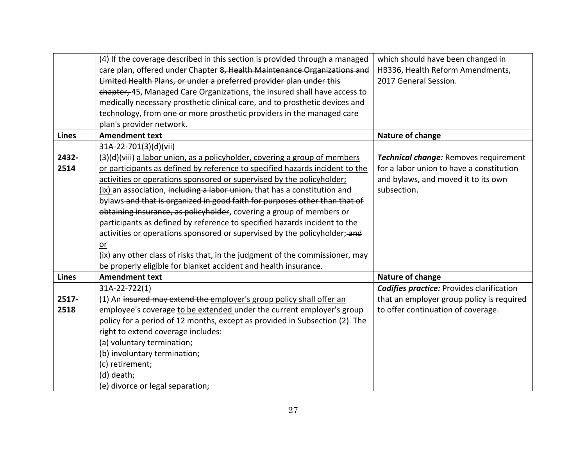|               | (4) If the coverage described in this section is provided through a managed<br>care plan, offered under Chapter 8, Health Maintenance Organizations and<br>Limited Health Plans, or under a preferred provider plan under this<br>chapter, 45, Managed Care Organizations, the insured shall have access to<br>medically necessary prosthetic clinical care, and to prosthetic devices and                                                                                                                                                                                                                                                                                                                                                                                                                           | which should have been changed in<br>HB336, Health Reform Amendments,<br>2017 General Session.                                          |
|---------------|----------------------------------------------------------------------------------------------------------------------------------------------------------------------------------------------------------------------------------------------------------------------------------------------------------------------------------------------------------------------------------------------------------------------------------------------------------------------------------------------------------------------------------------------------------------------------------------------------------------------------------------------------------------------------------------------------------------------------------------------------------------------------------------------------------------------|-----------------------------------------------------------------------------------------------------------------------------------------|
|               | technology, from one or more prosthetic providers in the managed care<br>plan's provider network.                                                                                                                                                                                                                                                                                                                                                                                                                                                                                                                                                                                                                                                                                                                    |                                                                                                                                         |
| <b>Lines</b>  | <b>Amendment text</b>                                                                                                                                                                                                                                                                                                                                                                                                                                                                                                                                                                                                                                                                                                                                                                                                | Nature of change                                                                                                                        |
| 2432-<br>2514 | 31A-22-701(3)(d)(vii)<br>(3)(d)(viii) a labor union, as a policyholder, covering a group of members<br>or participants as defined by reference to specified hazards incident to the<br>activities or operations sponsored or supervised by the policyholder;<br>(ix) an association, including a labor union, that has a constitution and<br>bylaws-and that is organized in good faith for purposes other than that of<br>obtaining insurance, as policyholder, covering a group of members or<br>participants as defined by reference to specified hazards incident to the<br>activities or operations sponsored or supervised by the policyholder; and<br>$or$<br>(ix) any other class of risks that, in the judgment of the commissioner, may<br>be properly eligible for blanket accident and health insurance. | Technical change: Removes requirement<br>for a labor union to have a constitution<br>and bylaws, and moved it to its own<br>subsection. |
| <b>Lines</b>  | <b>Amendment text</b>                                                                                                                                                                                                                                                                                                                                                                                                                                                                                                                                                                                                                                                                                                                                                                                                | Nature of change                                                                                                                        |
| 2517-<br>2518 | 31A-22-722(1)<br>(1) An insured may extend the employer's group policy shall offer an<br>employee's coverage to be extended under the current employer's group<br>policy for a period of 12 months, except as provided in Subsection (2). The<br>right to extend coverage includes:<br>(a) voluntary termination;<br>(b) involuntary termination;<br>(c) retirement;<br>(d) death;<br>(e) divorce or legal separation;                                                                                                                                                                                                                                                                                                                                                                                               | <b>Codifies practice:</b> Provides clarification<br>that an employer group policy is required<br>to offer continuation of coverage.     |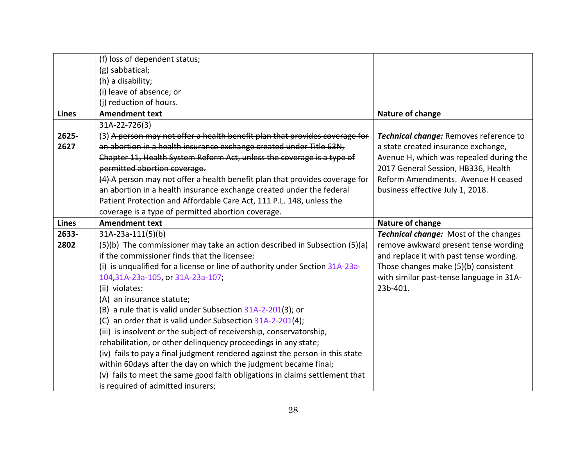|              | (f) loss of dependent status;                                                |                                              |
|--------------|------------------------------------------------------------------------------|----------------------------------------------|
|              | (g) sabbatical;                                                              |                                              |
|              | (h) a disability;                                                            |                                              |
|              | (i) leave of absence; or                                                     |                                              |
|              | (j) reduction of hours.                                                      |                                              |
| <b>Lines</b> | <b>Amendment text</b>                                                        | Nature of change                             |
|              | 31A-22-726(3)                                                                |                                              |
| 2625-        | (3) A person may not offer a health benefit plan that provides coverage for  | Technical change: Removes reference to       |
| 2627         | an abortion in a health insurance exchange created under Title 63N,          | a state created insurance exchange,          |
|              | Chapter 11, Health System Reform Act, unless the coverage is a type of       | Avenue H, which was repealed during the      |
|              | permitted abortion coverage.                                                 | 2017 General Session, HB336, Health          |
|              | (4) A person may not offer a health benefit plan that provides coverage for  | Reform Amendments. Avenue H ceased           |
|              | an abortion in a health insurance exchange created under the federal         | business effective July 1, 2018.             |
|              | Patient Protection and Affordable Care Act, 111 P.L. 148, unless the         |                                              |
|              | coverage is a type of permitted abortion coverage.                           |                                              |
| <b>Lines</b> | <b>Amendment text</b>                                                        | Nature of change                             |
| 2633-        | 31A-23a-111(5)(b)                                                            | <b>Technical change:</b> Most of the changes |
| 2802         | (5)(b) The commissioner may take an action described in Subsection (5)(a)    | remove awkward present tense wording         |
|              | if the commissioner finds that the licensee:                                 | and replace it with past tense wording.      |
|              | (i) is unqualified for a license or line of authority under Section 31A-23a- | Those changes make (5)(b) consistent         |
|              | 104,31A-23a-105, or 31A-23a-107;                                             | with similar past-tense language in 31A-     |
|              | (ii) violates:                                                               | 23b-401.                                     |
|              | (A) an insurance statute;                                                    |                                              |
|              | (B) a rule that is valid under Subsection 31A-2-201(3); or                   |                                              |
|              | (C) an order that is valid under Subsection 31A-2-201(4);                    |                                              |
|              | (iii) is insolvent or the subject of receivership, conservatorship,          |                                              |
|              | rehabilitation, or other delinquency proceedings in any state;               |                                              |
|              | (iv) fails to pay a final judgment rendered against the person in this state |                                              |
|              | within 60days after the day on which the judgment became final;              |                                              |
|              |                                                                              |                                              |
|              | (v) fails to meet the same good faith obligations in claims settlement that  |                                              |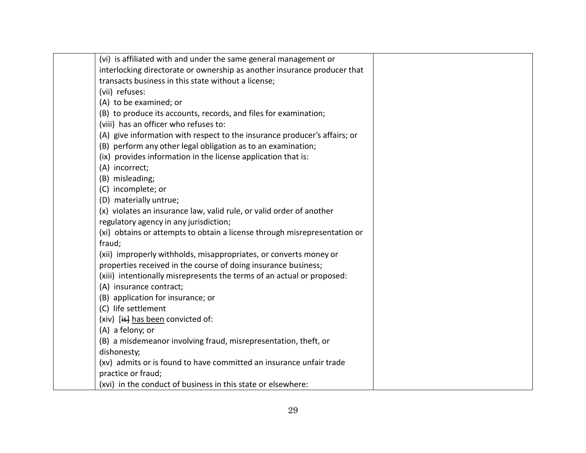| (vi) is affiliated with and under the same general management or          |  |
|---------------------------------------------------------------------------|--|
| interlocking directorate or ownership as another insurance producer that  |  |
| transacts business in this state without a license;                       |  |
| (vii) refuses:                                                            |  |
| (A) to be examined; or                                                    |  |
| (B) to produce its accounts, records, and files for examination;          |  |
| (viii) has an officer who refuses to:                                     |  |
| (A) give information with respect to the insurance producer's affairs; or |  |
| (B) perform any other legal obligation as to an examination;              |  |
| (ix) provides information in the license application that is:             |  |
| (A) incorrect;                                                            |  |
| (B) misleading;                                                           |  |
| (C) incomplete; or                                                        |  |
| (D) materially untrue;                                                    |  |
| (x) violates an insurance law, valid rule, or valid order of another      |  |
| regulatory agency in any jurisdiction;                                    |  |
| (xi) obtains or attempts to obtain a license through misrepresentation or |  |
| fraud;                                                                    |  |
| (xii) improperly withholds, misappropriates, or converts money or         |  |
| properties received in the course of doing insurance business;            |  |
| (xiii) intentionally misrepresents the terms of an actual or proposed:    |  |
| (A) insurance contract;                                                   |  |
| (B) application for insurance; or                                         |  |
| (C) life settlement                                                       |  |
| (xiv) [is] has been convicted of:                                         |  |
| (A) a felony; or                                                          |  |
| (B) a misdemeanor involving fraud, misrepresentation, theft, or           |  |
| dishonesty;                                                               |  |
| (xv) admits or is found to have committed an insurance unfair trade       |  |
| practice or fraud;                                                        |  |
| (xvi) in the conduct of business in this state or elsewhere:              |  |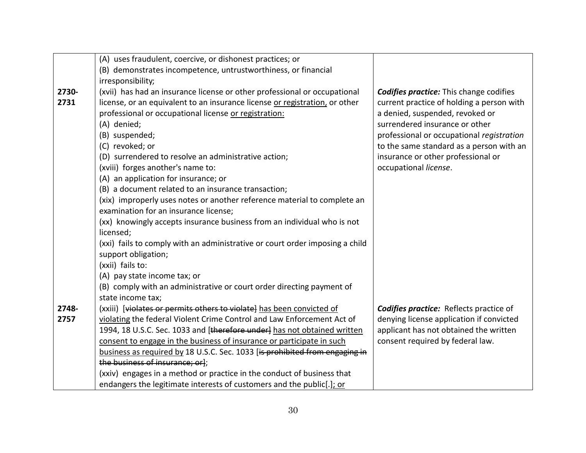|       | (A) uses fraudulent, coercive, or dishonest practices; or                    |                                                |
|-------|------------------------------------------------------------------------------|------------------------------------------------|
|       | (B) demonstrates incompetence, untrustworthiness, or financial               |                                                |
|       | irresponsibility;                                                            |                                                |
| 2730- | (xvii) has had an insurance license or other professional or occupational    | <b>Codifies practice:</b> This change codifies |
| 2731  | license, or an equivalent to an insurance license or registration, or other  | current practice of holding a person with      |
|       | professional or occupational license or registration:                        | a denied, suspended, revoked or                |
|       | (A) denied;                                                                  | surrendered insurance or other                 |
|       | (B) suspended;                                                               | professional or occupational registration      |
|       | (C) revoked; or                                                              | to the same standard as a person with an       |
|       | (D) surrendered to resolve an administrative action;                         | insurance or other professional or             |
|       | (xviii) forges another's name to:                                            | occupational license.                          |
|       | (A) an application for insurance; or                                         |                                                |
|       | (B) a document related to an insurance transaction;                          |                                                |
|       | (xix) improperly uses notes or another reference material to complete an     |                                                |
|       | examination for an insurance license;                                        |                                                |
|       | (xx) knowingly accepts insurance business from an individual who is not      |                                                |
|       | licensed;                                                                    |                                                |
|       | (xxi) fails to comply with an administrative or court order imposing a child |                                                |
|       | support obligation;                                                          |                                                |
|       | (xxii) fails to:                                                             |                                                |
|       | (A) pay state income tax; or                                                 |                                                |
|       | (B) comply with an administrative or court order directing payment of        |                                                |
|       | state income tax;                                                            |                                                |
| 2748- | (xxiii) [violates or permits others to violate] has been convicted of        | <b>Codifies practice:</b> Reflects practice of |
| 2757  | violating the federal Violent Crime Control and Law Enforcement Act of       | denying license application if convicted       |
|       | 1994, 18 U.S.C. Sec. 1033 and [therefore under] has not obtained written     | applicant has not obtained the written         |
|       | consent to engage in the business of insurance or participate in such        | consent required by federal law.               |
|       | business as required by 18 U.S.C. Sec. 1033 [is prohibited from engaging in  |                                                |
|       | the business of insurance; or];                                              |                                                |
|       | (xxiv) engages in a method or practice in the conduct of business that       |                                                |
|       | endangers the legitimate interests of customers and the public[.]; or        |                                                |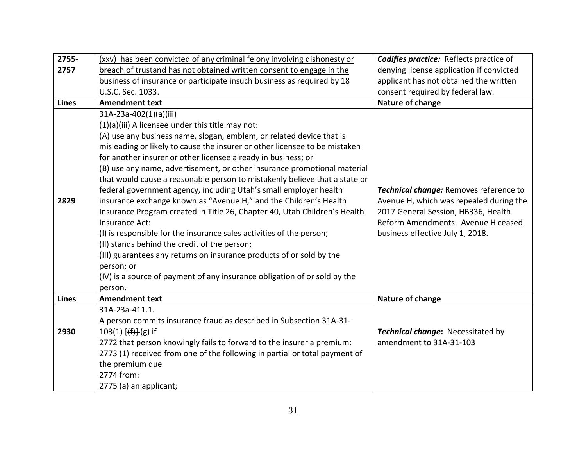| 2755-        | (xxv) has been convicted of any criminal felony involving dishonesty or    | <b>Codifies practice:</b> Reflects practice of |
|--------------|----------------------------------------------------------------------------|------------------------------------------------|
| 2757         | breach of trustand has not obtained written consent to engage in the       | denying license application if convicted       |
|              | business of insurance or participate insuch business as required by 18     | applicant has not obtained the written         |
|              | U.S.C. Sec. 1033.                                                          | consent required by federal law.               |
| <b>Lines</b> | <b>Amendment text</b>                                                      | Nature of change                               |
|              | 31A-23a-402(1)(a)(iii)                                                     |                                                |
|              | (1)(a)(iii) A licensee under this title may not:                           |                                                |
|              | (A) use any business name, slogan, emblem, or related device that is       |                                                |
|              | misleading or likely to cause the insurer or other licensee to be mistaken |                                                |
|              | for another insurer or other licensee already in business; or              |                                                |
|              | (B) use any name, advertisement, or other insurance promotional material   |                                                |
|              | that would cause a reasonable person to mistakenly believe that a state or |                                                |
|              | federal government agency, including Utah's small employer health          | Technical change: Removes reference to         |
| 2829         | insurance exchange known as "Avenue H," and the Children's Health          | Avenue H, which was repealed during the        |
|              | Insurance Program created in Title 26, Chapter 40, Utah Children's Health  | 2017 General Session, HB336, Health            |
|              | Insurance Act:                                                             | Reform Amendments. Avenue H ceased             |
|              | (I) is responsible for the insurance sales activities of the person;       | business effective July 1, 2018.               |
|              | (II) stands behind the credit of the person;                               |                                                |
|              | (III) guarantees any returns on insurance products of or sold by the       |                                                |
|              | person; or                                                                 |                                                |
|              | (IV) is a source of payment of any insurance obligation of or sold by the  |                                                |
|              | person.                                                                    |                                                |
| <b>Lines</b> | <b>Amendment text</b>                                                      | Nature of change                               |
|              | 31A-23a-411.1.                                                             |                                                |
|              | A person commits insurance fraud as described in Subsection 31A-31-        |                                                |
| 2930         | $103(1)$ [ $(H)$ ] (g) if                                                  | Technical change: Necessitated by              |
|              | 2772 that person knowingly fails to forward to the insurer a premium:      | amendment to 31A-31-103                        |
|              | 2773 (1) received from one of the following in partial or total payment of |                                                |
|              | the premium due                                                            |                                                |
|              | 2774 from:                                                                 |                                                |
|              | 2775 (a) an applicant;                                                     |                                                |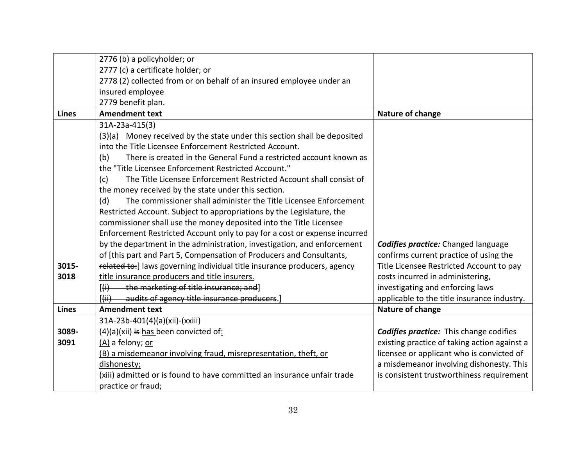|              | 2776 (b) a policyholder; or                                                |                                                |
|--------------|----------------------------------------------------------------------------|------------------------------------------------|
|              | 2777 (c) a certificate holder; or                                          |                                                |
|              | 2778 (2) collected from or on behalf of an insured employee under an       |                                                |
|              | insured employee                                                           |                                                |
|              | 2779 benefit plan.                                                         |                                                |
| <b>Lines</b> | <b>Amendment text</b>                                                      | Nature of change                               |
|              |                                                                            |                                                |
|              | 31A-23a-415(3)                                                             |                                                |
|              | (3)(a) Money received by the state under this section shall be deposited   |                                                |
|              | into the Title Licensee Enforcement Restricted Account.                    |                                                |
|              | There is created in the General Fund a restricted account known as<br>(b)  |                                                |
|              | the "Title Licensee Enforcement Restricted Account."                       |                                                |
|              | The Title Licensee Enforcement Restricted Account shall consist of<br>(c)  |                                                |
|              | the money received by the state under this section.                        |                                                |
|              | The commissioner shall administer the Title Licensee Enforcement<br>(d)    |                                                |
|              | Restricted Account. Subject to appropriations by the Legislature, the      |                                                |
|              | commissioner shall use the money deposited into the Title Licensee         |                                                |
|              | Enforcement Restricted Account only to pay for a cost or expense incurred  |                                                |
|              | by the department in the administration, investigation, and enforcement    | <b>Codifies practice:</b> Changed language     |
|              | of [this part and Part 5, Compensation of Producers and Consultants,       | confirms current practice of using the         |
| 3015-        | related to:] laws governing individual title insurance producers, agency   | Title Licensee Restricted Account to pay       |
| 3018         | title insurance producers and title insurers.                              | costs incurred in administering,               |
|              | [(i) the marketing of title insurance; and]                                | investigating and enforcing laws               |
|              | audits of agency title insurance producers.<br>$\overline{(\overline{u})}$ | applicable to the title insurance industry.    |
| <b>Lines</b> | <b>Amendment text</b>                                                      | Nature of change                               |
|              | 31A-23b-401(4)(a)(xii)-(xxiii)                                             |                                                |
| 3089-        | $(4)(a)(xii)$ is has been convicted of:                                    | <b>Codifies practice:</b> This change codifies |
| 3091         | (A) a felony; or                                                           | existing practice of taking action against a   |
|              | (B) a misdemeanor involving fraud, misrepresentation, theft, or            | licensee or applicant who is convicted of      |
|              | dishonesty;                                                                | a misdemeanor involving dishonesty. This       |
|              | (xiii) admitted or is found to have committed an insurance unfair trade    | is consistent trustworthiness requirement      |
|              | practice or fraud;                                                         |                                                |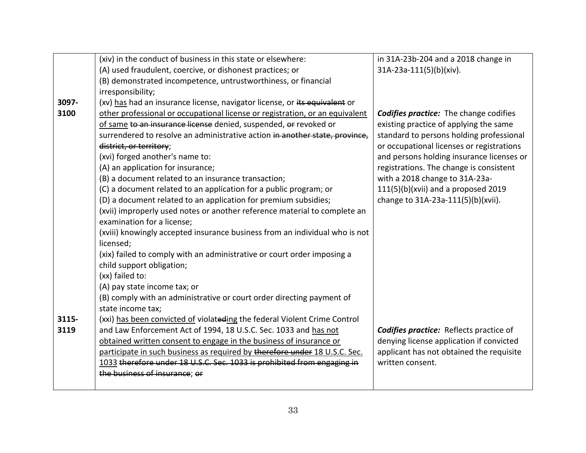|       | (xiv) in the conduct of business in this state or elsewhere:                 | in 31A-23b-204 and a 2018 change in            |
|-------|------------------------------------------------------------------------------|------------------------------------------------|
|       | (A) used fraudulent, coercive, or dishonest practices; or                    | 31A-23a-111(5)(b)(xiv).                        |
|       | (B) demonstrated incompetence, untrustworthiness, or financial               |                                                |
|       | irresponsibility;                                                            |                                                |
| 3097- | (xv) has had an insurance license, navigator license, or its equivalent or   |                                                |
| 3100  | other professional or occupational license or registration, or an equivalent | <b>Codifies practice:</b> The change codifies  |
|       | of same to an insurance license denied, suspended, or revoked or             | existing practice of applying the same         |
|       | surrendered to resolve an administrative action in another state, province,  | standard to persons holding professional       |
|       | district, or territory;                                                      | or occupational licenses or registrations      |
|       | (xvi) forged another's name to:                                              | and persons holding insurance licenses or      |
|       | (A) an application for insurance;                                            | registrations. The change is consistent        |
|       | (B) a document related to an insurance transaction;                          | with a 2018 change to 31A-23a-                 |
|       | (C) a document related to an application for a public program; or            | 111(5)(b)(xvii) and a proposed 2019            |
|       | (D) a document related to an application for premium subsidies;              | change to 31A-23a-111(5)(b)(xvii).             |
|       | (xvii) improperly used notes or another reference material to complete an    |                                                |
|       | examination for a license;                                                   |                                                |
|       | (xviii) knowingly accepted insurance business from an individual who is not  |                                                |
|       | licensed;                                                                    |                                                |
|       | (xix) failed to comply with an administrative or court order imposing a      |                                                |
|       | child support obligation;                                                    |                                                |
|       | (xx) failed to:                                                              |                                                |
|       | (A) pay state income tax; or                                                 |                                                |
|       | (B) comply with an administrative or court order directing payment of        |                                                |
|       | state income tax;                                                            |                                                |
| 3115- | (xxi) has been convicted of violateding the federal Violent Crime Control    |                                                |
| 3119  | and Law Enforcement Act of 1994, 18 U.S.C. Sec. 1033 and has not             | <b>Codifies practice:</b> Reflects practice of |
|       | obtained written consent to engage in the business of insurance or           | denying license application if convicted       |
|       | participate in such business as required by therefore under 18 U.S.C. Sec.   | applicant has not obtained the requisite       |
|       | 1033 therefore under 18 U.S.C. Sec. 1033 is prohibited from engaging in      | written consent.                               |
|       | the business of insurance; or                                                |                                                |
|       |                                                                              |                                                |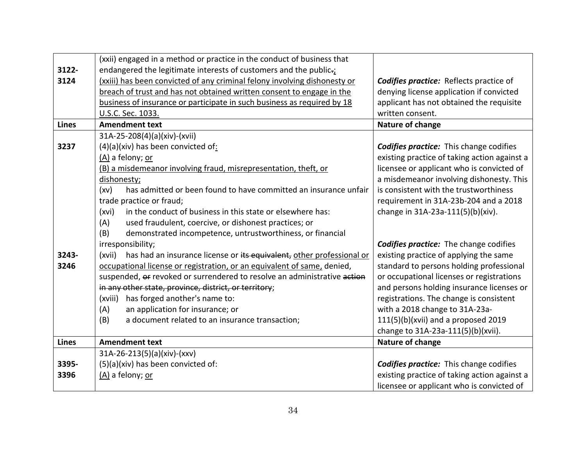|              | (xxii) engaged in a method or practice in the conduct of business that          |                                                |
|--------------|---------------------------------------------------------------------------------|------------------------------------------------|
| 3122-        | endangered the legitimate interests of customers and the public-;               |                                                |
| 3124         | (xxiii) has been convicted of any criminal felony involving dishonesty or       | <b>Codifies practice:</b> Reflects practice of |
|              | breach of trust and has not obtained written consent to engage in the           | denying license application if convicted       |
|              | business of insurance or participate in such business as required by 18         | applicant has not obtained the requisite       |
|              | U.S.C. Sec. 1033.                                                               | written consent.                               |
| <b>Lines</b> | <b>Amendment text</b>                                                           | Nature of change                               |
|              | 31A-25-208(4)(a)(xiv)-(xvii)                                                    |                                                |
| 3237         | $(4)(a)(xiv)$ has been convicted of:                                            | <b>Codifies practice:</b> This change codifies |
|              | (A) a felony; or                                                                | existing practice of taking action against a   |
|              | (B) a misdemeanor involving fraud, misrepresentation, theft, or                 | licensee or applicant who is convicted of      |
|              | dishonesty;                                                                     | a misdemeanor involving dishonesty. This       |
|              | has admitted or been found to have committed an insurance unfair<br>(xv)        | is consistent with the trustworthiness         |
|              | trade practice or fraud;                                                        | requirement in 31A-23b-204 and a 2018          |
|              | in the conduct of business in this state or elsewhere has:<br>(xvi)             | change in 31A-23a-111(5)(b)(xiv).              |
|              | used fraudulent, coercive, or dishonest practices; or<br>(A)                    |                                                |
|              | (B)<br>demonstrated incompetence, untrustworthiness, or financial               |                                                |
|              | irresponsibility;                                                               | <b>Codifies practice:</b> The change codifies  |
| 3243-        | has had an insurance license or its equivalent, other professional or<br>(xvii) | existing practice of applying the same         |
| 3246         | occupational license or registration, or an equivalent of same, denied,         | standard to persons holding professional       |
|              | suspended, or revoked or surrendered to resolve an administrative action        | or occupational licenses or registrations      |
|              | in any other state, province, district, or territory;                           | and persons holding insurance licenses or      |
|              | (xviii) has forged another's name to:                                           | registrations. The change is consistent        |
|              | an application for insurance; or<br>(A)                                         | with a 2018 change to 31A-23a-                 |
|              | a document related to an insurance transaction;<br>(B)                          | 111(5)(b)(xvii) and a proposed 2019            |
|              |                                                                                 | change to 31A-23a-111(5)(b)(xvii).             |
| <b>Lines</b> | <b>Amendment text</b>                                                           | Nature of change                               |
|              | $31A-26-213(5)(a)(xiv)-(xxv)$                                                   |                                                |
| 3395-        | (5)(a)(xiv) has been convicted of:                                              | <b>Codifies practice:</b> This change codifies |
| 3396         | (A) a felony; or                                                                | existing practice of taking action against a   |
|              |                                                                                 | licensee or applicant who is convicted of      |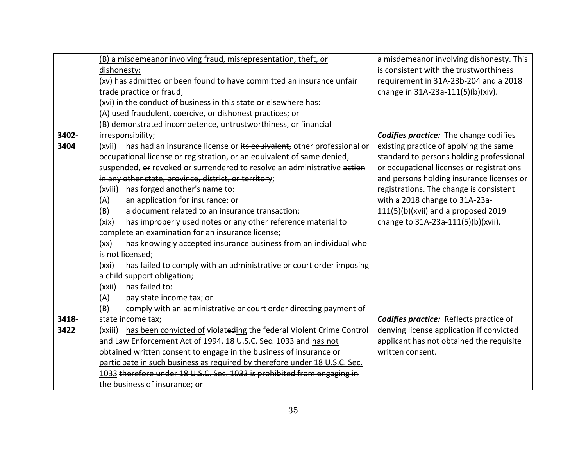|       | (B) a misdemeanor involving fraud, misrepresentation, theft, or              | a misdemeanor involving dishonesty. This       |
|-------|------------------------------------------------------------------------------|------------------------------------------------|
|       | dishonesty;                                                                  | is consistent with the trustworthiness         |
|       | (xv) has admitted or been found to have committed an insurance unfair        | requirement in 31A-23b-204 and a 2018          |
|       | trade practice or fraud;                                                     | change in 31A-23a-111(5)(b)(xiv).              |
|       | (xvi) in the conduct of business in this state or elsewhere has:             |                                                |
|       | (A) used fraudulent, coercive, or dishonest practices; or                    |                                                |
|       | (B) demonstrated incompetence, untrustworthiness, or financial               |                                                |
| 3402- | irresponsibility;                                                            | <b>Codifies practice:</b> The change codifies  |
| 3404  | (xvii) has had an insurance license or its equivalent, other professional or | existing practice of applying the same         |
|       | occupational license or registration, or an equivalent of same denied,       | standard to persons holding professional       |
|       | suspended, or revoked or surrendered to resolve an administrative action     | or occupational licenses or registrations      |
|       | in any other state, province, district, or territory;                        | and persons holding insurance licenses or      |
|       | has forged another's name to:<br>(xviii)                                     | registrations. The change is consistent        |
|       | (A)<br>an application for insurance; or                                      | with a 2018 change to 31A-23a-                 |
|       | a document related to an insurance transaction;<br>(B)                       | 111(5)(b)(xvii) and a proposed 2019            |
|       | has improperly used notes or any other reference material to<br>(xix)        | change to 31A-23a-111(5)(b)(xvii).             |
|       | complete an examination for an insurance license;                            |                                                |
|       | has knowingly accepted insurance business from an individual who<br>(xx)     |                                                |
|       | is not licensed;                                                             |                                                |
|       | has failed to comply with an administrative or court order imposing<br>(xxi) |                                                |
|       | a child support obligation;                                                  |                                                |
|       | has failed to:<br>(xxii)                                                     |                                                |
|       | (A)<br>pay state income tax; or                                              |                                                |
|       | (B)<br>comply with an administrative or court order directing payment of     |                                                |
| 3418- | state income tax;                                                            | <b>Codifies practice:</b> Reflects practice of |
| 3422  | (xxiii) has been convicted of violateding the federal Violent Crime Control  | denying license application if convicted       |
|       | and Law Enforcement Act of 1994, 18 U.S.C. Sec. 1033 and has not             | applicant has not obtained the requisite       |
|       | obtained written consent to engage in the business of insurance or           | written consent.                               |
|       | participate in such business as required by therefore under 18 U.S.C. Sec.   |                                                |
|       | 1033 therefore under 18 U.S.C. Sec. 1033 is prohibited from engaging in      |                                                |
|       | the business of insurance; or                                                |                                                |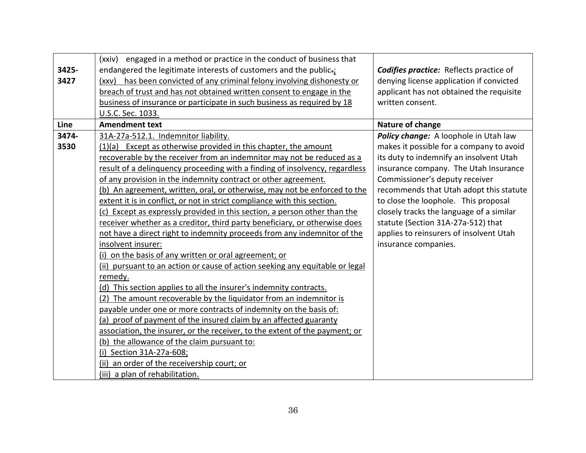| 3425-<br>3427 | (xxiv) engaged in a method or practice in the conduct of business that<br>endangered the legitimate interests of customers and the public-;<br>(xxv) has been convicted of any criminal felony involving dishonesty or<br>breach of trust and has not obtained written consent to engage in the<br>business of insurance or participate in such business as required by 18 | <b>Codifies practice:</b> Reflects practice of<br>denying license application if convicted<br>applicant has not obtained the requisite<br>written consent. |
|---------------|----------------------------------------------------------------------------------------------------------------------------------------------------------------------------------------------------------------------------------------------------------------------------------------------------------------------------------------------------------------------------|------------------------------------------------------------------------------------------------------------------------------------------------------------|
|               | U.S.C. Sec. 1033.                                                                                                                                                                                                                                                                                                                                                          |                                                                                                                                                            |
| Line          | <b>Amendment text</b>                                                                                                                                                                                                                                                                                                                                                      | Nature of change                                                                                                                                           |
| 3474-         | 31A-27a-512.1. Indemnitor liability.                                                                                                                                                                                                                                                                                                                                       | Policy change: A loophole in Utah law                                                                                                                      |
| 3530          | (1)(a) Except as otherwise provided in this chapter, the amount                                                                                                                                                                                                                                                                                                            | makes it possible for a company to avoid                                                                                                                   |
|               | recoverable by the receiver from an indemnitor may not be reduced as a                                                                                                                                                                                                                                                                                                     | its duty to indemnify an insolvent Utah                                                                                                                    |
|               | result of a delinguency proceeding with a finding of insolvency, regardless                                                                                                                                                                                                                                                                                                | insurance company. The Utah Insurance                                                                                                                      |
|               | of any provision in the indemnity contract or other agreement.                                                                                                                                                                                                                                                                                                             | Commissioner's deputy receiver                                                                                                                             |
|               | (b) An agreement, written, oral, or otherwise, may not be enforced to the                                                                                                                                                                                                                                                                                                  | recommends that Utah adopt this statute                                                                                                                    |
|               | extent it is in conflict, or not in strict compliance with this section.                                                                                                                                                                                                                                                                                                   | to close the loophole. This proposal                                                                                                                       |
|               | (c) Except as expressly provided in this section, a person other than the                                                                                                                                                                                                                                                                                                  | closely tracks the language of a similar                                                                                                                   |
|               | receiver whether as a creditor, third party beneficiary, or otherwise does                                                                                                                                                                                                                                                                                                 | statute (Section 31A-27a-512) that                                                                                                                         |
|               | not have a direct right to indemnity proceeds from any indemnitor of the                                                                                                                                                                                                                                                                                                   | applies to reinsurers of insolvent Utah                                                                                                                    |
|               | insolvent insurer:                                                                                                                                                                                                                                                                                                                                                         | insurance companies.                                                                                                                                       |
|               | (i) on the basis of any written or oral agreement; or                                                                                                                                                                                                                                                                                                                      |                                                                                                                                                            |
|               | (ii) pursuant to an action or cause of action seeking any equitable or legal                                                                                                                                                                                                                                                                                               |                                                                                                                                                            |
|               | remedy.                                                                                                                                                                                                                                                                                                                                                                    |                                                                                                                                                            |
|               | (d) This section applies to all the insurer's indemnity contracts.                                                                                                                                                                                                                                                                                                         |                                                                                                                                                            |
|               | (2) The amount recoverable by the liquidator from an indemnitor is                                                                                                                                                                                                                                                                                                         |                                                                                                                                                            |
|               | payable under one or more contracts of indemnity on the basis of:                                                                                                                                                                                                                                                                                                          |                                                                                                                                                            |
|               | (a) proof of payment of the insured claim by an affected guaranty                                                                                                                                                                                                                                                                                                          |                                                                                                                                                            |
|               | association, the insurer, or the receiver, to the extent of the payment; or                                                                                                                                                                                                                                                                                                |                                                                                                                                                            |
|               | (b) the allowance of the claim pursuant to:                                                                                                                                                                                                                                                                                                                                |                                                                                                                                                            |
|               | (i) Section 31A-27a-608;                                                                                                                                                                                                                                                                                                                                                   |                                                                                                                                                            |
|               | (ii) an order of the receivership court; or                                                                                                                                                                                                                                                                                                                                |                                                                                                                                                            |
|               | (iii) a plan of rehabilitation.                                                                                                                                                                                                                                                                                                                                            |                                                                                                                                                            |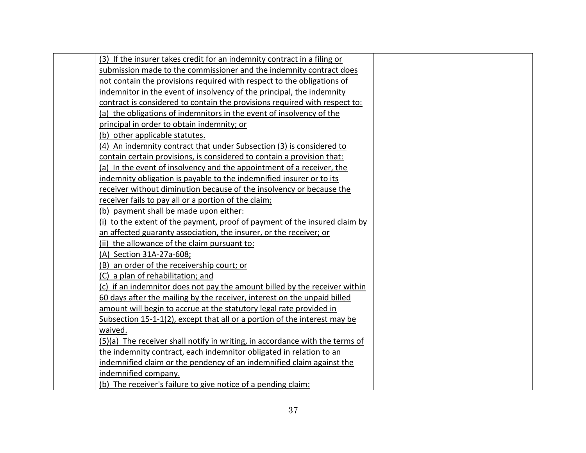| (3) If the insurer takes credit for an indemnity contract in a filing or     |
|------------------------------------------------------------------------------|
| submission made to the commissioner and the indemnity contract does          |
| not contain the provisions required with respect to the obligations of       |
| indemnitor in the event of insolvency of the principal, the indemnity        |
| contract is considered to contain the provisions required with respect to:   |
| (a) the obligations of indemnitors in the event of insolvency of the         |
| principal in order to obtain indemnity; or                                   |
| (b) other applicable statutes.                                               |
| (4) An indemnity contract that under Subsection (3) is considered to         |
| contain certain provisions, is considered to contain a provision that:       |
| (a) In the event of insolvency and the appointment of a receiver, the        |
| indemnity obligation is payable to the indemnified insurer or to its         |
| receiver without diminution because of the insolvency or because the         |
| receiver fails to pay all or a portion of the claim;                         |
| (b) payment shall be made upon either:                                       |
| (i) to the extent of the payment, proof of payment of the insured claim by   |
| an affected guaranty association, the insurer, or the receiver; or           |
| (ii) the allowance of the claim pursuant to:                                 |
| (A) Section 31A-27a-608;                                                     |
| (B) an order of the receivership court; or                                   |
| (C) a plan of rehabilitation; and                                            |
| (c) if an indemnitor does not pay the amount billed by the receiver within   |
| 60 days after the mailing by the receiver, interest on the unpaid billed     |
| amount will begin to accrue at the statutory legal rate provided in          |
| Subsection 15-1-1(2), except that all or a portion of the interest may be    |
| waived.                                                                      |
| (5)(a) The receiver shall notify in writing, in accordance with the terms of |
| the indemnity contract, each indemnitor obligated in relation to an          |
| indemnified claim or the pendency of an indemnified claim against the        |
| indemnified company.                                                         |
| (b) The receiver's failure to give notice of a pending claim:                |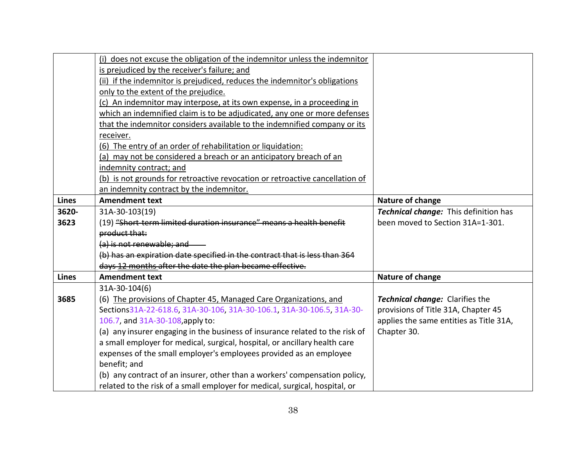|              | (i) does not excuse the obligation of the indemnitor unless the indemnitor                                                                                |                                         |
|--------------|-----------------------------------------------------------------------------------------------------------------------------------------------------------|-----------------------------------------|
|              | is prejudiced by the receiver's failure; and                                                                                                              |                                         |
|              | (ii) if the indemnitor is prejudiced, reduces the indemnitor's obligations                                                                                |                                         |
|              | only to the extent of the prejudice.                                                                                                                      |                                         |
|              | (c) An indemnitor may interpose, at its own expense, in a proceeding in                                                                                   |                                         |
|              | which an indemnified claim is to be adjudicated, any one or more defenses                                                                                 |                                         |
|              | that the indemnitor considers available to the indemnified company or its                                                                                 |                                         |
|              | receiver.                                                                                                                                                 |                                         |
|              | (6) The entry of an order of rehabilitation or liquidation:                                                                                               |                                         |
|              | (a) may not be considered a breach or an anticipatory breach of an                                                                                        |                                         |
|              | indemnity contract; and                                                                                                                                   |                                         |
|              | (b) is not grounds for retroactive revocation or retroactive cancellation of                                                                              |                                         |
|              | an indemnity contract by the indemnitor.                                                                                                                  |                                         |
| <b>Lines</b> | <b>Amendment text</b>                                                                                                                                     | Nature of change                        |
| 3620-        | 31A-30-103(19)                                                                                                                                            | Technical change: This definition has   |
| 3623         | (19) "Short term limited duration insurance" means a health benefit                                                                                       | been moved to Section 31A=1-301.        |
|              | product that:                                                                                                                                             |                                         |
|              | (a) is not renewable; and                                                                                                                                 |                                         |
|              | (b) has an expiration date specified in the contract that is less than 364                                                                                |                                         |
|              | days 12 months after the date the plan became effective.                                                                                                  |                                         |
| <b>Lines</b> | <b>Amendment text</b>                                                                                                                                     | Nature of change                        |
|              | 31A-30-104(6)                                                                                                                                             |                                         |
| 3685         | (6) The provisions of Chapter 45, Managed Care Organizations, and                                                                                         | Technical change: Clarifies the         |
|              | Sections31A-22-618.6, 31A-30-106, 31A-30-106.1, 31A-30-106.5, 31A-30-                                                                                     | provisions of Title 31A, Chapter 45     |
|              | 106.7, and 31A-30-108, apply to:                                                                                                                          | applies the same entities as Title 31A, |
|              | (a) any insurer engaging in the business of insurance related to the risk of                                                                              | Chapter 30.                             |
|              | a small employer for medical, surgical, hospital, or ancillary health care                                                                                |                                         |
|              | expenses of the small employer's employees provided as an employee                                                                                        |                                         |
|              |                                                                                                                                                           |                                         |
|              | benefit; and                                                                                                                                              |                                         |
|              | (b) any contract of an insurer, other than a workers' compensation policy,<br>related to the risk of a small employer for medical, surgical, hospital, or |                                         |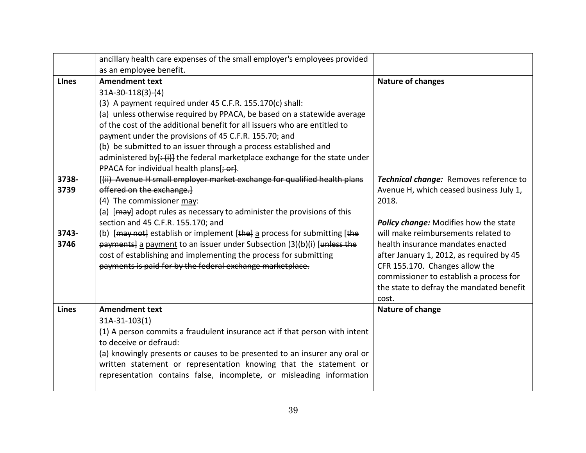|              | ancillary health care expenses of the small employer's employees provided   |                                          |
|--------------|-----------------------------------------------------------------------------|------------------------------------------|
|              | as an employee benefit.                                                     |                                          |
| <b>Lines</b> | <b>Amendment text</b>                                                       | <b>Nature of changes</b>                 |
|              | $31A-30-118(3)-(4)$                                                         |                                          |
|              | (3) A payment required under 45 C.F.R. 155.170(c) shall:                    |                                          |
|              | (a) unless otherwise required by PPACA, be based on a statewide average     |                                          |
|              | of the cost of the additional benefit for all issuers who are entitled to   |                                          |
|              | payment under the provisions of 45 C.F.R. 155.70; and                       |                                          |
|              | (b) be submitted to an issuer through a process established and             |                                          |
|              | administered by[: (i)] the federal marketplace exchange for the state under |                                          |
|              | PPACA for individual health plans[; or].                                    |                                          |
| 3738-        | [(ii) Avenue H small employer market exchange for qualified health plans    | Technical change: Removes reference to   |
| 3739         | offered on the exchange.                                                    | Avenue H, which ceased business July 1,  |
|              | (4) The commissioner may:                                                   | 2018.                                    |
|              | (a) [may] adopt rules as necessary to administer the provisions of this     |                                          |
|              | section and 45 C.F.R. 155.170; and                                          | Policy change: Modifies how the state    |
| 3743-        | (b) [may not] establish or implement [the] a process for submitting [the    | will make reimbursements related to      |
| 3746         | payments] a payment to an issuer under Subsection (3)(b)(i) [unless the     | health insurance mandates enacted        |
|              | cost of establishing and implementing the process for submitting            | after January 1, 2012, as required by 45 |
|              | payments is paid for by the federal exchange marketplace.                   | CFR 155.170. Changes allow the           |
|              |                                                                             | commissioner to establish a process for  |
|              |                                                                             | the state to defray the mandated benefit |
| <b>Lines</b> | <b>Amendment text</b>                                                       | cost.<br>Nature of change                |
|              | $31A-31-103(1)$                                                             |                                          |
|              | (1) A person commits a fraudulent insurance act if that person with intent  |                                          |
|              | to deceive or defraud:                                                      |                                          |
|              | (a) knowingly presents or causes to be presented to an insurer any oral or  |                                          |
|              | written statement or representation knowing that the statement or           |                                          |
|              | representation contains false, incomplete, or misleading information        |                                          |
|              |                                                                             |                                          |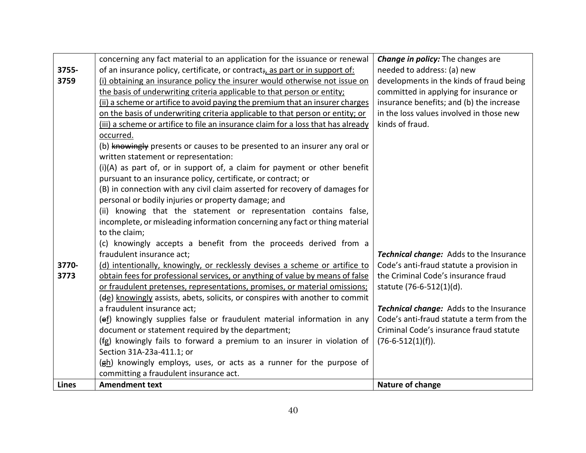|              | concerning any fact material to an application for the issuance or renewal        | <b>Change in policy:</b> The changes are       |
|--------------|-----------------------------------------------------------------------------------|------------------------------------------------|
| 3755-        | of an insurance policy, certificate, or contract; as part or in support of:       | needed to address: (a) new                     |
| 3759         | (i) obtaining an insurance policy the insurer would otherwise not issue on        | developments in the kinds of fraud being       |
|              | the basis of underwriting criteria applicable to that person or entity;           | committed in applying for insurance or         |
|              | (ii) a scheme or artifice to avoid paying the premium that an insurer charges     | insurance benefits; and (b) the increase       |
|              | on the basis of underwriting criteria applicable to that person or entity; or     | in the loss values involved in those new       |
|              | (iii) a scheme or artifice to file an insurance claim for a loss that has already | kinds of fraud.                                |
|              | occurred.                                                                         |                                                |
|              | (b) knowingly presents or causes to be presented to an insurer any oral or        |                                                |
|              | written statement or representation:                                              |                                                |
|              | $(i)(A)$ as part of, or in support of, a claim for payment or other benefit       |                                                |
|              | pursuant to an insurance policy, certificate, or contract; or                     |                                                |
|              | (B) in connection with any civil claim asserted for recovery of damages for       |                                                |
|              | personal or bodily injuries or property damage; and                               |                                                |
|              | (ii) knowing that the statement or representation contains false,                 |                                                |
|              | incomplete, or misleading information concerning any fact or thing material       |                                                |
|              | to the claim;                                                                     |                                                |
|              | (c) knowingly accepts a benefit from the proceeds derived from a                  |                                                |
|              | fraudulent insurance act;                                                         | Technical change: Adds to the Insurance        |
| 3770-        | (d) intentionally, knowingly, or recklessly devises a scheme or artifice to       | Code's anti-fraud statute a provision in       |
| 3773         | obtain fees for professional services, or anything of value by means of false     | the Criminal Code's insurance fraud            |
|              | or fraudulent pretenses, representations, promises, or material omissions;        | statute (76-6-512(1)(d).                       |
|              | (de) knowingly assists, abets, solicits, or conspires with another to commit      |                                                |
|              | a fraudulent insurance act;                                                       | <b>Technical change:</b> Adds to the Insurance |
|              | (ef) knowingly supplies false or fraudulent material information in any           | Code's anti-fraud statute a term from the      |
|              | document or statement required by the department;                                 | Criminal Code's insurance fraud statute        |
|              | (fg) knowingly fails to forward a premium to an insurer in violation of           | $(76-6-512(1)(f)).$                            |
|              | Section 31A-23a-411.1; or                                                         |                                                |
|              | (gh) knowingly employs, uses, or acts as a runner for the purpose of              |                                                |
|              | committing a fraudulent insurance act.                                            |                                                |
| <b>Lines</b> | <b>Amendment text</b>                                                             | Nature of change                               |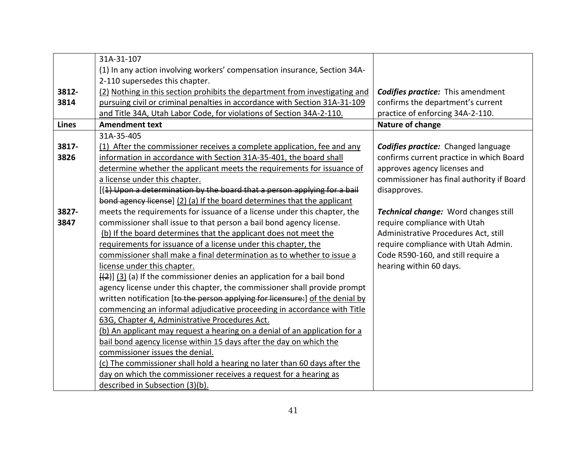|              | 31A-31-107                                                                        |                                            |
|--------------|-----------------------------------------------------------------------------------|--------------------------------------------|
|              | (1) In any action involving workers' compensation insurance, Section 34A-         |                                            |
|              | 2-110 supersedes this chapter.                                                    |                                            |
| 3812-        | (2) Nothing in this section prohibits the department from investigating and       | <b>Codifies practice:</b> This amendment   |
| 3814         | pursuing civil or criminal penalties in accordance with Section 31A-31-109        | confirms the department's current          |
|              | and Title 34A, Utah Labor Code, for violations of Section 34A-2-110.              | practice of enforcing 34A-2-110.           |
| <b>Lines</b> | <b>Amendment text</b>                                                             | Nature of change                           |
|              | 31A-35-405                                                                        |                                            |
| 3817-        | (1) After the commissioner receives a complete application, fee and any           | <b>Codifies practice:</b> Changed language |
| 3826         | information in accordance with Section 31A-35-401, the board shall                | confirms current practice in which Board   |
|              | determine whether the applicant meets the requirements for issuance of            | approves agency licenses and               |
|              | a license under this chapter.                                                     | commissioner has final authority if Board  |
|              | [(1) Upon a determination by the board that a person applying for a bail          | disapproves.                               |
|              | bond agency license] (2) (a) If the board determines that the applicant           |                                            |
| 3827-        | meets the requirements for issuance of a license under this chapter, the          | Technical change: Word changes still       |
| 3847         | commissioner shall issue to that person a bail bond agency license.               | require compliance with Utah               |
|              | (b) If the board determines that the applicant does not meet the                  | Administrative Procedures Act, still       |
|              | requirements for issuance of a license under this chapter, the                    | require compliance with Utah Admin.        |
|              | commissioner shall make a final determination as to whether to issue a            | Code R590-160, and still require a         |
|              | license under this chapter.                                                       | hearing within 60 days.                    |
|              | $\frac{1}{2}$ ] (3) (a) If the commissioner denies an application for a bail bond |                                            |
|              | agency license under this chapter, the commissioner shall provide prompt          |                                            |
|              | written notification [to the person applying for licensure:] of the denial by     |                                            |
|              | commencing an informal adjudicative proceeding in accordance with Title           |                                            |
|              | 63G, Chapter 4, Administrative Procedures Act.                                    |                                            |
|              | (b) An applicant may request a hearing on a denial of an application for a        |                                            |
|              | bail bond agency license within 15 days after the day on which the                |                                            |
|              | commissioner issues the denial.                                                   |                                            |
|              | (c) The commissioner shall hold a hearing no later than 60 days after the         |                                            |
|              | day on which the commissioner receives a request for a hearing as                 |                                            |
|              | described in Subsection (3)(b).                                                   |                                            |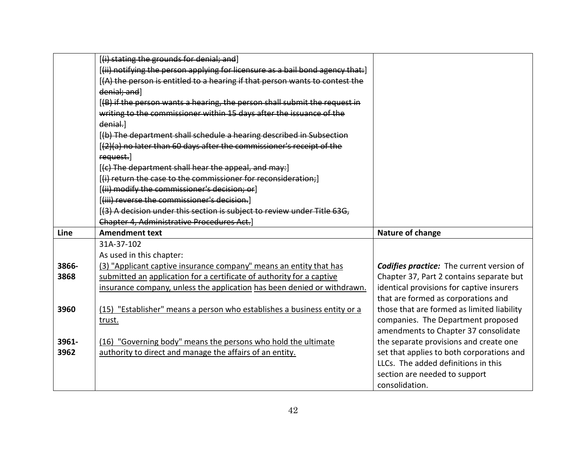|       | [(i) stating the grounds for denial; and]                                      |                                                  |
|-------|--------------------------------------------------------------------------------|--------------------------------------------------|
|       | [(ii) notifying the person applying for licensure as a bail bond agency that:] |                                                  |
|       | [(A) the person is entitled to a hearing if that person wants to contest the   |                                                  |
|       | denial; and]                                                                   |                                                  |
|       | [(B) if the person wants a hearing, the person shall submit the request in     |                                                  |
|       | writing to the commissioner within 15 days after the issuance of the           |                                                  |
|       | denial.                                                                        |                                                  |
|       | [(b) The department shall schedule a hearing described in Subsection           |                                                  |
|       | [(2)(a) no later than 60 days after the commissioner's receipt of the          |                                                  |
|       | request.                                                                       |                                                  |
|       | [(c) The department shall hear the appeal, and may:]                           |                                                  |
|       | [(i) return the case to the commissioner for reconsideration;]                 |                                                  |
|       | [(ii) modify the commissioner's decision; or]                                  |                                                  |
|       | [(iii) reverse the commissioner's decision.]                                   |                                                  |
|       | [(3) A decision under this section is subject to review under Title 63G,       |                                                  |
|       | <b>Chapter 4, Administrative Procedures Act.</b> ]                             |                                                  |
|       |                                                                                |                                                  |
| Line  | <b>Amendment text</b>                                                          | Nature of change                                 |
|       | 31A-37-102                                                                     |                                                  |
|       | As used in this chapter:                                                       |                                                  |
| 3866- | (3) "Applicant captive insurance company" means an entity that has             | <b>Codifies practice:</b> The current version of |
| 3868  | submitted an application for a certificate of authority for a captive          | Chapter 37, Part 2 contains separate but         |
|       | insurance company, unless the application has been denied or withdrawn.        | identical provisions for captive insurers        |
|       |                                                                                | that are formed as corporations and              |
| 3960  | (15) "Establisher" means a person who establishes a business entity or a       | those that are formed as limited liability       |
|       | trust.                                                                         | companies. The Department proposed               |
|       |                                                                                | amendments to Chapter 37 consolidate             |
| 3961- | (16) "Governing body" means the persons who hold the ultimate                  | the separate provisions and create one           |
| 3962  | authority to direct and manage the affairs of an entity.                       | set that applies to both corporations and        |
|       |                                                                                | LLCs. The added definitions in this              |
|       |                                                                                | section are needed to support                    |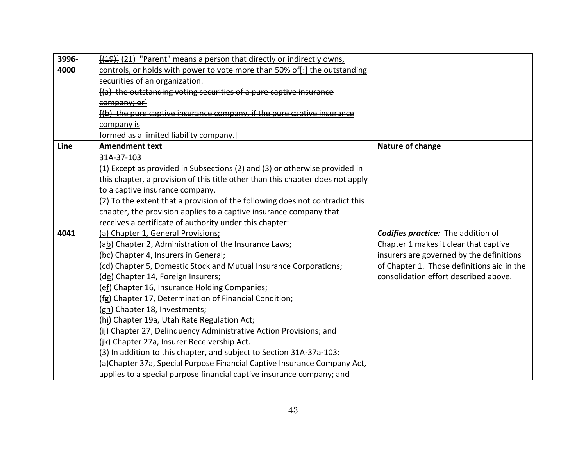| 3996- | [(19)] (21) "Parent" means a person that directly or indirectly owns,          |                                            |
|-------|--------------------------------------------------------------------------------|--------------------------------------------|
| 4000  | controls, or holds with power to vote more than 50% of [+] the outstanding     |                                            |
|       | securities of an organization.                                                 |                                            |
|       | [(a) the outstanding voting securities of a pure captive insurance             |                                            |
|       | company; or                                                                    |                                            |
|       | l(b) the pure captive insurance company, if the pure captive insurance         |                                            |
|       | <del>company is</del>                                                          |                                            |
|       | formed as a limited liability company.                                         |                                            |
| Line  | <b>Amendment text</b>                                                          | Nature of change                           |
|       | 31A-37-103                                                                     |                                            |
|       | (1) Except as provided in Subsections (2) and (3) or otherwise provided in     |                                            |
|       | this chapter, a provision of this title other than this chapter does not apply |                                            |
|       | to a captive insurance company.                                                |                                            |
|       | (2) To the extent that a provision of the following does not contradict this   |                                            |
|       | chapter, the provision applies to a captive insurance company that             |                                            |
|       | receives a certificate of authority under this chapter:                        |                                            |
| 4041  | (a) Chapter 1, General Provisions;                                             | <b>Codifies practice:</b> The addition of  |
|       | (ab) Chapter 2, Administration of the Insurance Laws;                          | Chapter 1 makes it clear that captive      |
|       | (bc) Chapter 4, Insurers in General;                                           | insurers are governed by the definitions   |
|       | (cd) Chapter 5, Domestic Stock and Mutual Insurance Corporations;              | of Chapter 1. Those definitions aid in the |
|       | (de) Chapter 14, Foreign Insurers;                                             | consolidation effort described above.      |
|       | (ef) Chapter 16, Insurance Holding Companies;                                  |                                            |
|       | (fg) Chapter 17, Determination of Financial Condition;                         |                                            |
|       | (gh) Chapter 18, Investments;                                                  |                                            |
|       | (hi) Chapter 19a, Utah Rate Regulation Act;                                    |                                            |
|       | (ij) Chapter 27, Delinquency Administrative Action Provisions; and             |                                            |
|       | (jk) Chapter 27a, Insurer Receivership Act.                                    |                                            |
|       | (3) In addition to this chapter, and subject to Section 31A-37a-103:           |                                            |
|       | (a)Chapter 37a, Special Purpose Financial Captive Insurance Company Act,       |                                            |
|       | applies to a special purpose financial captive insurance company; and          |                                            |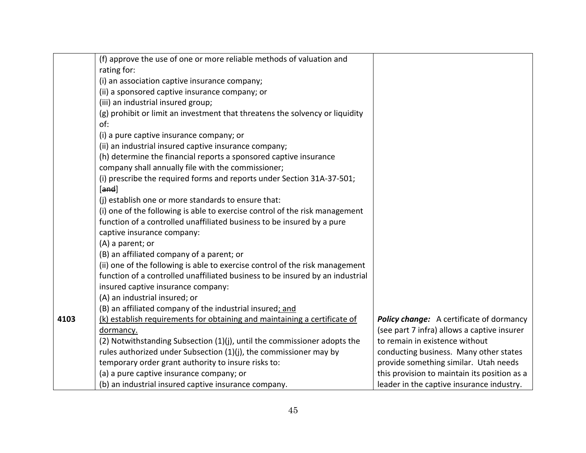|      | (f) approve the use of one or more reliable methods of valuation and<br>rating for: |                                                 |
|------|-------------------------------------------------------------------------------------|-------------------------------------------------|
|      | (i) an association captive insurance company;                                       |                                                 |
|      | (ii) a sponsored captive insurance company; or                                      |                                                 |
|      | (iii) an industrial insured group;                                                  |                                                 |
|      | (g) prohibit or limit an investment that threatens the solvency or liquidity        |                                                 |
|      | of:                                                                                 |                                                 |
|      | (i) a pure captive insurance company; or                                            |                                                 |
|      | (ii) an industrial insured captive insurance company;                               |                                                 |
|      | (h) determine the financial reports a sponsored captive insurance                   |                                                 |
|      | company shall annually file with the commissioner;                                  |                                                 |
|      | (i) prescribe the required forms and reports under Section 31A-37-501;              |                                                 |
|      | [and]                                                                               |                                                 |
|      | (j) establish one or more standards to ensure that:                                 |                                                 |
|      | (i) one of the following is able to exercise control of the risk management         |                                                 |
|      | function of a controlled unaffiliated business to be insured by a pure              |                                                 |
|      | captive insurance company:                                                          |                                                 |
|      | (A) a parent; or                                                                    |                                                 |
|      | (B) an affiliated company of a parent; or                                           |                                                 |
|      | (ii) one of the following is able to exercise control of the risk management        |                                                 |
|      | function of a controlled unaffiliated business to be insured by an industrial       |                                                 |
|      | insured captive insurance company:                                                  |                                                 |
|      | (A) an industrial insured; or                                                       |                                                 |
|      | (B) an affiliated company of the industrial insured; and                            |                                                 |
| 4103 | (k) establish requirements for obtaining and maintaining a certificate of           | <b>Policy change:</b> A certificate of dormancy |
|      | dormancy.                                                                           | (see part 7 infra) allows a captive insurer     |
|      | (2) Notwithstanding Subsection (1)(j), until the commissioner adopts the            | to remain in existence without                  |
|      | rules authorized under Subsection (1)(j), the commissioner may by                   | conducting business. Many other states          |
|      | temporary order grant authority to insure risks to:                                 | provide something similar. Utah needs           |
|      | (a) a pure captive insurance company; or                                            | this provision to maintain its position as a    |
|      | (b) an industrial insured captive insurance company.                                | leader in the captive insurance industry.       |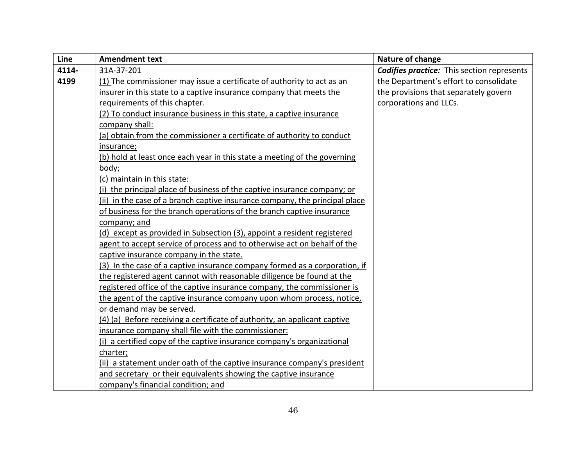| Line  | <b>Amendment text</b>                                                       | Nature of change                                  |
|-------|-----------------------------------------------------------------------------|---------------------------------------------------|
| 4114- | 31A-37-201                                                                  | <b>Codifies practice:</b> This section represents |
| 4199  | (1) The commissioner may issue a certificate of authority to act as an      | the Department's effort to consolidate            |
|       | insurer in this state to a captive insurance company that meets the         | the provisions that separately govern             |
|       | requirements of this chapter.                                               | corporations and LLCs.                            |
|       | (2) To conduct insurance business in this state, a captive insurance        |                                                   |
|       | company shall:                                                              |                                                   |
|       | (a) obtain from the commissioner a certificate of authority to conduct      |                                                   |
|       | insurance;                                                                  |                                                   |
|       | (b) hold at least once each year in this state a meeting of the governing   |                                                   |
|       | body;                                                                       |                                                   |
|       | (c) maintain in this state:                                                 |                                                   |
|       | (i) the principal place of business of the captive insurance company; or    |                                                   |
|       | (ii) in the case of a branch captive insurance company, the principal place |                                                   |
|       | of business for the branch operations of the branch captive insurance       |                                                   |
|       | company; and                                                                |                                                   |
|       | (d) except as provided in Subsection (3), appoint a resident registered     |                                                   |
|       | agent to accept service of process and to otherwise act on behalf of the    |                                                   |
|       | captive insurance company in the state.                                     |                                                   |
|       | (3) In the case of a captive insurance company formed as a corporation, if  |                                                   |
|       | the registered agent cannot with reasonable diligence be found at the       |                                                   |
|       | registered office of the captive insurance company, the commissioner is     |                                                   |
|       | the agent of the captive insurance company upon whom process, notice,       |                                                   |
|       | or demand may be served.                                                    |                                                   |
|       | (4) (a) Before receiving a certificate of authority, an applicant captive   |                                                   |
|       | insurance company shall file with the commissioner:                         |                                                   |
|       | (i) a certified copy of the captive insurance company's organizational      |                                                   |
|       | charter;                                                                    |                                                   |
|       | (ii) a statement under oath of the captive insurance company's president    |                                                   |
|       | and secretary or their equivalents showing the captive insurance            |                                                   |
|       | company's financial condition; and                                          |                                                   |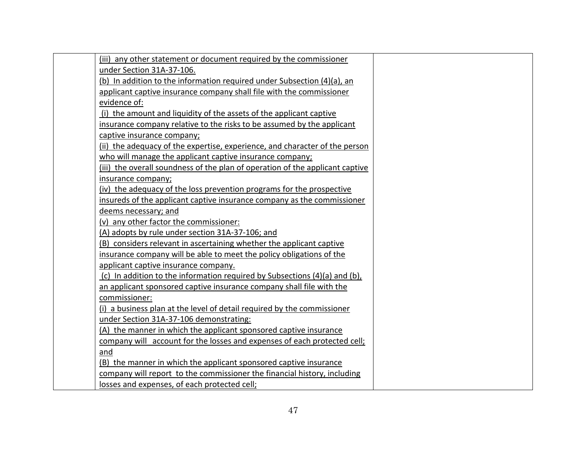| (iii) any other statement or document required by the commissioner            |
|-------------------------------------------------------------------------------|
| under Section 31A-37-106.                                                     |
| (b) In addition to the information required under Subsection (4)(a), an       |
| applicant captive insurance company shall file with the commissioner          |
| evidence of:                                                                  |
| (i) the amount and liquidity of the assets of the applicant captive           |
| insurance company relative to the risks to be assumed by the applicant        |
| captive insurance company;                                                    |
| (ii) the adequacy of the expertise, experience, and character of the person   |
| who will manage the applicant captive insurance company;                      |
| (iii) the overall soundness of the plan of operation of the applicant captive |
| insurance company;                                                            |
| (iv) the adequacy of the loss prevention programs for the prospective         |
| insureds of the applicant captive insurance company as the commissioner       |
| deems necessary; and                                                          |
| (v) any other factor the commissioner:                                        |
| (A) adopts by rule under section 31A-37-106; and                              |
| (B) considers relevant in ascertaining whether the applicant captive          |
| insurance company will be able to meet the policy obligations of the          |
| applicant captive insurance company.                                          |
| (c) In addition to the information required by Subsections (4)(a) and (b),    |
| an applicant sponsored captive insurance company shall file with the          |
| commissioner:                                                                 |
| (i) a business plan at the level of detail required by the commissioner       |
| under Section 31A-37-106 demonstrating:                                       |
| (A) the manner in which the applicant sponsored captive insurance             |
| company will account for the losses and expenses of each protected cell;      |
| and                                                                           |
| (B) the manner in which the applicant sponsored captive insurance             |
| company will report to the commissioner the financial history, including      |
| losses and expenses, of each protected cell;                                  |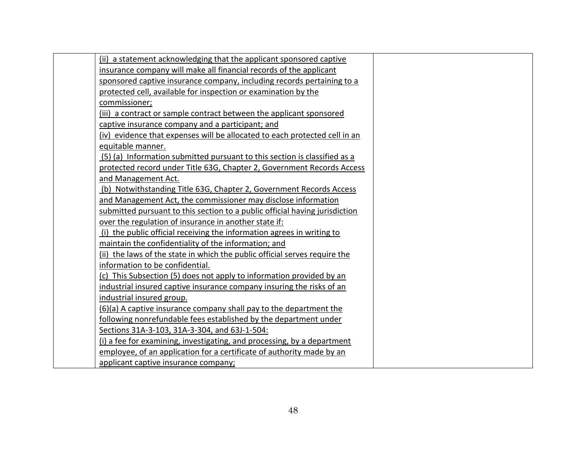| (ii) a statement acknowledging that the applicant sponsored captive         |
|-----------------------------------------------------------------------------|
| insurance company will make all financial records of the applicant          |
| sponsored captive insurance company, including records pertaining to a      |
| protected cell, available for inspection or examination by the              |
| commissioner;                                                               |
| (iii) a contract or sample contract between the applicant sponsored         |
| captive insurance company and a participant; and                            |
| (iv) evidence that expenses will be allocated to each protected cell in an  |
| equitable manner.                                                           |
| (5) (a) Information submitted pursuant to this section is classified as a   |
| protected record under Title 63G, Chapter 2, Government Records Access      |
| and Management Act.                                                         |
| (b) Notwithstanding Title 63G, Chapter 2, Government Records Access         |
| and Management Act, the commissioner may disclose information               |
| submitted pursuant to this section to a public official having jurisdiction |
| over the regulation of insurance in another state if:                       |
| (i) the public official receiving the information agrees in writing to      |
| maintain the confidentiality of the information; and                        |
| (ii) the laws of the state in which the public official serves require the  |
| information to be confidential.                                             |
| (c) This Subsection (5) does not apply to information provided by an        |
| industrial insured captive insurance company insuring the risks of an       |
| industrial insured group.                                                   |
| (6)(a) A captive insurance company shall pay to the department the          |
| following nonrefundable fees established by the department under            |
| Sections 31A-3-103, 31A-3-304, and 63J-1-504:                               |
| (i) a fee for examining, investigating, and processing, by a department     |
| employee, of an application for a certificate of authority made by an       |
| applicant captive insurance company;                                        |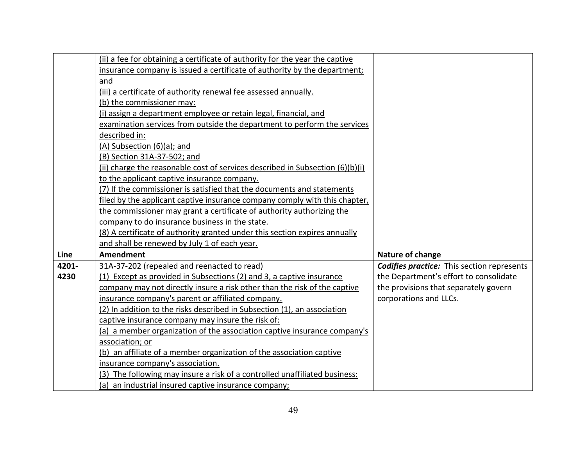|       | (ii) a fee for obtaining a certificate of authority for the year the captive    |                                                   |
|-------|---------------------------------------------------------------------------------|---------------------------------------------------|
|       | insurance company is issued a certificate of authority by the department;       |                                                   |
|       | and                                                                             |                                                   |
|       | (iii) a certificate of authority renewal fee assessed annually.                 |                                                   |
|       | (b) the commissioner may:                                                       |                                                   |
|       | (i) assign a department employee or retain legal, financial, and                |                                                   |
|       | examination services from outside the department to perform the services        |                                                   |
|       | described in:                                                                   |                                                   |
|       | (A) Subsection (6)(a); and                                                      |                                                   |
|       | (B) Section 31A-37-502; and                                                     |                                                   |
|       | (ii) charge the reasonable cost of services described in Subsection $(6)(b)(i)$ |                                                   |
|       | to the applicant captive insurance company.                                     |                                                   |
|       | (7) If the commissioner is satisfied that the documents and statements          |                                                   |
|       | filed by the applicant captive insurance company comply with this chapter,      |                                                   |
|       | the commissioner may grant a certificate of authority authorizing the           |                                                   |
|       | company to do insurance business in the state.                                  |                                                   |
|       | (8) A certificate of authority granted under this section expires annually      |                                                   |
|       | and shall be renewed by July 1 of each year.                                    |                                                   |
| Line  | <b>Amendment</b>                                                                | Nature of change                                  |
| 4201- | 31A-37-202 (repealed and reenacted to read)                                     | <b>Codifies practice:</b> This section represents |
| 4230  | (1) Except as provided in Subsections (2) and 3, a captive insurance            | the Department's effort to consolidate            |
|       | company may not directly insure a risk other than the risk of the captive       | the provisions that separately govern             |
|       | insurance company's parent or affiliated company.                               | corporations and LLCs.                            |
|       | (2) In addition to the risks described in Subsection (1), an association        |                                                   |
|       | captive insurance company may insure the risk of:                               |                                                   |
|       | (a) a member organization of the association captive insurance company's        |                                                   |
|       | association; or                                                                 |                                                   |
|       | (b) an affiliate of a member organization of the association captive            |                                                   |
|       | insurance company's association.                                                |                                                   |
|       | (3) The following may insure a risk of a controlled unaffiliated business:      |                                                   |
|       | (a) an industrial insured captive insurance company;                            |                                                   |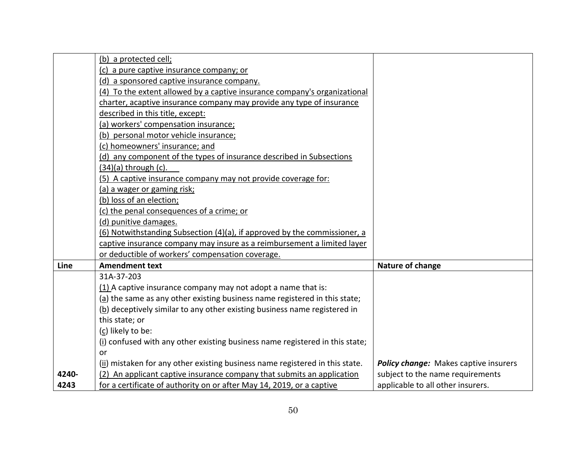|       | (b) a protected cell;                                                        |                                              |
|-------|------------------------------------------------------------------------------|----------------------------------------------|
|       | (c) a pure captive insurance company; or                                     |                                              |
|       | (d) a sponsored captive insurance company.                                   |                                              |
|       | (4) To the extent allowed by a captive insurance company's organizational    |                                              |
|       | charter, acaptive insurance company may provide any type of insurance        |                                              |
|       | described in this title, except:                                             |                                              |
|       | (a) workers' compensation insurance;                                         |                                              |
|       | (b) personal motor vehicle insurance;                                        |                                              |
|       | (c) homeowners' insurance; and                                               |                                              |
|       | (d) any component of the types of insurance described in Subsections         |                                              |
|       | $(34)(a)$ through $(c)$ .                                                    |                                              |
|       | (5) A captive insurance company may not provide coverage for:                |                                              |
|       | (a) a wager or gaming risk;                                                  |                                              |
|       | (b) loss of an election;                                                     |                                              |
|       | (c) the penal consequences of a crime; or                                    |                                              |
|       | (d) punitive damages.                                                        |                                              |
|       | (6) Notwithstanding Subsection (4)(a), if approved by the commissioner, a    |                                              |
|       | captive insurance company may insure as a reimbursement a limited layer      |                                              |
|       | or deductible of workers' compensation coverage.                             |                                              |
| Line  | <b>Amendment text</b>                                                        | Nature of change                             |
|       | 31A-37-203                                                                   |                                              |
|       | (1) A captive insurance company may not adopt a name that is:                |                                              |
|       | (a) the same as any other existing business name registered in this state;   |                                              |
|       | (b) deceptively similar to any other existing business name registered in    |                                              |
|       | this state; or                                                               |                                              |
|       | (c) likely to be:                                                            |                                              |
|       | (i) confused with any other existing business name registered in this state; |                                              |
|       | or                                                                           |                                              |
|       | (ii) mistaken for any other existing business name registered in this state. | <b>Policy change:</b> Makes captive insurers |
| 4240- | (2) An applicant captive insurance company that submits an application       | subject to the name requirements             |
| 4243  | for a certificate of authority on or after May 14, 2019, or a captive        | applicable to all other insurers.            |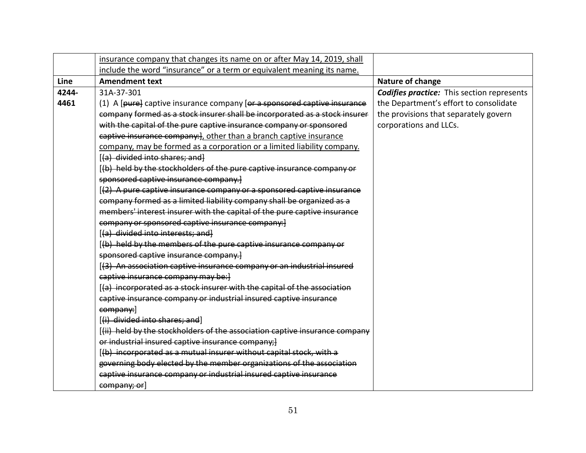|       | insurance company that changes its name on or after May 14, 2019, shall     |                                                   |
|-------|-----------------------------------------------------------------------------|---------------------------------------------------|
|       | include the word "insurance" or a term or equivalent meaning its name.      |                                                   |
| Line  | <b>Amendment text</b>                                                       | Nature of change                                  |
| 4244- | 31A-37-301                                                                  | <b>Codifies practice:</b> This section represents |
| 4461  | (1) A [pure] captive insurance company [or a sponsored captive insurance    | the Department's effort to consolidate            |
|       | company formed as a stock insurer shall be incorporated as a stock insurer  | the provisions that separately govern             |
|       | with the capital of the pure captive insurance company or sponsored         | corporations and LLCs.                            |
|       | captive insurance company: }, other than a branch captive insurance         |                                                   |
|       | company, may be formed as a corporation or a limited liability company.     |                                                   |
|       | [(a) divided into shares; and]                                              |                                                   |
|       | [(b) held by the stockholders of the pure captive insurance company or      |                                                   |
|       | sponsored captive insurance company.]                                       |                                                   |
|       | [(2) A pure captive insurance company or a sponsored captive insurance      |                                                   |
|       | company formed as a limited liability company shall be organized as a       |                                                   |
|       | members' interest insurer with the capital of the pure captive insurance    |                                                   |
|       | company or sponsored captive insurance company:                             |                                                   |
|       | [(a) divided into interests; and]                                           |                                                   |
|       | [(b) held by the members of the pure captive insurance company or           |                                                   |
|       | sponsored captive insurance company.]                                       |                                                   |
|       | [(3) An association captive insurance company or an industrial insured      |                                                   |
|       | captive insurance company may be:                                           |                                                   |
|       | [(a) incorporated as a stock insurer with the capital of the association    |                                                   |
|       | captive insurance company or industrial insured captive insurance           |                                                   |
|       | company:                                                                    |                                                   |
|       | [(i) divided into shares; and]                                              |                                                   |
|       | [(ii) held by the stockholders of the association captive insurance company |                                                   |
|       | or industrial insured captive insurance company;]                           |                                                   |
|       | [(b) incorporated as a mutual insurer without capital stock, with a         |                                                   |
|       | governing body elected by the member organizations of the association       |                                                   |
|       | captive insurance company or industrial insured captive insurance           |                                                   |
|       | company; or]                                                                |                                                   |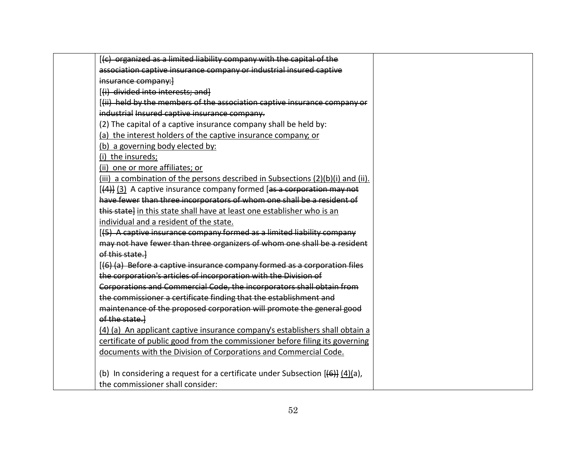| [(c) organized as a limited liability company with the capital of the                                |
|------------------------------------------------------------------------------------------------------|
| association captive insurance company or industrial insured captive                                  |
| insurance company:                                                                                   |
| [(i) divided into interests; and]                                                                    |
| [(ii) held by the members of the association captive insurance company or                            |
| industrial Insured captive insurance company.                                                        |
| (2) The capital of a captive insurance company shall be held by:                                     |
| (a) the interest holders of the captive insurance company; or                                        |
| (b) a governing body elected by:                                                                     |
| (i) the insureds;                                                                                    |
| (ii) one or more affiliates; or                                                                      |
| (iii) a combination of the persons described in Subsections (2)(b)(i) and (ii).                      |
| [(4)] (3) A captive insurance company formed [as a corporation may not                               |
| have fewer than three incorporators of whom one shall be a resident of                               |
| this state} in this state shall have at least one establisher who is an                              |
| individual and a resident of the state.                                                              |
| [(5) A captive insurance company formed as a limited liability company                               |
| may not have fewer than three organizers of whom one shall be a resident                             |
| of this state.                                                                                       |
| [(6) (a) Before a captive insurance company formed as a corporation files                            |
| the corporation's articles of incorporation with the Division of                                     |
| Corporations and Commercial Code, the incorporators shall obtain from                                |
| the commissioner a certificate finding that the establishment and                                    |
| maintenance of the proposed corporation will promote the general good                                |
| of the state.                                                                                        |
| (4) (a) An applicant captive insurance company's establishers shall obtain a                         |
| certificate of public good from the commissioner before filing its governing                         |
| documents with the Division of Corporations and Commercial Code.                                     |
| (b) In considering a request for a certificate under Subsection $[\frac{1}{2}, \frac{1}{2}]$ (4)(a), |
| the commissioner shall consider:                                                                     |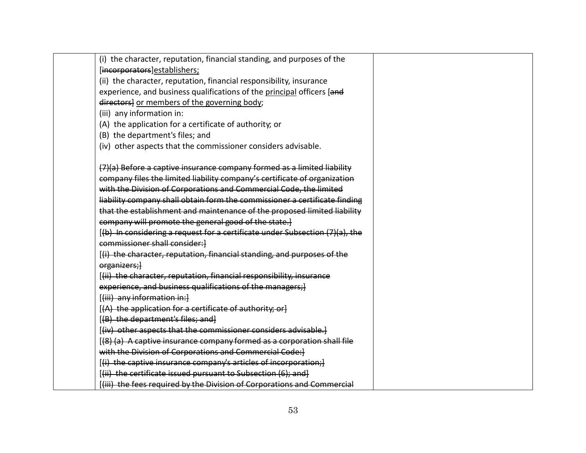| (i) the character, reputation, financial standing, and purposes of the       |  |
|------------------------------------------------------------------------------|--|
| [incorporators]establishers;                                                 |  |
| (ii) the character, reputation, financial responsibility, insurance          |  |
| experience, and business qualifications of the principal officers [and       |  |
| directors] or members of the governing body;                                 |  |
| (iii) any information in:                                                    |  |
| (A) the application for a certificate of authority; or                       |  |
| (B) the department's files; and                                              |  |
| (iv) other aspects that the commissioner considers advisable.                |  |
| (7)(a) Before a captive insurance company formed as a limited liability      |  |
| company files the limited liability company's certificate of organization    |  |
| with the Division of Corporations and Commercial Code, the limited           |  |
| liability company shall obtain form the commissioner a certificate finding   |  |
| that the establishment and maintenance of the proposed limited liability     |  |
| company will promote the general good of the state.]                         |  |
| [(b) In considering a request for a certificate under Subsection (7)(a), the |  |
| commissioner shall consider:                                                 |  |
| [(i) the character, reputation, financial standing, and purposes of the      |  |
| organizers;}                                                                 |  |
| [(ii) the character, reputation, financial responsibility, insurance         |  |
| experience, and business qualifications of the managers; }                   |  |
| [(iii) any information in:]                                                  |  |
| [(A) the application for a certificate of authority; or]                     |  |
| [(B) the department's files; and]                                            |  |
| [(iv) other aspects that the commissioner considers advisable.]              |  |
| [(8) (a) A captive insurance company formed as a corporation shall file      |  |
| with the Division of Corporations and Commercial Code: ]                     |  |
| [(i) the captive insurance company's articles of incorporation;]             |  |
| [(ii) the certificate issued pursuant to Subsection (6); and]                |  |
| [(iii) the fees required by the Division of Corporations and Commercial      |  |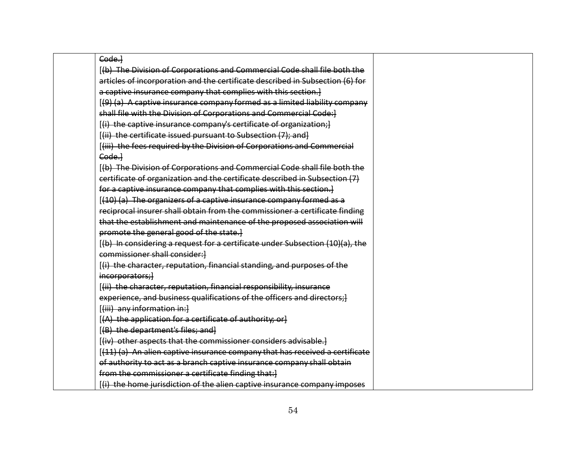| Code.                                                                         |
|-------------------------------------------------------------------------------|
| [(b) The Division of Corporations and Commercial Code shall file both the     |
| articles of incorporation and the certificate described in Subsection (6) for |
| a captive insurance company that complies with this section.]                 |
| [(9) (a) A captive insurance company formed as a limited liability company    |
| shall file with the Division of Corporations and Commercial Code:]            |
| [(i) the captive insurance company's certificate of organization;]            |
| [(ii) the certificate issued pursuant to Subsection (7); and]                 |
| [(iii) the fees required by the Division of Corporations and Commercial       |
| Code.                                                                         |
| [(b) The Division of Corporations and Commercial Code shall file both the     |
| eertificate of organization and the certificate described in Subsection (7)   |
| for a captive insurance company that complies with this section.]             |
| [(10) (a) The organizers of a captive insurance company formed as a           |
| reciprocal insurer shall obtain from the commissioner a certificate finding   |
| that the establishment and maintenance of the proposed association will       |
| promote the general good of the state.]                                       |
| [(b) In considering a request for a certificate under Subsection (10)(a), the |
| commissioner shall consider: }                                                |
| [(i) the character, reputation, financial standing, and purposes of the       |
| incorporators;                                                                |
| [(ii) the character, reputation, financial responsibility, insurance          |
| experience, and business qualifications of the officers and directors; }      |
| [(iii) any information in:]                                                   |
| [(A) the application for a certificate of authority; orl                      |
| [(B) the department's files; and]                                             |
| [(iv) other aspects that the commissioner considers advisable.]               |
| [(11) (a) An alien captive insurance company that has received a certificate  |
| of authority to act as a branch captive insurance company shall obtain        |
| from the commissioner a certificate finding that:                             |
| [(i) the home jurisdiction of the alien captive insurance company imposes     |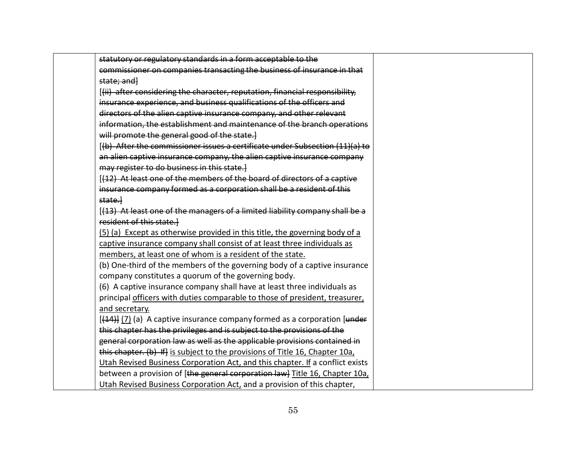| statutory or regulatory standards in a form acceptable to the<br>commissioner on companies transacting the business of insurance in that<br>state; and l<br>[(ii) after considering the character, reputation, financial responsibility,<br>insurance experience, and business qualifications of the officers and<br>directors of the alien captive insurance company, and other relevant<br>information, the establishment and maintenance of the branch operations<br>will promote the general good of the state.]<br>[(b) After the commissioner issues a certificate under Subsection (11)(a) to<br>an alien captive insurance company, the alien captive insurance company<br>may register to do business in this state.<br>[(12) At least one of the members of the board of directors of a captive<br>insurance company formed as a corporation shall be a resident of this<br>state.<br>[(13) At least one of the managers of a limited liability company shall be a<br>resident of this state.<br>(5) (a) Except as otherwise provided in this title, the governing body of a<br>captive insurance company shall consist of at least three individuals as<br>members, at least one of whom is a resident of the state.<br>(b) One-third of the members of the governing body of a captive insurance<br>company constitutes a quorum of the governing body.<br>(6) A captive insurance company shall have at least three individuals as<br>principal officers with duties comparable to those of president, treasurer,<br>and secretary.<br>$[44]$ (7) (a) A captive insurance company formed as a corporation [under]<br>this chapter has the privileges and is subject to the provisions of the<br>general corporation law as well as the applicable provisions contained in<br>this chapter. (b) If] is subject to the provisions of Title 16, Chapter 10a, |  |
|------------------------------------------------------------------------------------------------------------------------------------------------------------------------------------------------------------------------------------------------------------------------------------------------------------------------------------------------------------------------------------------------------------------------------------------------------------------------------------------------------------------------------------------------------------------------------------------------------------------------------------------------------------------------------------------------------------------------------------------------------------------------------------------------------------------------------------------------------------------------------------------------------------------------------------------------------------------------------------------------------------------------------------------------------------------------------------------------------------------------------------------------------------------------------------------------------------------------------------------------------------------------------------------------------------------------------------------------------------------------------------------------------------------------------------------------------------------------------------------------------------------------------------------------------------------------------------------------------------------------------------------------------------------------------------------------------------------------------------------------------------------------------------------------------------------------------------------------------------------------|--|
|                                                                                                                                                                                                                                                                                                                                                                                                                                                                                                                                                                                                                                                                                                                                                                                                                                                                                                                                                                                                                                                                                                                                                                                                                                                                                                                                                                                                                                                                                                                                                                                                                                                                                                                                                                                                                                                                        |  |
|                                                                                                                                                                                                                                                                                                                                                                                                                                                                                                                                                                                                                                                                                                                                                                                                                                                                                                                                                                                                                                                                                                                                                                                                                                                                                                                                                                                                                                                                                                                                                                                                                                                                                                                                                                                                                                                                        |  |
|                                                                                                                                                                                                                                                                                                                                                                                                                                                                                                                                                                                                                                                                                                                                                                                                                                                                                                                                                                                                                                                                                                                                                                                                                                                                                                                                                                                                                                                                                                                                                                                                                                                                                                                                                                                                                                                                        |  |
|                                                                                                                                                                                                                                                                                                                                                                                                                                                                                                                                                                                                                                                                                                                                                                                                                                                                                                                                                                                                                                                                                                                                                                                                                                                                                                                                                                                                                                                                                                                                                                                                                                                                                                                                                                                                                                                                        |  |
|                                                                                                                                                                                                                                                                                                                                                                                                                                                                                                                                                                                                                                                                                                                                                                                                                                                                                                                                                                                                                                                                                                                                                                                                                                                                                                                                                                                                                                                                                                                                                                                                                                                                                                                                                                                                                                                                        |  |
|                                                                                                                                                                                                                                                                                                                                                                                                                                                                                                                                                                                                                                                                                                                                                                                                                                                                                                                                                                                                                                                                                                                                                                                                                                                                                                                                                                                                                                                                                                                                                                                                                                                                                                                                                                                                                                                                        |  |
|                                                                                                                                                                                                                                                                                                                                                                                                                                                                                                                                                                                                                                                                                                                                                                                                                                                                                                                                                                                                                                                                                                                                                                                                                                                                                                                                                                                                                                                                                                                                                                                                                                                                                                                                                                                                                                                                        |  |
|                                                                                                                                                                                                                                                                                                                                                                                                                                                                                                                                                                                                                                                                                                                                                                                                                                                                                                                                                                                                                                                                                                                                                                                                                                                                                                                                                                                                                                                                                                                                                                                                                                                                                                                                                                                                                                                                        |  |
|                                                                                                                                                                                                                                                                                                                                                                                                                                                                                                                                                                                                                                                                                                                                                                                                                                                                                                                                                                                                                                                                                                                                                                                                                                                                                                                                                                                                                                                                                                                                                                                                                                                                                                                                                                                                                                                                        |  |
|                                                                                                                                                                                                                                                                                                                                                                                                                                                                                                                                                                                                                                                                                                                                                                                                                                                                                                                                                                                                                                                                                                                                                                                                                                                                                                                                                                                                                                                                                                                                                                                                                                                                                                                                                                                                                                                                        |  |
|                                                                                                                                                                                                                                                                                                                                                                                                                                                                                                                                                                                                                                                                                                                                                                                                                                                                                                                                                                                                                                                                                                                                                                                                                                                                                                                                                                                                                                                                                                                                                                                                                                                                                                                                                                                                                                                                        |  |
|                                                                                                                                                                                                                                                                                                                                                                                                                                                                                                                                                                                                                                                                                                                                                                                                                                                                                                                                                                                                                                                                                                                                                                                                                                                                                                                                                                                                                                                                                                                                                                                                                                                                                                                                                                                                                                                                        |  |
|                                                                                                                                                                                                                                                                                                                                                                                                                                                                                                                                                                                                                                                                                                                                                                                                                                                                                                                                                                                                                                                                                                                                                                                                                                                                                                                                                                                                                                                                                                                                                                                                                                                                                                                                                                                                                                                                        |  |
|                                                                                                                                                                                                                                                                                                                                                                                                                                                                                                                                                                                                                                                                                                                                                                                                                                                                                                                                                                                                                                                                                                                                                                                                                                                                                                                                                                                                                                                                                                                                                                                                                                                                                                                                                                                                                                                                        |  |
|                                                                                                                                                                                                                                                                                                                                                                                                                                                                                                                                                                                                                                                                                                                                                                                                                                                                                                                                                                                                                                                                                                                                                                                                                                                                                                                                                                                                                                                                                                                                                                                                                                                                                                                                                                                                                                                                        |  |
|                                                                                                                                                                                                                                                                                                                                                                                                                                                                                                                                                                                                                                                                                                                                                                                                                                                                                                                                                                                                                                                                                                                                                                                                                                                                                                                                                                                                                                                                                                                                                                                                                                                                                                                                                                                                                                                                        |  |
|                                                                                                                                                                                                                                                                                                                                                                                                                                                                                                                                                                                                                                                                                                                                                                                                                                                                                                                                                                                                                                                                                                                                                                                                                                                                                                                                                                                                                                                                                                                                                                                                                                                                                                                                                                                                                                                                        |  |
|                                                                                                                                                                                                                                                                                                                                                                                                                                                                                                                                                                                                                                                                                                                                                                                                                                                                                                                                                                                                                                                                                                                                                                                                                                                                                                                                                                                                                                                                                                                                                                                                                                                                                                                                                                                                                                                                        |  |
|                                                                                                                                                                                                                                                                                                                                                                                                                                                                                                                                                                                                                                                                                                                                                                                                                                                                                                                                                                                                                                                                                                                                                                                                                                                                                                                                                                                                                                                                                                                                                                                                                                                                                                                                                                                                                                                                        |  |
|                                                                                                                                                                                                                                                                                                                                                                                                                                                                                                                                                                                                                                                                                                                                                                                                                                                                                                                                                                                                                                                                                                                                                                                                                                                                                                                                                                                                                                                                                                                                                                                                                                                                                                                                                                                                                                                                        |  |
|                                                                                                                                                                                                                                                                                                                                                                                                                                                                                                                                                                                                                                                                                                                                                                                                                                                                                                                                                                                                                                                                                                                                                                                                                                                                                                                                                                                                                                                                                                                                                                                                                                                                                                                                                                                                                                                                        |  |
|                                                                                                                                                                                                                                                                                                                                                                                                                                                                                                                                                                                                                                                                                                                                                                                                                                                                                                                                                                                                                                                                                                                                                                                                                                                                                                                                                                                                                                                                                                                                                                                                                                                                                                                                                                                                                                                                        |  |
|                                                                                                                                                                                                                                                                                                                                                                                                                                                                                                                                                                                                                                                                                                                                                                                                                                                                                                                                                                                                                                                                                                                                                                                                                                                                                                                                                                                                                                                                                                                                                                                                                                                                                                                                                                                                                                                                        |  |
|                                                                                                                                                                                                                                                                                                                                                                                                                                                                                                                                                                                                                                                                                                                                                                                                                                                                                                                                                                                                                                                                                                                                                                                                                                                                                                                                                                                                                                                                                                                                                                                                                                                                                                                                                                                                                                                                        |  |
|                                                                                                                                                                                                                                                                                                                                                                                                                                                                                                                                                                                                                                                                                                                                                                                                                                                                                                                                                                                                                                                                                                                                                                                                                                                                                                                                                                                                                                                                                                                                                                                                                                                                                                                                                                                                                                                                        |  |
|                                                                                                                                                                                                                                                                                                                                                                                                                                                                                                                                                                                                                                                                                                                                                                                                                                                                                                                                                                                                                                                                                                                                                                                                                                                                                                                                                                                                                                                                                                                                                                                                                                                                                                                                                                                                                                                                        |  |
|                                                                                                                                                                                                                                                                                                                                                                                                                                                                                                                                                                                                                                                                                                                                                                                                                                                                                                                                                                                                                                                                                                                                                                                                                                                                                                                                                                                                                                                                                                                                                                                                                                                                                                                                                                                                                                                                        |  |
|                                                                                                                                                                                                                                                                                                                                                                                                                                                                                                                                                                                                                                                                                                                                                                                                                                                                                                                                                                                                                                                                                                                                                                                                                                                                                                                                                                                                                                                                                                                                                                                                                                                                                                                                                                                                                                                                        |  |
| Utah Revised Business Corporation Act, and this chapter. If a conflict exists                                                                                                                                                                                                                                                                                                                                                                                                                                                                                                                                                                                                                                                                                                                                                                                                                                                                                                                                                                                                                                                                                                                                                                                                                                                                                                                                                                                                                                                                                                                                                                                                                                                                                                                                                                                          |  |
| between a provision of [the general corporation law] Title 16, Chapter 10a,                                                                                                                                                                                                                                                                                                                                                                                                                                                                                                                                                                                                                                                                                                                                                                                                                                                                                                                                                                                                                                                                                                                                                                                                                                                                                                                                                                                                                                                                                                                                                                                                                                                                                                                                                                                            |  |
| Utah Revised Business Corporation Act, and a provision of this chapter,                                                                                                                                                                                                                                                                                                                                                                                                                                                                                                                                                                                                                                                                                                                                                                                                                                                                                                                                                                                                                                                                                                                                                                                                                                                                                                                                                                                                                                                                                                                                                                                                                                                                                                                                                                                                |  |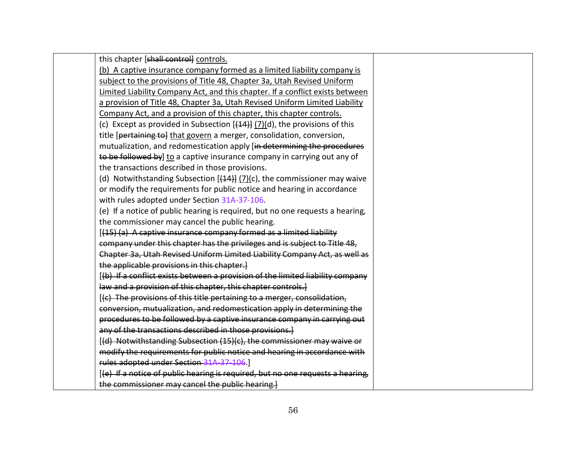| this chapter [shall control] controls.                                             |
|------------------------------------------------------------------------------------|
| (b) A captive insurance company formed as a limited liability company is           |
| subject to the provisions of Title 48, Chapter 3a, Utah Revised Uniform            |
| Limited Liability Company Act, and this chapter. If a conflict exists between      |
| a provision of Title 48, Chapter 3a, Utah Revised Uniform Limited Liability        |
| Company Act, and a provision of this chapter, this chapter controls.               |
| (c) Except as provided in Subsection $[44]$ $[7]$ (d), the provisions of this      |
| title [pertaining to] that govern a merger, consolidation, conversion,             |
| mutualization, and redomestication apply [in determining the procedures            |
| to be followed by] to a captive insurance company in carrying out any of           |
| the transactions described in those provisions.                                    |
| (d) Notwithstanding Subsection $[\frac{44}{7}]$ (7)(c), the commissioner may waive |
| or modify the requirements for public notice and hearing in accordance             |
| with rules adopted under Section 31A-37-106.                                       |
| (e) If a notice of public hearing is required, but no one requests a hearing,      |
| the commissioner may cancel the public hearing.                                    |
| [(15) (a) A captive insurance company formed as a limited liability                |
| company under this chapter has the privileges and is subject to Title 48,          |
| Chapter 3a, Utah Revised Uniform Limited Liability Company Act, as well as         |
| the applicable provisions in this chapter.]                                        |
| [(b) If a conflict exists between a provision of the limited liability company     |
| law and a provision of this chapter, this chapter controls.]                       |
| [(c) The provisions of this title pertaining to a merger, consolidation,           |
| conversion, mutualization, and redomestication apply in determining the            |
| procedures to be followed by a captive insurance company in carrying out           |
| any of the transactions described in those provisions.                             |
| [(d) Notwithstanding Subsection (15)(c), the commissioner may waive or             |
| modify the requirements for public notice and hearing in accordance with           |
| rules adopted under Section 31A 37 106.                                            |
| [(e) If a notice of public hearing is required, but no one requests a hearing,     |
| the commissioner may cancel the public hearing.                                    |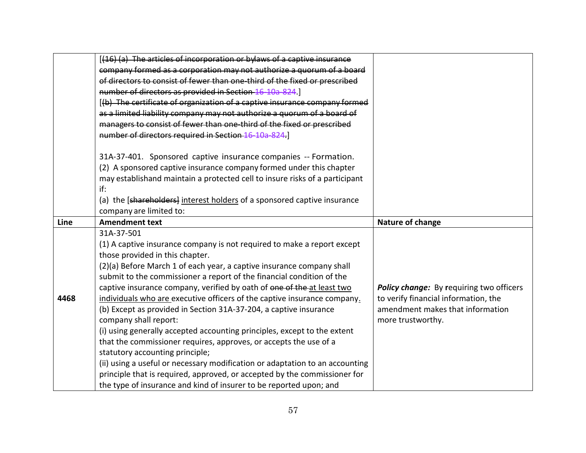|      | [(16) (a) The articles of incorporation or bylaws of a captive insurance     |                                          |
|------|------------------------------------------------------------------------------|------------------------------------------|
|      | company formed as a corporation may not authorize a quorum of a board        |                                          |
|      | of directors to consist of fewer than one third of the fixed or prescribed   |                                          |
|      | number of directors as provided in Section 16 10a 824.                       |                                          |
|      | [(b) The certificate of organization of a captive insurance company formed   |                                          |
|      | as a limited liability company may not authorize a quorum of a board of      |                                          |
|      | managers to consist of fewer than one-third of the fixed or prescribed       |                                          |
|      | number of directors required in Section 16-10a-824.                          |                                          |
|      | 31A-37-401. Sponsored captive insurance companies -- Formation.              |                                          |
|      | (2) A sponsored captive insurance company formed under this chapter          |                                          |
|      | may establishand maintain a protected cell to insure risks of a participant  |                                          |
|      | if:                                                                          |                                          |
|      | (a) the [shareholders] interest holders of a sponsored captive insurance     |                                          |
|      | company are limited to:                                                      |                                          |
| Line | <b>Amendment text</b>                                                        | Nature of change                         |
|      | 31A-37-501                                                                   |                                          |
|      | (1) A captive insurance company is not required to make a report except      |                                          |
|      | those provided in this chapter.                                              |                                          |
|      | (2)(a) Before March 1 of each year, a captive insurance company shall        |                                          |
|      | submit to the commissioner a report of the financial condition of the        |                                          |
|      | captive insurance company, verified by oath of one of the at least two       | Policy change: By requiring two officers |
| 4468 | individuals who are executive officers of the captive insurance company.     | to verify financial information, the     |
|      | (b) Except as provided in Section 31A-37-204, a captive insurance            | amendment makes that information         |
|      | company shall report:                                                        | more trustworthy.                        |
|      | (i) using generally accepted accounting principles, except to the extent     |                                          |
|      | that the commissioner requires, approves, or accepts the use of a            |                                          |
|      | statutory accounting principle;                                              |                                          |
|      | (ii) using a useful or necessary modification or adaptation to an accounting |                                          |
|      | principle that is required, approved, or accepted by the commissioner for    |                                          |
|      | the type of insurance and kind of insurer to be reported upon; and           |                                          |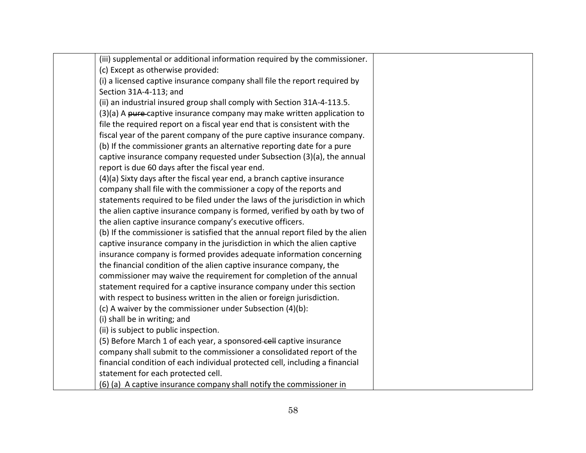| (iii) supplemental or additional information required by the commissioner.     |  |
|--------------------------------------------------------------------------------|--|
| (c) Except as otherwise provided:                                              |  |
| (i) a licensed captive insurance company shall file the report required by     |  |
| Section 31A-4-113; and                                                         |  |
| (ii) an industrial insured group shall comply with Section 31A-4-113.5.        |  |
| (3)(a) A pure-captive insurance company may make written application to        |  |
| file the required report on a fiscal year end that is consistent with the      |  |
| fiscal year of the parent company of the pure captive insurance company.       |  |
| (b) If the commissioner grants an alternative reporting date for a pure        |  |
| captive insurance company requested under Subsection (3)(a), the annual        |  |
| report is due 60 days after the fiscal year end.                               |  |
| (4)(a) Sixty days after the fiscal year end, a branch captive insurance        |  |
| company shall file with the commissioner a copy of the reports and             |  |
| statements required to be filed under the laws of the jurisdiction in which    |  |
| the alien captive insurance company is formed, verified by oath by two of      |  |
| the alien captive insurance company's executive officers.                      |  |
| (b) If the commissioner is satisfied that the annual report filed by the alien |  |
| captive insurance company in the jurisdiction in which the alien captive       |  |
| insurance company is formed provides adequate information concerning           |  |
| the financial condition of the alien captive insurance company, the            |  |
| commissioner may waive the requirement for completion of the annual            |  |
| statement required for a captive insurance company under this section          |  |
| with respect to business written in the alien or foreign jurisdiction.         |  |
| (c) A waiver by the commissioner under Subsection (4)(b):                      |  |
| (i) shall be in writing; and                                                   |  |
| (ii) is subject to public inspection.                                          |  |
| (5) Before March 1 of each year, a sponsored-cell captive insurance            |  |
| company shall submit to the commissioner a consolidated report of the          |  |
| financial condition of each individual protected cell, including a financial   |  |
| statement for each protected cell.                                             |  |
| (6) (a) A captive insurance company shall notify the commissioner in           |  |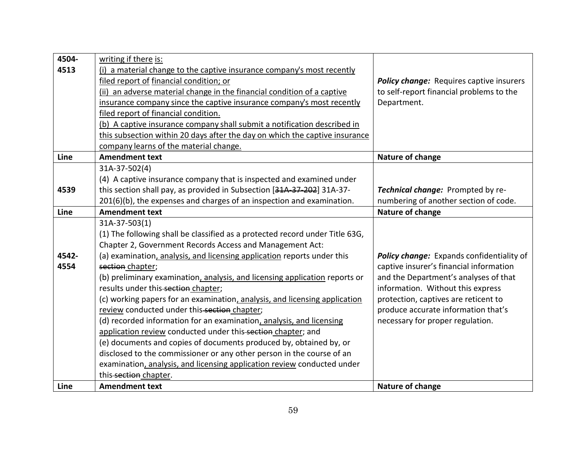| 4504- | writing if there is:                                                         |                                                 |
|-------|------------------------------------------------------------------------------|-------------------------------------------------|
| 4513  | (i) a material change to the captive insurance company's most recently       |                                                 |
|       | filed report of financial condition; or                                      | <b>Policy change:</b> Requires captive insurers |
|       | (ii) an adverse material change in the financial condition of a captive      | to self-report financial problems to the        |
|       | insurance company since the captive insurance company's most recently        | Department.                                     |
|       | filed report of financial condition.                                         |                                                 |
|       | (b) A captive insurance company shall submit a notification described in     |                                                 |
|       | this subsection within 20 days after the day on which the captive insurance  |                                                 |
|       | company learns of the material change.                                       |                                                 |
| Line  | <b>Amendment text</b>                                                        | Nature of change                                |
|       | 31A-37-502(4)                                                                |                                                 |
|       | (4) A captive insurance company that is inspected and examined under         |                                                 |
| 4539  | this section shall pay, as provided in Subsection [31A-37-202] 31A-37-       | Technical change: Prompted by re-               |
|       | 201(6)(b), the expenses and charges of an inspection and examination.        | numbering of another section of code.           |
| Line  | <b>Amendment text</b>                                                        | Nature of change                                |
|       | 31A-37-503(1)                                                                |                                                 |
|       | (1) The following shall be classified as a protected record under Title 63G, |                                                 |
|       | Chapter 2, Government Records Access and Management Act:                     |                                                 |
| 4542- | (a) examination, analysis, and licensing application reports under this      | Policy change: Expands confidentiality of       |
| 4554  | section chapter;                                                             | captive insurer's financial information         |
|       | (b) preliminary examination, analysis, and licensing application reports or  | and the Department's analyses of that           |
|       | results under this-section chapter;                                          | information. Without this express               |
|       | (c) working papers for an examination, analysis, and licensing application   | protection, captives are reticent to            |
|       | review conducted under this-section chapter;                                 | produce accurate information that's             |
|       | (d) recorded information for an examination, analysis, and licensing         | necessary for proper regulation.                |
|       | application review conducted under this-section chapter; and                 |                                                 |
|       | (e) documents and copies of documents produced by, obtained by, or           |                                                 |
|       | disclosed to the commissioner or any other person in the course of an        |                                                 |
|       | examination, analysis, and licensing application review conducted under      |                                                 |
|       | this-section chapter.                                                        |                                                 |
| Line  | <b>Amendment text</b>                                                        | Nature of change                                |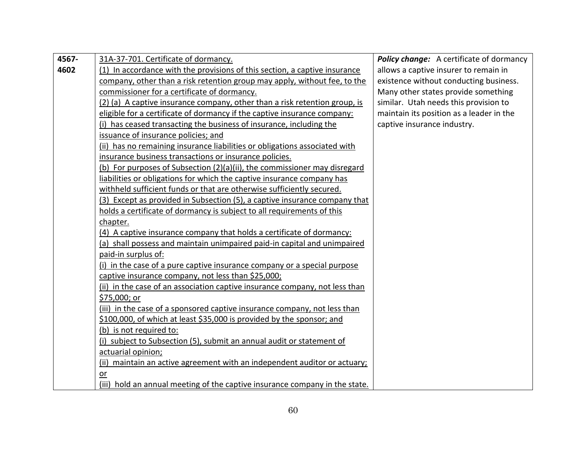| 4567- | 31A-37-701. Certificate of dormancy.                                        | <b>Policy change:</b> A certificate of dormancy |
|-------|-----------------------------------------------------------------------------|-------------------------------------------------|
| 4602  | (1) In accordance with the provisions of this section, a captive insurance  | allows a captive insurer to remain in           |
|       | company, other than a risk retention group may apply, without fee, to the   | existence without conducting business.          |
|       | commissioner for a certificate of dormancy.                                 | Many other states provide something             |
|       | (2) (a) A captive insurance company, other than a risk retention group, is  | similar. Utah needs this provision to           |
|       | eligible for a certificate of dormancy if the captive insurance company:    | maintain its position as a leader in the        |
|       | (i) has ceased transacting the business of insurance, including the         | captive insurance industry.                     |
|       | issuance of insurance policies; and                                         |                                                 |
|       | (ii) has no remaining insurance liabilities or obligations associated with  |                                                 |
|       | insurance business transactions or insurance policies.                      |                                                 |
|       | (b) For purposes of Subsection (2)(a)(ii), the commissioner may disregard   |                                                 |
|       | liabilities or obligations for which the captive insurance company has      |                                                 |
|       | withheld sufficient funds or that are otherwise sufficiently secured.       |                                                 |
|       | (3) Except as provided in Subsection (5), a captive insurance company that  |                                                 |
|       | holds a certificate of dormancy is subject to all requirements of this      |                                                 |
|       | chapter.                                                                    |                                                 |
|       | (4) A captive insurance company that holds a certificate of dormancy:       |                                                 |
|       | (a) shall possess and maintain unimpaired paid-in capital and unimpaired    |                                                 |
|       | paid-in surplus of:                                                         |                                                 |
|       | (i) in the case of a pure captive insurance company or a special purpose    |                                                 |
|       | captive insurance company, not less than \$25,000;                          |                                                 |
|       | (ii) in the case of an association captive insurance company, not less than |                                                 |
|       | \$75,000; or                                                                |                                                 |
|       | (iii) in the case of a sponsored captive insurance company, not less than   |                                                 |
|       | \$100,000, of which at least \$35,000 is provided by the sponsor; and       |                                                 |
|       | (b) is not required to:                                                     |                                                 |
|       | (i) subject to Subsection (5), submit an annual audit or statement of       |                                                 |
|       | actuarial opinion;                                                          |                                                 |
|       | (ii) maintain an active agreement with an independent auditor or actuary;   |                                                 |
|       | or                                                                          |                                                 |
|       | (iii) hold an annual meeting of the captive insurance company in the state. |                                                 |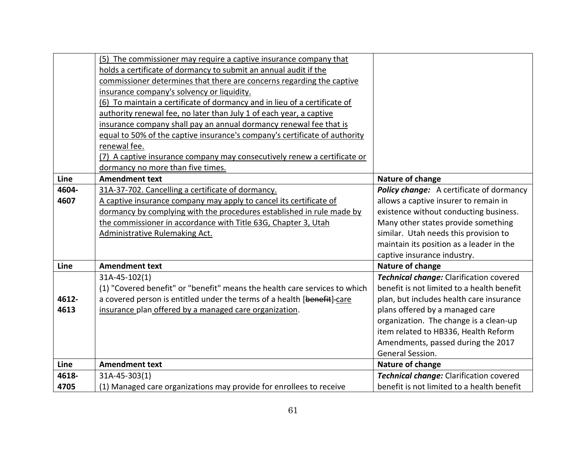|       | (5) The commissioner may require a captive insurance company that<br>holds a certificate of dormancy to submit an annual audit if the<br>commissioner determines that there are concerns regarding the captive<br>insurance company's solvency or liquidity.<br>(6) To maintain a certificate of dormancy and in lieu of a certificate of<br>authority renewal fee, no later than July 1 of each year, a captive |                                                 |
|-------|------------------------------------------------------------------------------------------------------------------------------------------------------------------------------------------------------------------------------------------------------------------------------------------------------------------------------------------------------------------------------------------------------------------|-------------------------------------------------|
|       | insurance company shall pay an annual dormancy renewal fee that is<br>equal to 50% of the captive insurance's company's certificate of authority<br>renewal fee.<br>(7) A captive insurance company may consecutively renew a certificate or<br>dormancy no more than five times.                                                                                                                                |                                                 |
| Line  | <b>Amendment text</b>                                                                                                                                                                                                                                                                                                                                                                                            | Nature of change                                |
| 4604- | 31A-37-702. Cancelling a certificate of dormancy.                                                                                                                                                                                                                                                                                                                                                                | <b>Policy change:</b> A certificate of dormancy |
| 4607  | A captive insurance company may apply to cancel its certificate of                                                                                                                                                                                                                                                                                                                                               | allows a captive insurer to remain in           |
|       | dormancy by complying with the procedures established in rule made by                                                                                                                                                                                                                                                                                                                                            | existence without conducting business.          |
|       | the commissioner in accordance with Title 63G, Chapter 3, Utah                                                                                                                                                                                                                                                                                                                                                   | Many other states provide something             |
|       | <b>Administrative Rulemaking Act.</b>                                                                                                                                                                                                                                                                                                                                                                            | similar. Utah needs this provision to           |
|       |                                                                                                                                                                                                                                                                                                                                                                                                                  | maintain its position as a leader in the        |
|       |                                                                                                                                                                                                                                                                                                                                                                                                                  | captive insurance industry.                     |
| Line  | <b>Amendment text</b>                                                                                                                                                                                                                                                                                                                                                                                            | Nature of change                                |
|       | 31A-45-102(1)                                                                                                                                                                                                                                                                                                                                                                                                    | Technical change: Clarification covered         |
|       | (1) "Covered benefit" or "benefit" means the health care services to which                                                                                                                                                                                                                                                                                                                                       | benefit is not limited to a health benefit      |
| 4612- | a covered person is entitled under the terms of a health [benefit]-care                                                                                                                                                                                                                                                                                                                                          | plan, but includes health care insurance        |
| 4613  | insurance plan offered by a managed care organization.                                                                                                                                                                                                                                                                                                                                                           | plans offered by a managed care                 |
|       |                                                                                                                                                                                                                                                                                                                                                                                                                  | organization. The change is a clean-up          |
|       |                                                                                                                                                                                                                                                                                                                                                                                                                  | item related to HB336, Health Reform            |
|       |                                                                                                                                                                                                                                                                                                                                                                                                                  | Amendments, passed during the 2017              |
|       |                                                                                                                                                                                                                                                                                                                                                                                                                  | General Session.                                |
| Line  | <b>Amendment text</b>                                                                                                                                                                                                                                                                                                                                                                                            | Nature of change                                |
| 4618- | 31A-45-303(1)                                                                                                                                                                                                                                                                                                                                                                                                    | Technical change: Clarification covered         |
| 4705  | (1) Managed care organizations may provide for enrollees to receive                                                                                                                                                                                                                                                                                                                                              | benefit is not limited to a health benefit      |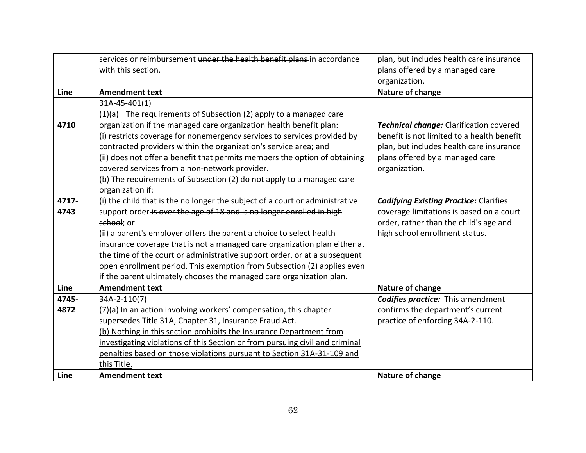|       | services or reimbursement under the health benefit plans in accordance       | plan, but includes health care insurance      |
|-------|------------------------------------------------------------------------------|-----------------------------------------------|
|       | with this section.                                                           | plans offered by a managed care               |
|       |                                                                              | organization.                                 |
| Line  | <b>Amendment text</b>                                                        | Nature of change                              |
|       | 31A-45-401(1)                                                                |                                               |
|       | $(1)(a)$ The requirements of Subsection (2) apply to a managed care          |                                               |
| 4710  | organization if the managed care organization health benefit-plan:           | Technical change: Clarification covered       |
|       | (i) restricts coverage for nonemergency services to services provided by     | benefit is not limited to a health benefit    |
|       | contracted providers within the organization's service area; and             | plan, but includes health care insurance      |
|       | (ii) does not offer a benefit that permits members the option of obtaining   | plans offered by a managed care               |
|       | covered services from a non-network provider.                                | organization.                                 |
|       | (b) The requirements of Subsection (2) do not apply to a managed care        |                                               |
|       | organization if:                                                             |                                               |
| 4717- | (i) the child that is the no longer the subject of a court or administrative | <b>Codifying Existing Practice: Clarifies</b> |
| 4743  | support order is over the age of 18 and is no longer enrolled in high        | coverage limitations is based on a court      |
|       | school; or                                                                   | order, rather than the child's age and        |
|       | (ii) a parent's employer offers the parent a choice to select health         | high school enrollment status.                |
|       | insurance coverage that is not a managed care organization plan either at    |                                               |
|       | the time of the court or administrative support order, or at a subsequent    |                                               |
|       | open enrollment period. This exemption from Subsection (2) applies even      |                                               |
|       | if the parent ultimately chooses the managed care organization plan.         |                                               |
| Line  | <b>Amendment text</b>                                                        | Nature of change                              |
| 4745- | 34A-2-110(7)                                                                 | <b>Codifies practice:</b> This amendment      |
| 4872  | (7)(a) In an action involving workers' compensation, this chapter            | confirms the department's current             |
|       | supersedes Title 31A, Chapter 31, Insurance Fraud Act.                       | practice of enforcing 34A-2-110.              |
|       | (b) Nothing in this section prohibits the Insurance Department from          |                                               |
|       | investigating violations of this Section or from pursuing civil and criminal |                                               |
|       | penalties based on those violations pursuant to Section 31A-31-109 and       |                                               |
|       | this Title.                                                                  |                                               |
| Line  | <b>Amendment text</b>                                                        | Nature of change                              |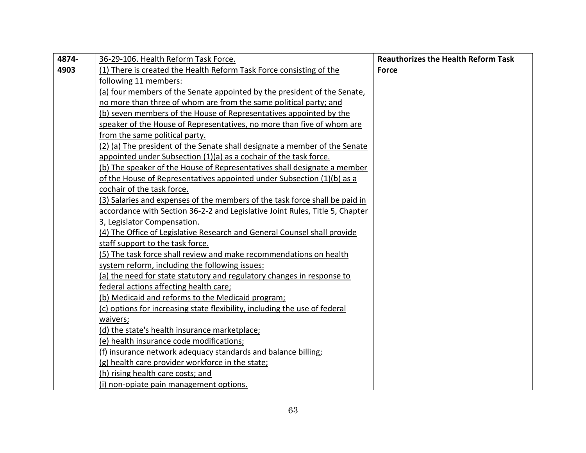| 4874- | 36-29-106. Health Reform Task Force.                                         | <b>Reauthorizes the Health Reform Task</b> |
|-------|------------------------------------------------------------------------------|--------------------------------------------|
| 4903  | (1) There is created the Health Reform Task Force consisting of the          | <b>Force</b>                               |
|       | following 11 members:                                                        |                                            |
|       | (a) four members of the Senate appointed by the president of the Senate,     |                                            |
|       | no more than three of whom are from the same political party; and            |                                            |
|       | (b) seven members of the House of Representatives appointed by the           |                                            |
|       | speaker of the House of Representatives, no more than five of whom are       |                                            |
|       | from the same political party.                                               |                                            |
|       | (2) (a) The president of the Senate shall designate a member of the Senate   |                                            |
|       | appointed under Subsection (1)(a) as a cochair of the task force.            |                                            |
|       | (b) The speaker of the House of Representatives shall designate a member     |                                            |
|       | of the House of Representatives appointed under Subsection (1)(b) as a       |                                            |
|       | cochair of the task force.                                                   |                                            |
|       | (3) Salaries and expenses of the members of the task force shall be paid in  |                                            |
|       | accordance with Section 36-2-2 and Legislative Joint Rules, Title 5, Chapter |                                            |
|       | 3, Legislator Compensation.                                                  |                                            |
|       | (4) The Office of Legislative Research and General Counsel shall provide     |                                            |
|       | staff support to the task force.                                             |                                            |
|       | (5) The task force shall review and make recommendations on health           |                                            |
|       | system reform, including the following issues:                               |                                            |
|       | (a) the need for state statutory and regulatory changes in response to       |                                            |
|       | federal actions affecting health care;                                       |                                            |
|       | (b) Medicaid and reforms to the Medicaid program;                            |                                            |
|       | (c) options for increasing state flexibility, including the use of federal   |                                            |
|       | waivers;                                                                     |                                            |
|       | (d) the state's health insurance marketplace;                                |                                            |
|       | (e) health insurance code modifications;                                     |                                            |
|       | (f) insurance network adequacy standards and balance billing;                |                                            |
|       | (g) health care provider workforce in the state;                             |                                            |
|       | (h) rising health care costs; and                                            |                                            |
|       | (i) non-opiate pain management options.                                      |                                            |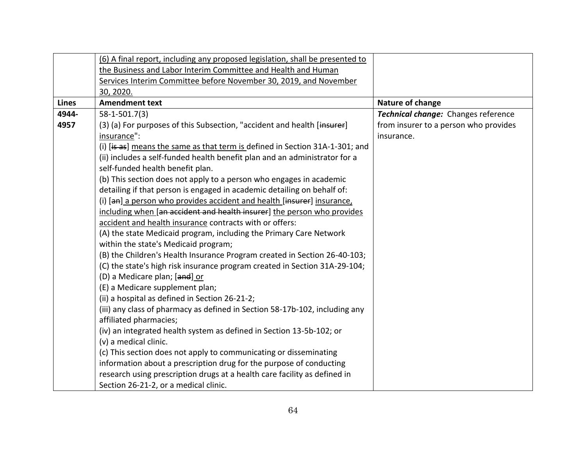|              | (6) A final report, including any proposed legislation, shall be presented to |                                       |
|--------------|-------------------------------------------------------------------------------|---------------------------------------|
|              | the Business and Labor Interim Committee and Health and Human                 |                                       |
|              | Services Interim Committee before November 30, 2019, and November             |                                       |
|              | 30, 2020.                                                                     |                                       |
| <b>Lines</b> | <b>Amendment text</b>                                                         | Nature of change                      |
| 4944-        | 58-1-501.7(3)                                                                 | Technical change: Changes reference   |
| 4957         | (3) (a) For purposes of this Subsection, "accident and health [insurer]       | from insurer to a person who provides |
|              | insurance":                                                                   | insurance.                            |
|              | (i) [is as] means the same as that term is defined in Section 31A-1-301; and  |                                       |
|              | (ii) includes a self-funded health benefit plan and an administrator for a    |                                       |
|              | self-funded health benefit plan.                                              |                                       |
|              | (b) This section does not apply to a person who engages in academic           |                                       |
|              | detailing if that person is engaged in academic detailing on behalf of:       |                                       |
|              | (i) [an] a person who provides accident and health [insurer] insurance,       |                                       |
|              | including when [an accident and health insurer] the person who provides       |                                       |
|              | accident and health insurance contracts with or offers:                       |                                       |
|              | (A) the state Medicaid program, including the Primary Care Network            |                                       |
|              | within the state's Medicaid program;                                          |                                       |
|              | (B) the Children's Health Insurance Program created in Section 26-40-103;     |                                       |
|              | (C) the state's high risk insurance program created in Section 31A-29-104;    |                                       |
|              | (D) a Medicare plan; [and] or                                                 |                                       |
|              | (E) a Medicare supplement plan;                                               |                                       |
|              | (ii) a hospital as defined in Section 26-21-2;                                |                                       |
|              | (iii) any class of pharmacy as defined in Section 58-17b-102, including any   |                                       |
|              | affiliated pharmacies;                                                        |                                       |
|              | (iv) an integrated health system as defined in Section 13-5b-102; or          |                                       |
|              | (v) a medical clinic.                                                         |                                       |
|              | (c) This section does not apply to communicating or disseminating             |                                       |
|              | information about a prescription drug for the purpose of conducting           |                                       |
|              | research using prescription drugs at a health care facility as defined in     |                                       |
|              | Section 26-21-2, or a medical clinic.                                         |                                       |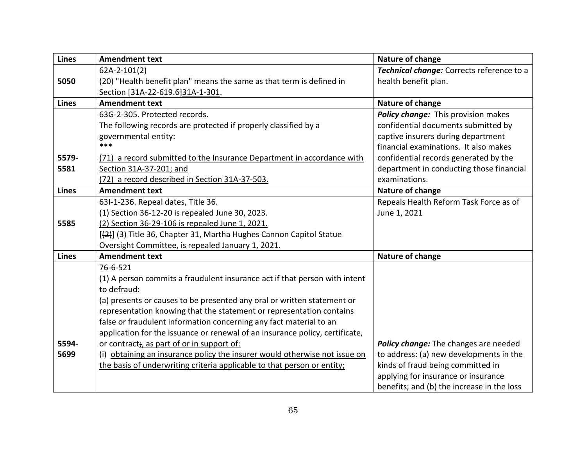| <b>Lines</b> | <b>Amendment text</b>                                                        | Nature of change                           |
|--------------|------------------------------------------------------------------------------|--------------------------------------------|
|              | $62A-2-101(2)$                                                               | Technical change: Corrects reference to a  |
| 5050         | (20) "Health benefit plan" means the same as that term is defined in         | health benefit plan.                       |
|              | Section [31A-22-619.6]31A-1-301.                                             |                                            |
| <b>Lines</b> | <b>Amendment text</b>                                                        | Nature of change                           |
|              | 63G-2-305. Protected records.                                                | Policy change: This provision makes        |
|              | The following records are protected if properly classified by a              | confidential documents submitted by        |
|              | governmental entity:                                                         | captive insurers during department         |
|              | $***$                                                                        | financial examinations. It also makes      |
| 5579-        | (71) a record submitted to the Insurance Department in accordance with       | confidential records generated by the      |
| 5581         | Section 31A-37-201; and                                                      | department in conducting those financial   |
|              | (72) a record described in Section 31A-37-503.                               | examinations.                              |
| <b>Lines</b> | <b>Amendment text</b>                                                        | Nature of change                           |
|              | 63I-1-236. Repeal dates, Title 36.                                           | Repeals Health Reform Task Force as of     |
|              | (1) Section 36-12-20 is repealed June 30, 2023.                              | June 1, 2021                               |
| 5585         | (2) Section 36-29-106 is repealed June 1, 2021.                              |                                            |
|              | [(2)] (3) Title 36, Chapter 31, Martha Hughes Cannon Capitol Statue          |                                            |
|              | Oversight Committee, is repealed January 1, 2021.                            |                                            |
| <b>Lines</b> | <b>Amendment text</b>                                                        | Nature of change                           |
|              | 76-6-521                                                                     |                                            |
|              | (1) A person commits a fraudulent insurance act if that person with intent   |                                            |
|              | to defraud:                                                                  |                                            |
|              | (a) presents or causes to be presented any oral or written statement or      |                                            |
|              | representation knowing that the statement or representation contains         |                                            |
|              | false or fraudulent information concerning any fact material to an           |                                            |
|              | application for the issuance or renewal of an insurance policy, certificate, |                                            |
| 5594-        | or contract <sub>i</sub> , as part of or in support of:                      | Policy change: The changes are needed      |
| 5699         | (i) obtaining an insurance policy the insurer would otherwise not issue on   | to address: (a) new developments in the    |
|              | the basis of underwriting criteria applicable to that person or entity;      | kinds of fraud being committed in          |
|              |                                                                              | applying for insurance or insurance        |
|              |                                                                              | benefits; and (b) the increase in the loss |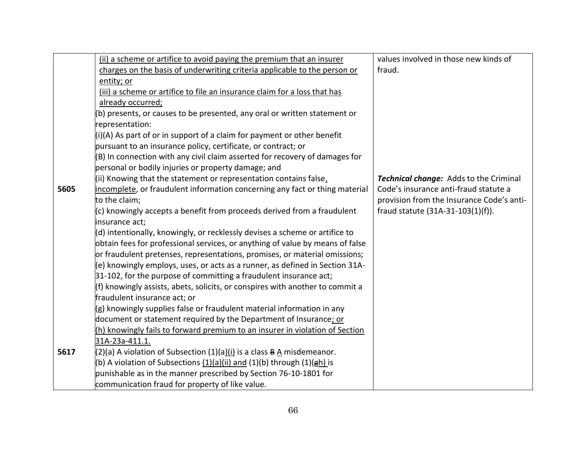|      | (ii) a scheme or artifice to avoid paying the premium that an insurer                | values involved in those new kinds of     |
|------|--------------------------------------------------------------------------------------|-------------------------------------------|
|      | charges on the basis of underwriting criteria applicable to the person or            | fraud.                                    |
|      | entity; or                                                                           |                                           |
|      | (iii) a scheme or artifice to file an insurance claim for a loss that has            |                                           |
|      | already occurred;                                                                    |                                           |
|      | (b) presents, or causes to be presented, any oral or written statement or            |                                           |
|      | representation:                                                                      |                                           |
|      | $(i)(A)$ As part of or in support of a claim for payment or other benefit            |                                           |
|      | pursuant to an insurance policy, certificate, or contract; or                        |                                           |
|      | (B) In connection with any civil claim asserted for recovery of damages for          |                                           |
|      | personal or bodily injuries or property damage; and                                  |                                           |
|      | (ii) Knowing that the statement or representation contains false,                    | Technical change: Adds to the Criminal    |
| 5605 | incomplete, or fraudulent information concerning any fact or thing material          | Code's insurance anti-fraud statute a     |
|      | to the claim;                                                                        | provision from the Insurance Code's anti- |
|      | (c) knowingly accepts a benefit from proceeds derived from a fraudulent              | fraud statute (31A-31-103(1)(f)).         |
|      | insurance act;                                                                       |                                           |
|      | (d) intentionally, knowingly, or recklessly devises a scheme or artifice to          |                                           |
|      | obtain fees for professional services, or anything of value by means of false        |                                           |
|      | or fraudulent pretenses, representations, promises, or material omissions;           |                                           |
|      | (e) knowingly employs, uses, or acts as a runner, as defined in Section 31A-         |                                           |
|      | 31-102, for the purpose of committing a fraudulent insurance act;                    |                                           |
|      | (f) knowingly assists, abets, solicits, or conspires with another to commit a        |                                           |
|      | fraudulent insurance act; or                                                         |                                           |
|      | $(g)$ knowingly supplies false or fraudulent material information in any             |                                           |
|      | document or statement required by the Department of Insurance; or                    |                                           |
|      | (h) knowingly fails to forward premium to an insurer in violation of Section         |                                           |
|      | 31A-23a-411.1.                                                                       |                                           |
| 5617 | $(2)(a)$ A violation of Subsection $(1)(a)(i)$ is a class $B \triangle$ misdemeanor. |                                           |
|      | (b) A violation of Subsections (1)(a)(ii) and (1)(b) through (1)(gh) is              |                                           |
|      | punishable as in the manner prescribed by Section 76-10-1801 for                     |                                           |
|      | communication fraud for property of like value.                                      |                                           |